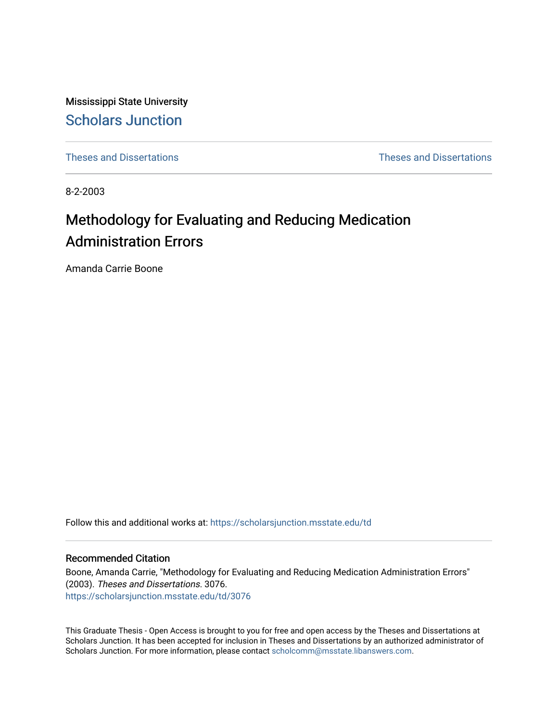Mississippi State University [Scholars Junction](https://scholarsjunction.msstate.edu/) 

[Theses and Dissertations](https://scholarsjunction.msstate.edu/td) [Theses and Dissertations](https://scholarsjunction.msstate.edu/theses-dissertations) 

8-2-2003

# Methodology for Evaluating and Reducing Medication Administration Errors

Amanda Carrie Boone

Follow this and additional works at: [https://scholarsjunction.msstate.edu/td](https://scholarsjunction.msstate.edu/td?utm_source=scholarsjunction.msstate.edu%2Ftd%2F3076&utm_medium=PDF&utm_campaign=PDFCoverPages) 

### Recommended Citation

Boone, Amanda Carrie, "Methodology for Evaluating and Reducing Medication Administration Errors" (2003). Theses and Dissertations. 3076. [https://scholarsjunction.msstate.edu/td/3076](https://scholarsjunction.msstate.edu/td/3076?utm_source=scholarsjunction.msstate.edu%2Ftd%2F3076&utm_medium=PDF&utm_campaign=PDFCoverPages) 

This Graduate Thesis - Open Access is brought to you for free and open access by the Theses and Dissertations at Scholars Junction. It has been accepted for inclusion in Theses and Dissertations by an authorized administrator of Scholars Junction. For more information, please contact [scholcomm@msstate.libanswers.com.](mailto:scholcomm@msstate.libanswers.com)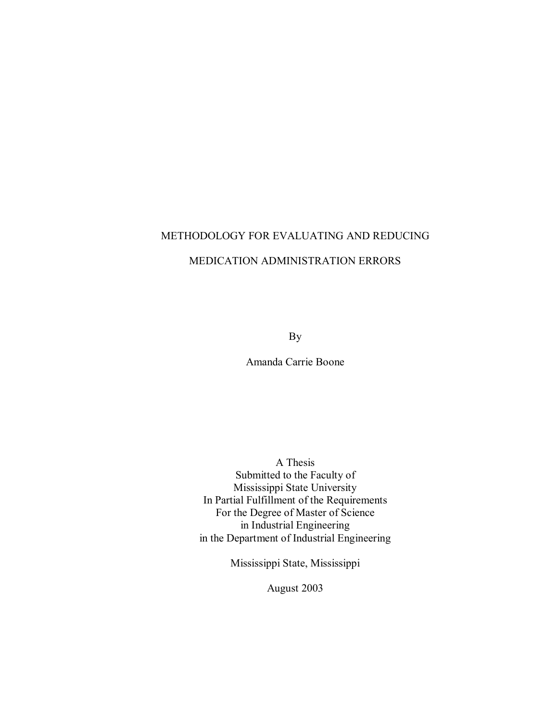## METHODOLOGY FOR EVALUATING AND REDUCING

## MEDICATION ADMINISTRATION ERRORS

By

Amanda Carrie Boone

A Thesis Submitted to the Faculty of Mississippi State University In Partial Fulfillment of the Requirements For the Degree of Master of Science in Industrial Engineering in the Department of Industrial Engineering

Mississippi State, Mississippi

August 2003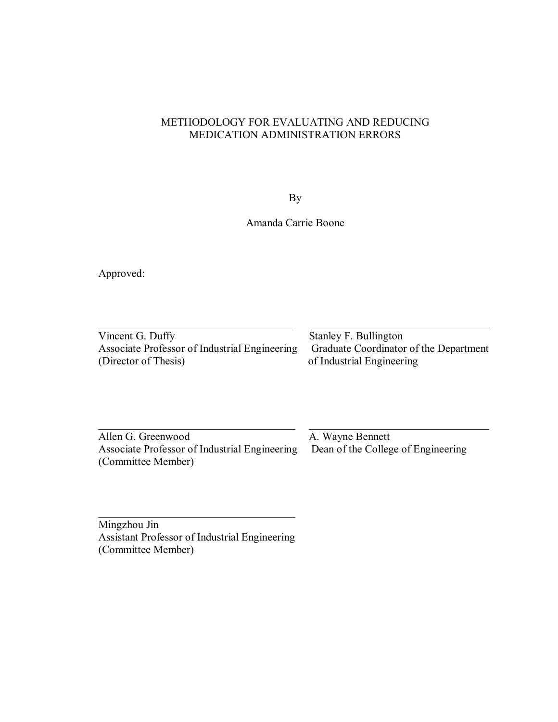## METHODOLOGY FOR EVALUATING AND REDUCING MEDICATION ADMINISTRATION ERRORS

By

Amanda Carrie Boone

Approved:

| Vincent G. Duffy                              | Stanley F. Bullington                  |
|-----------------------------------------------|----------------------------------------|
| Associate Professor of Industrial Engineering | Graduate Coordinator of the Department |
| (Director of Thesis)                          | of Industrial Engineering              |

 $\_$  , and the contribution of the contribution of  $\mathcal{L}_\mathcal{A}$  , and the contribution of  $\mathcal{L}_\mathcal{A}$ 

Allen G. Greenwood<br>Associate Professor of Industrial Engineering<br>Dean of the College of Engineering Associate Professor of Industrial Engineering (Committee Member)

Mingzhou Jin Assistant Professor of Industrial Engineering (Committee Member)

 $\mathcal{L}_\text{max}$  , and the set of the set of the set of the set of the set of the set of the set of the set of the set of the set of the set of the set of the set of the set of the set of the set of the set of the set of the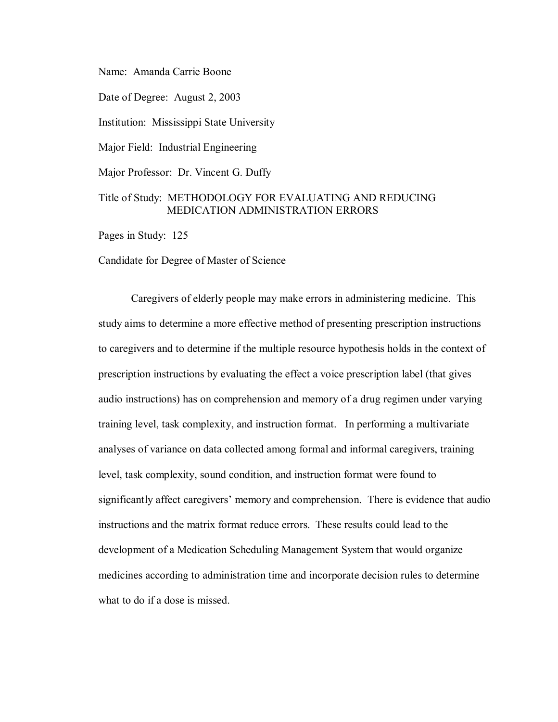Name: Amanda Carrie Boone

Date of Degree: August 2, 2003

Institution: Mississippi State University

Major Field: Industrial Engineering

Major Professor: Dr. Vincent G. Duffy

## Title of Study: METHODOLOGY FOR EVALUATING AND REDUCING MEDICATION ADMINISTRATION ERRORS

Pages in Study: 125

Candidate for Degree of Master of Science

Caregivers of elderly people may make errors in administering medicine. This study aims to determine a more effective method of presenting prescription instructions to caregivers and to determine if the multiple resource hypothesis holds in the context of prescription instructions by evaluating the effect a voice prescription label (that gives audio instructions) has on comprehension and memory of a drug regimen under varying training level, task complexity, and instruction format. In performing a multivariate analyses of variance on data collected among formal and informal caregivers, training level, task complexity, sound condition, and instruction format were found to significantly affect caregivers' memory and comprehension. There is evidence that audio instructions and the matrix format reduce errors. These results could lead to the development of a Medication Scheduling Management System that would organize medicines according to administration time and incorporate decision rules to determine what to do if a dose is missed.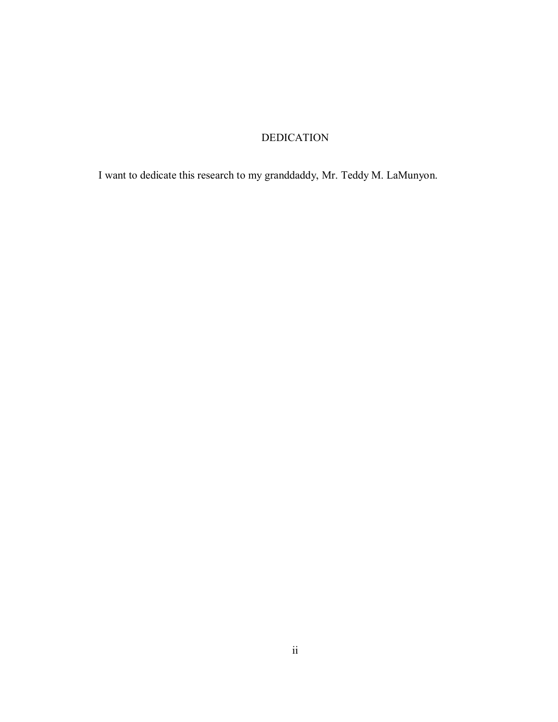## DEDICATION

I want to dedicate this research to my granddaddy, Mr. Teddy M. LaMunyon.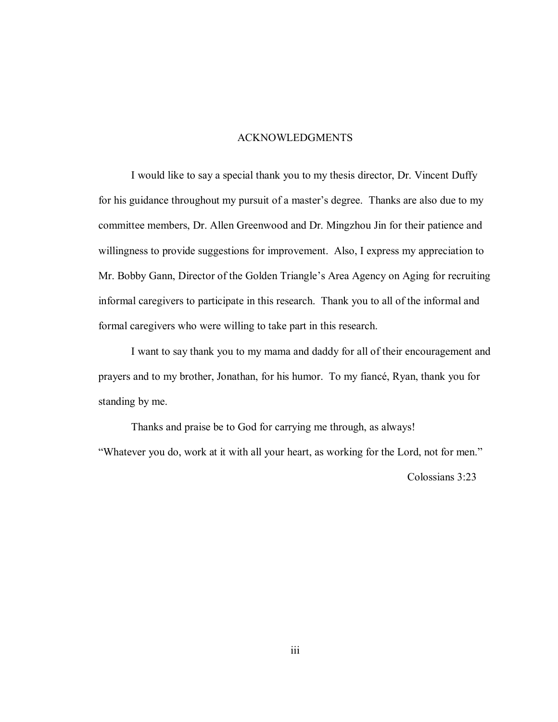## ACKNOWLEDGMENTS

I would like to say a special thank you to my thesis director, Dr. Vincent Duffy for his guidance throughout my pursuit of a master's degree. Thanks are also due to my committee members, Dr. Allen Greenwood and Dr. Mingzhou Jin for their patience and willingness to provide suggestions for improvement. Also, I express my appreciation to Mr. Bobby Gann, Director of the Golden Triangle's Area Agency on Aging for recruiting informal caregivers to participate in this research. Thank you to all of the informal and formal caregivers who were willing to take part in this research.

I want to say thank you to my mama and daddy for all of their encouragement and prayers and to my brother, Jonathan, for his humor. To my fiancé, Ryan, thank you for standing by me.

Thanks and praise be to God for carrying me through, as always! "Whatever you do, work at it with all your heart, as working for the Lord, not for men."

Colossians 3:23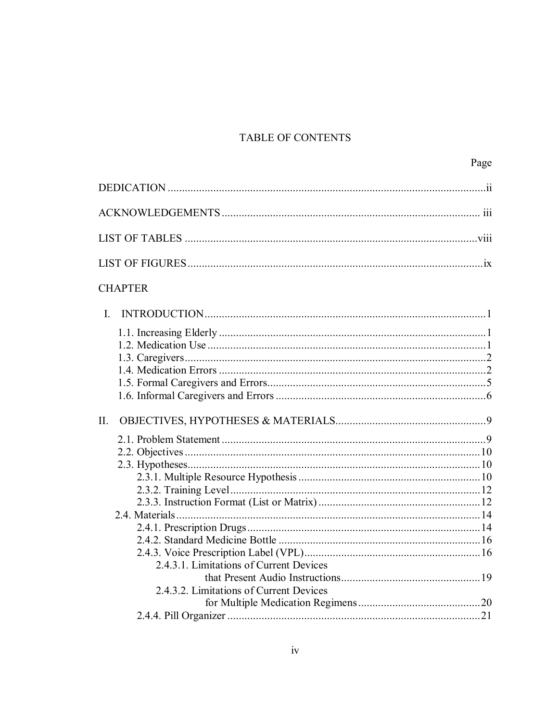## TABLE OF CONTENTS

| <b>CHAPTER</b>                          |  |
|-----------------------------------------|--|
| $\mathbf{I}$ .                          |  |
|                                         |  |
|                                         |  |
| II.                                     |  |
|                                         |  |
|                                         |  |
|                                         |  |
|                                         |  |
|                                         |  |
|                                         |  |
|                                         |  |
|                                         |  |
|                                         |  |
| 2.4.3.1. Limitations of Current Devices |  |
|                                         |  |
| 2.4.3.2. Limitations of Current Devices |  |
|                                         |  |
|                                         |  |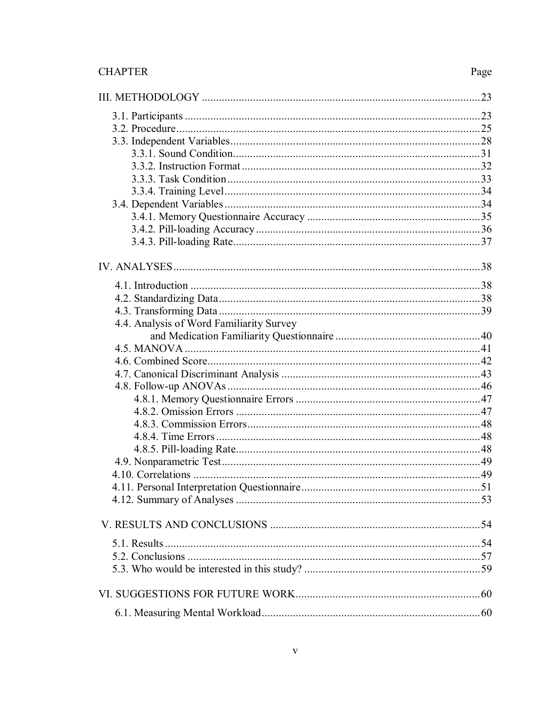## **CHAPTER**

## Page

| 4.4. Analysis of Word Familiarity Survey |  |
|------------------------------------------|--|
|                                          |  |
|                                          |  |
|                                          |  |
|                                          |  |
|                                          |  |
|                                          |  |
|                                          |  |
|                                          |  |
|                                          |  |
|                                          |  |
|                                          |  |
|                                          |  |
|                                          |  |
|                                          |  |
|                                          |  |
|                                          |  |
|                                          |  |
|                                          |  |
|                                          |  |
|                                          |  |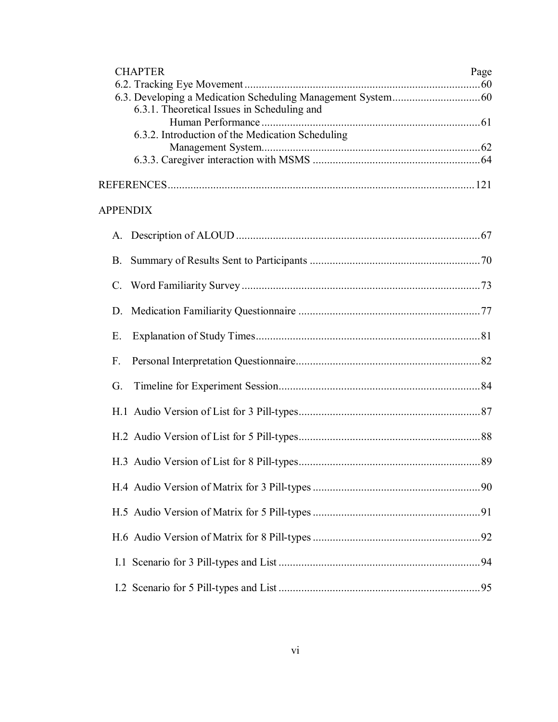| <b>CHAPTER</b>                                   | Page |
|--------------------------------------------------|------|
|                                                  |      |
| 6.3.1. Theoretical Issues in Scheduling and      |      |
|                                                  |      |
| 6.3.2. Introduction of the Medication Scheduling |      |
|                                                  |      |
|                                                  |      |
|                                                  |      |
| <b>APPENDIX</b>                                  |      |
|                                                  |      |
| <b>B.</b>                                        |      |
| $\mathcal{C}$ .                                  |      |
| D                                                |      |
| Ε.                                               |      |
| F.                                               |      |
| G.                                               |      |
|                                                  |      |
|                                                  |      |
|                                                  |      |
|                                                  |      |
|                                                  |      |
|                                                  |      |
|                                                  |      |
|                                                  |      |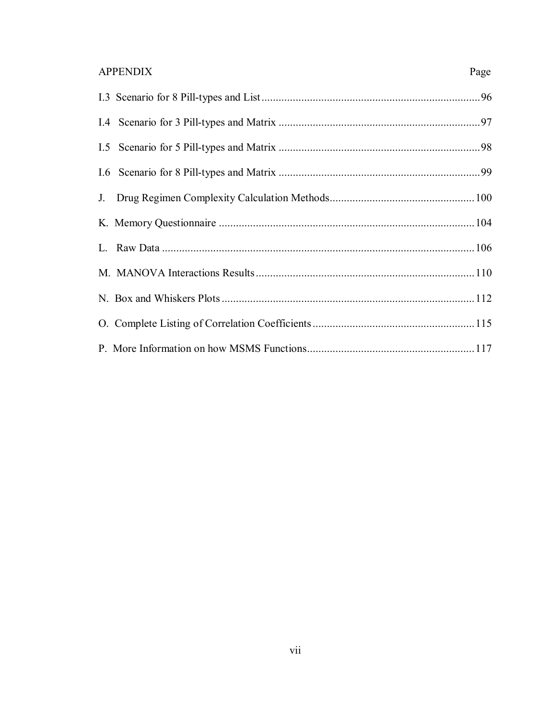## **APPENDIX**

Page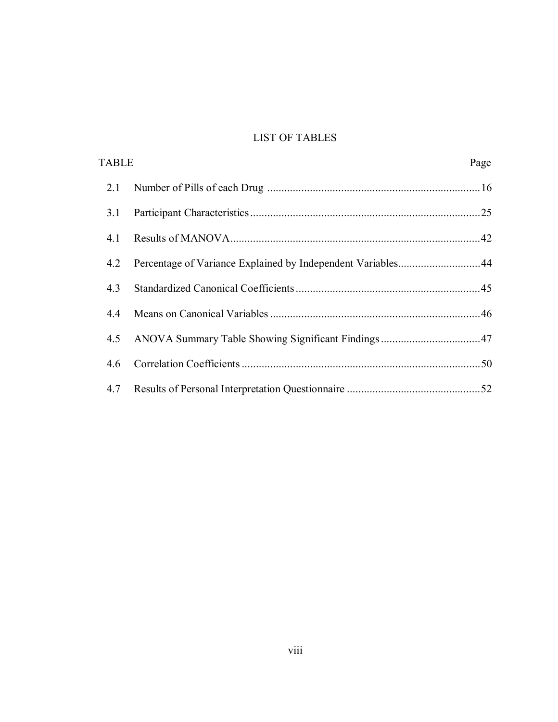## LIST OF TABLES

| <b>TABLE</b> |                                                             | Page |
|--------------|-------------------------------------------------------------|------|
| 2.1          |                                                             |      |
| 3.1          |                                                             |      |
| 4.1          |                                                             |      |
| 4.2          | Percentage of Variance Explained by Independent Variables44 |      |
| 4.3          |                                                             |      |
| 4.4          |                                                             |      |
| 4.5          |                                                             |      |
| 4.6          |                                                             |      |
| 4.7          |                                                             |      |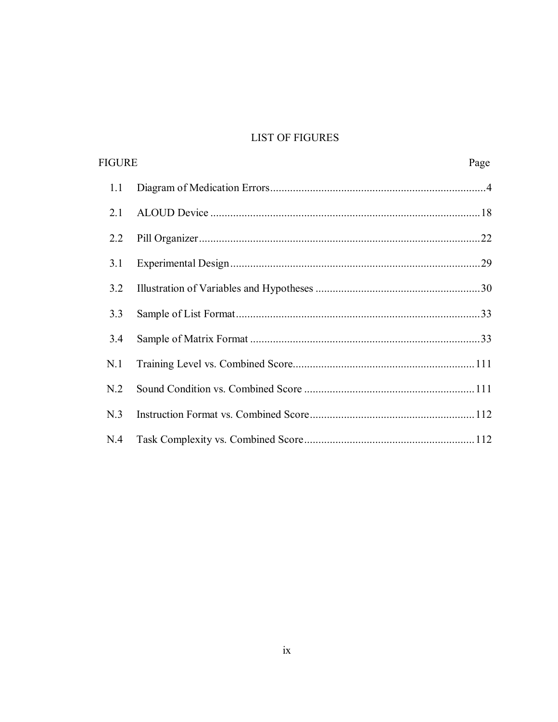## **LIST OF FIGURES**

| <b>FIGURE</b> |  | Page |
|---------------|--|------|
| 1.1           |  |      |
| 2.1           |  |      |
| 2.2           |  |      |
| 3.1           |  |      |
| 3.2           |  |      |
| 3.3           |  |      |
| 3.4           |  |      |
| N.1           |  |      |
| N.2           |  |      |
| N.3           |  |      |
| N.4           |  |      |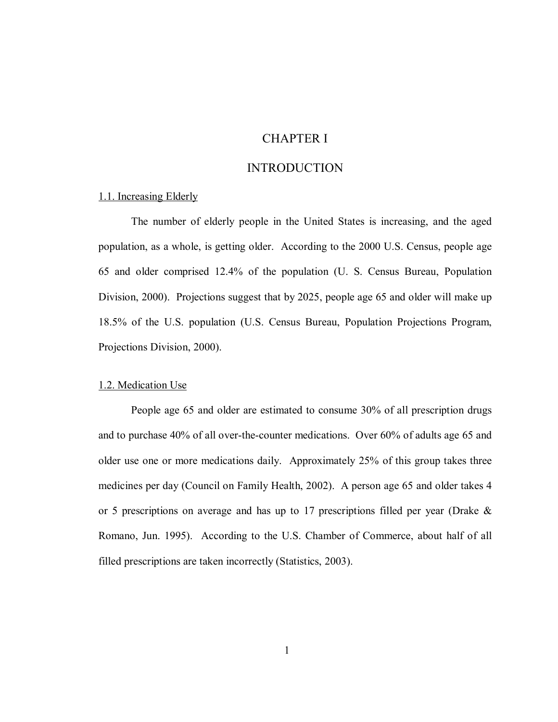## CHAPTER I

## INTRODUCTION

## 1.1. Increasing Elderly

The number of elderly people in the United States is increasing, and the aged population, as a whole, is getting older. According to the 2000 U.S. Census, people age 65 and older comprised 12.4% of the population (U. S. Census Bureau, Population Division, 2000). Projections suggest that by 2025, people age 65 and older will make up 18.5% of the U.S. population (U.S. Census Bureau, Population Projections Program, Projections Division, 2000).

#### 1.2. Medication Use

People age 65 and older are estimated to consume 30% of all prescription drugs and to purchase 40% of all over-the-counter medications. Over 60% of adults age 65 and older use one or more medications daily. Approximately 25% of this group takes three medicines per day (Council on Family Health, 2002). A person age 65 and older takes 4 or 5 prescriptions on average and has up to 17 prescriptions filled per year (Drake & Romano, Jun. 1995). According to the U.S. Chamber of Commerce, about half of all filled prescriptions are taken incorrectly (Statistics, 2003).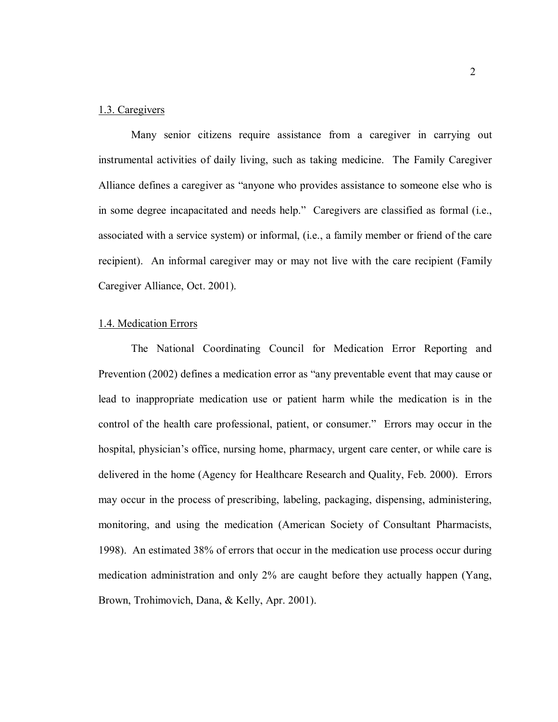### 1.3. Caregivers

Many senior citizens require assistance from a caregiver in carrying out instrumental activities of daily living, such as taking medicine. The Family Caregiver Alliance defines a caregiver as "anyone who provides assistance to someone else who is in some degree incapacitated and needs help." Caregivers are classified as formal (i.e., associated with a service system) or informal, (i.e., a family member or friend of the care recipient). An informal caregiver may or may not live with the care recipient (Family Caregiver Alliance, Oct. 2001).

### 1.4. Medication Errors

The National Coordinating Council for Medication Error Reporting and Prevention (2002) defines a medication error as "any preventable event that may cause or lead to inappropriate medication use or patient harm while the medication is in the control of the health care professional, patient, or consumer." Errors may occur in the hospital, physician's office, nursing home, pharmacy, urgent care center, or while care is delivered in the home (Agency for Healthcare Research and Quality, Feb. 2000). Errors may occur in the process of prescribing, labeling, packaging, dispensing, administering, monitoring, and using the medication (American Society of Consultant Pharmacists, 1998). An estimated 38% of errors that occur in the medication use process occur during medication administration and only 2% are caught before they actually happen (Yang, Brown, Trohimovich, Dana, & Kelly, Apr. 2001).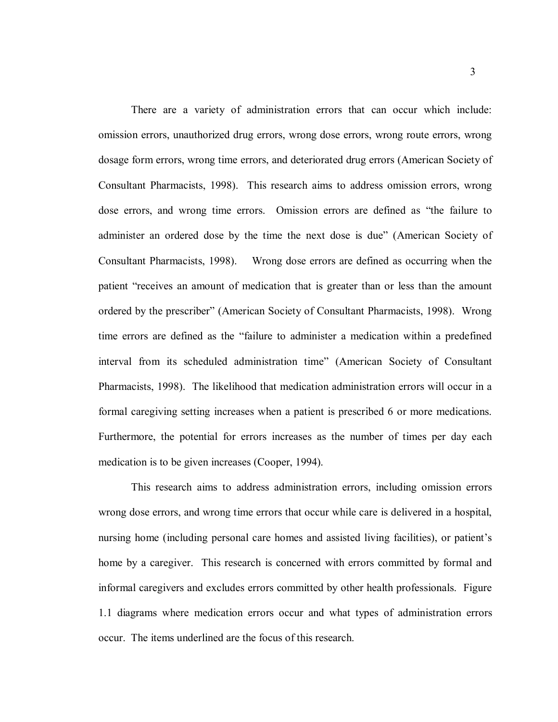There are a variety of administration errors that can occur which include: omission errors, unauthorized drug errors, wrong dose errors, wrong route errors, wrong dosage form errors, wrong time errors, and deteriorated drug errors (American Society of Consultant Pharmacists, 1998). This research aims to address omission errors, wrong dose errors, and wrong time errors. Omission errors are defined as "the failure to administer an ordered dose by the time the next dose is due" (American Society of Consultant Pharmacists, 1998). Wrong dose errors are defined as occurring when the patient "receives an amount of medication that is greater than or less than the amount ordered by the prescriber" (American Society of Consultant Pharmacists, 1998). Wrong time errors are defined as the "failure to administer a medication within a predefined interval from its scheduled administration time" (American Society of Consultant Pharmacists, 1998). The likelihood that medication administration errors will occur in a formal caregiving setting increases when a patient is prescribed 6 or more medications. Furthermore, the potential for errors increases as the number of times per day each medication is to be given increases (Cooper, 1994).

This research aims to address administration errors, including omission errors wrong dose errors, and wrong time errors that occur while care is delivered in a hospital, nursing home (including personal care homes and assisted living facilities), or patient's home by a caregiver. This research is concerned with errors committed by formal and informal caregivers and excludes errors committed by other health professionals. Figure 1.1 diagrams where medication errors occur and what types of administration errors occur. The items underlined are the focus of this research.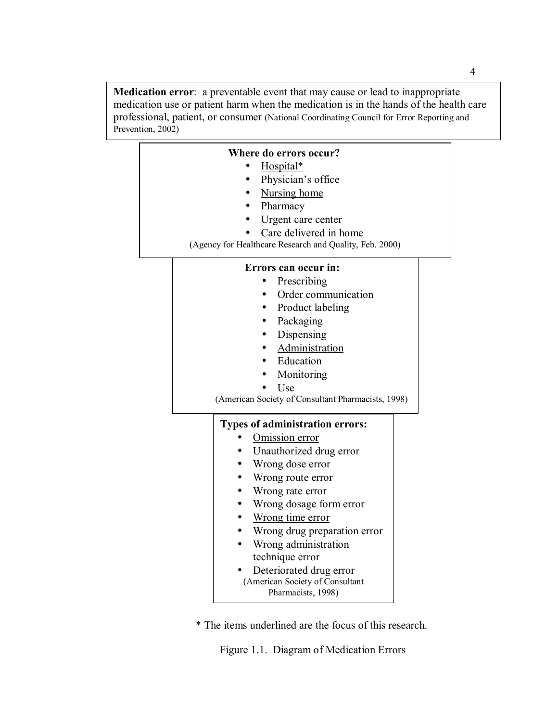**Medication error**: a preventable event that may cause or lead to inappropriate medication use or patient harm when the medication is in the hands of the health care professional, patient, or consumer (National Coordinating Council for Error Reporting and Prevention, 2002)

| Where do errors occur?                                  |  |  |
|---------------------------------------------------------|--|--|
| Hospital*                                               |  |  |
| Physician's office                                      |  |  |
| <b>Nursing</b> home<br>$\bullet$                        |  |  |
| Pharmacy                                                |  |  |
| Urgent care center                                      |  |  |
| Care delivered in home                                  |  |  |
| (Agency for Healthcare Research and Quality, Feb. 2000) |  |  |
| Errors can occur in:                                    |  |  |
| Prescribing                                             |  |  |
| Order communication                                     |  |  |
| Product labeling                                        |  |  |
| Packaging                                               |  |  |
| Dispensing                                              |  |  |
| Administration                                          |  |  |
| Education                                               |  |  |
| Monitoring                                              |  |  |
| Use                                                     |  |  |
| (American Society of Consultant Pharmacists, 1998)      |  |  |
|                                                         |  |  |
| <b>Types of administration errors:</b>                  |  |  |
| Omission error                                          |  |  |
| Unauthorized drug error                                 |  |  |
| Wrong dose error                                        |  |  |
| Wrong route error                                       |  |  |
| Wrong rate error                                        |  |  |
| Wrong dosage form error                                 |  |  |
| Wrong time error                                        |  |  |
| Wrong drug preparation error                            |  |  |
| Wrong administration                                    |  |  |
| technique error                                         |  |  |
| Deteriorated drug error                                 |  |  |
| (American Society of Consultant<br>Pharmacists, 1998)   |  |  |
|                                                         |  |  |

\* The items underlined are the focus of this research.

Figure 1.1. Diagram of Medication Errors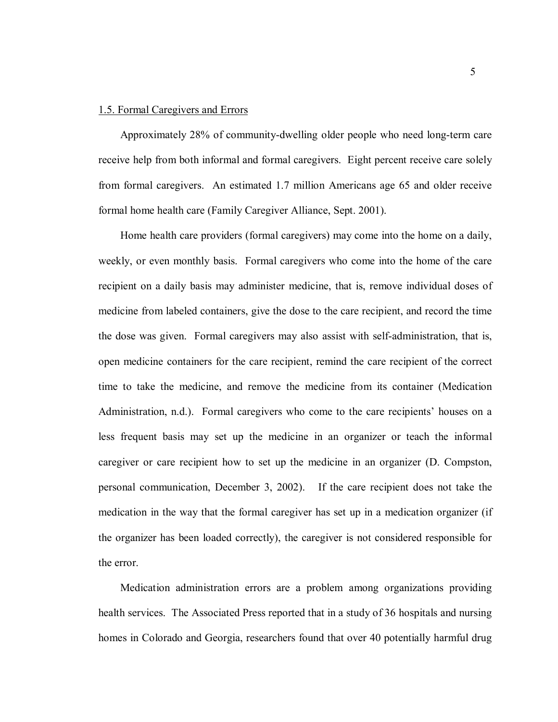### 1.5. Formal Caregivers and Errors

Approximately 28% of community-dwelling older people who need long-term care receive help from both informal and formal caregivers. Eight percent receive care solely from formal caregivers. An estimated 1.7 million Americans age 65 and older receive formal home health care (Family Caregiver Alliance, Sept. 2001).

Home health care providers (formal caregivers) may come into the home on a daily, weekly, or even monthly basis. Formal caregivers who come into the home of the care recipient on a daily basis may administer medicine, that is, remove individual doses of medicine from labeled containers, give the dose to the care recipient, and record the time the dose was given. Formal caregivers may also assist with self-administration, that is, open medicine containers for the care recipient, remind the care recipient of the correct time to take the medicine, and remove the medicine from its container (Medication Administration, n.d.). Formal caregivers who come to the care recipients' houses on a less frequent basis may set up the medicine in an organizer or teach the informal caregiver or care recipient how to set up the medicine in an organizer (D. Compston, personal communication, December 3, 2002). If the care recipient does not take the medication in the way that the formal caregiver has set up in a medication organizer (if the organizer has been loaded correctly), the caregiver is not considered responsible for the error.

Medication administration errors are a problem among organizations providing health services. The Associated Press reported that in a study of 36 hospitals and nursing homes in Colorado and Georgia, researchers found that over 40 potentially harmful drug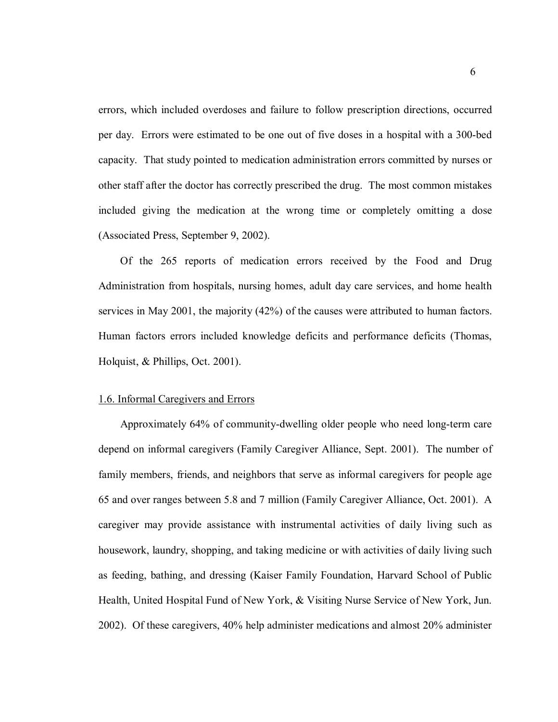errors, which included overdoses and failure to follow prescription directions, occurred per day. Errors were estimated to be one out of five doses in a hospital with a 300-bed capacity. That study pointed to medication administration errors committed by nurses or other staff after the doctor has correctly prescribed the drug. The most common mistakes included giving the medication at the wrong time or completely omitting a dose (Associated Press, September 9, 2002).

Of the 265 reports of medication errors received by the Food and Drug Administration from hospitals, nursing homes, adult day care services, and home health services in May 2001, the majority (42%) of the causes were attributed to human factors. Human factors errors included knowledge deficits and performance deficits (Thomas, Holquist, & Phillips, Oct. 2001).

#### 1.6. Informal Caregivers and Errors

Approximately 64% of community-dwelling older people who need long-term care depend on informal caregivers (Family Caregiver Alliance, Sept. 2001). The number of family members, friends, and neighbors that serve as informal caregivers for people age 65 and over ranges between 5.8 and 7 million (Family Caregiver Alliance, Oct. 2001). A caregiver may provide assistance with instrumental activities of daily living such as housework, laundry, shopping, and taking medicine or with activities of daily living such as feeding, bathing, and dressing (Kaiser Family Foundation, Harvard School of Public Health, United Hospital Fund of New York, & Visiting Nurse Service of New York, Jun. 2002). Of these caregivers, 40% help administer medications and almost 20% administer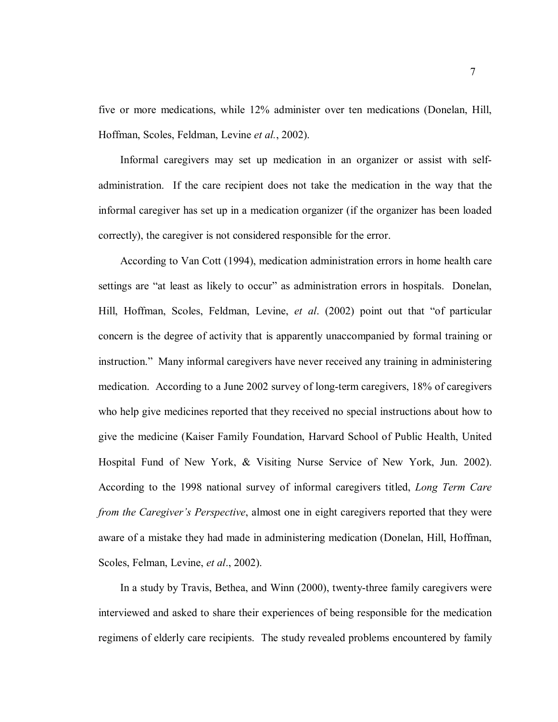five or more medications, while 12% administer over ten medications (Donelan, Hill, Hoffman, Scoles, Feldman, Levine *et al.*, 2002).

Informal caregivers may set up medication in an organizer or assist with selfadministration. If the care recipient does not take the medication in the way that the informal caregiver has set up in a medication organizer (if the organizer has been loaded correctly), the caregiver is not considered responsible for the error.

According to Van Cott (1994), medication administration errors in home health care settings are "at least as likely to occur" as administration errors in hospitals. Donelan, Hill, Hoffman, Scoles, Feldman, Levine, *et al*. (2002) point out that "of particular concern is the degree of activity that is apparently unaccompanied by formal training or instruction." Many informal caregivers have never received any training in administering medication. According to a June 2002 survey of long-term caregivers, 18% of caregivers who help give medicines reported that they received no special instructions about how to give the medicine (Kaiser Family Foundation, Harvard School of Public Health, United Hospital Fund of New York, & Visiting Nurse Service of New York, Jun. 2002). According to the 1998 national survey of informal caregivers titled, *Long Term Care from the Caregiver's Perspective*, almost one in eight caregivers reported that they were aware of a mistake they had made in administering medication (Donelan, Hill, Hoffman, Scoles, Felman, Levine, *et al*., 2002).

In a study by Travis, Bethea, and Winn (2000), twenty-three family caregivers were interviewed and asked to share their experiences of being responsible for the medication regimens of elderly care recipients. The study revealed problems encountered by family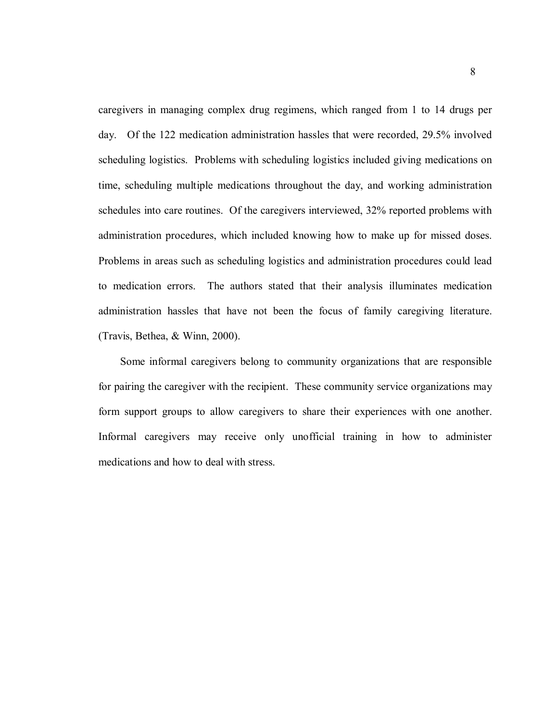caregivers in managing complex drug regimens, which ranged from 1 to 14 drugs per day. Of the 122 medication administration hassles that were recorded, 29.5% involved scheduling logistics. Problems with scheduling logistics included giving medications on time, scheduling multiple medications throughout the day, and working administration schedules into care routines. Of the caregivers interviewed, 32% reported problems with administration procedures, which included knowing how to make up for missed doses. Problems in areas such as scheduling logistics and administration procedures could lead to medication errors. The authors stated that their analysis illuminates medication administration hassles that have not been the focus of family caregiving literature. (Travis, Bethea, & Winn, 2000).

Some informal caregivers belong to community organizations that are responsible for pairing the caregiver with the recipient. These community service organizations may form support groups to allow caregivers to share their experiences with one another. Informal caregivers may receive only unofficial training in how to administer medications and how to deal with stress.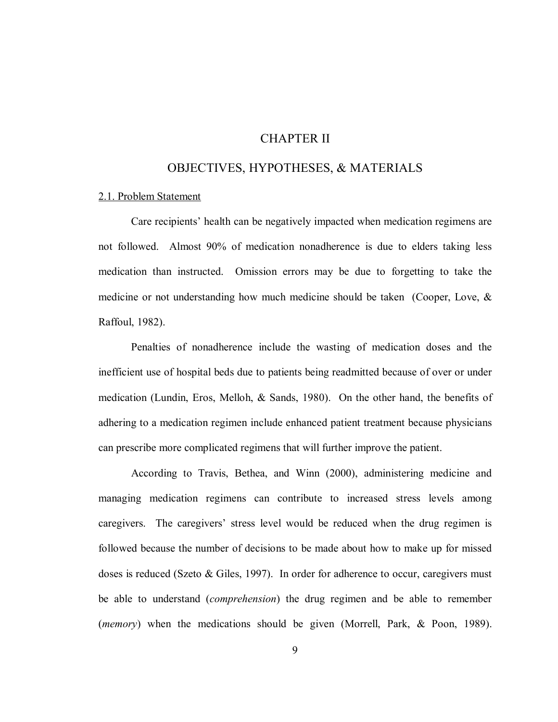## CHAPTER II

## OBJECTIVES, HYPOTHESES, & MATERIALS

#### 2.1. Problem Statement

Care recipients' health can be negatively impacted when medication regimens are not followed. Almost 90% of medication nonadherence is due to elders taking less medication than instructed. Omission errors may be due to forgetting to take the medicine or not understanding how much medicine should be taken (Cooper, Love, & Raffoul, 1982).

Penalties of nonadherence include the wasting of medication doses and the inefficient use of hospital beds due to patients being readmitted because of over or under medication (Lundin, Eros, Melloh, & Sands, 1980). On the other hand, the benefits of adhering to a medication regimen include enhanced patient treatment because physicians can prescribe more complicated regimens that will further improve the patient.

According to Travis, Bethea, and Winn (2000), administering medicine and managing medication regimens can contribute to increased stress levels among caregivers. The caregivers' stress level would be reduced when the drug regimen is followed because the number of decisions to be made about how to make up for missed doses is reduced (Szeto & Giles, 1997). In order for adherence to occur, caregivers must be able to understand (*comprehension*) the drug regimen and be able to remember (*memory*) when the medications should be given (Morrell, Park, & Poon, 1989).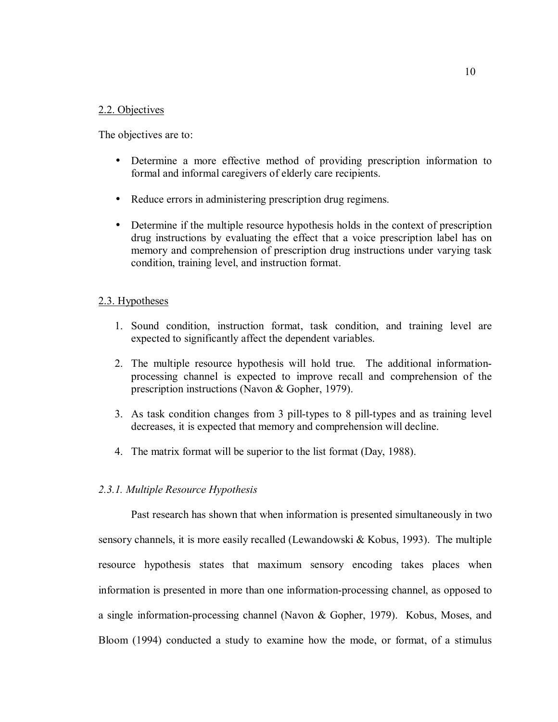### 2.2. Objectives

The objectives are to:

- Determine a more effective method of providing prescription information to formal and informal caregivers of elderly care recipients.
- Reduce errors in administering prescription drug regimens.
- Determine if the multiple resource hypothesis holds in the context of prescription drug instructions by evaluating the effect that a voice prescription label has on memory and comprehension of prescription drug instructions under varying task condition, training level, and instruction format.

#### 2.3. Hypotheses

- 1. Sound condition, instruction format, task condition, and training level are expected to significantly affect the dependent variables.
- 2. The multiple resource hypothesis will hold true. The additional informationprocessing channel is expected to improve recall and comprehension of the prescription instructions (Navon & Gopher, 1979).
- 3. As task condition changes from 3 pill-types to 8 pill-types and as training level decreases, it is expected that memory and comprehension will decline.
- 4. The matrix format will be superior to the list format (Day, 1988).

#### *2.3.1. Multiple Resource Hypothesis*

Past research has shown that when information is presented simultaneously in two sensory channels, it is more easily recalled (Lewandowski & Kobus, 1993). The multiple resource hypothesis states that maximum sensory encoding takes places when information is presented in more than one information-processing channel, as opposed to a single information-processing channel (Navon & Gopher, 1979). Kobus, Moses, and Bloom (1994) conducted a study to examine how the mode, or format, of a stimulus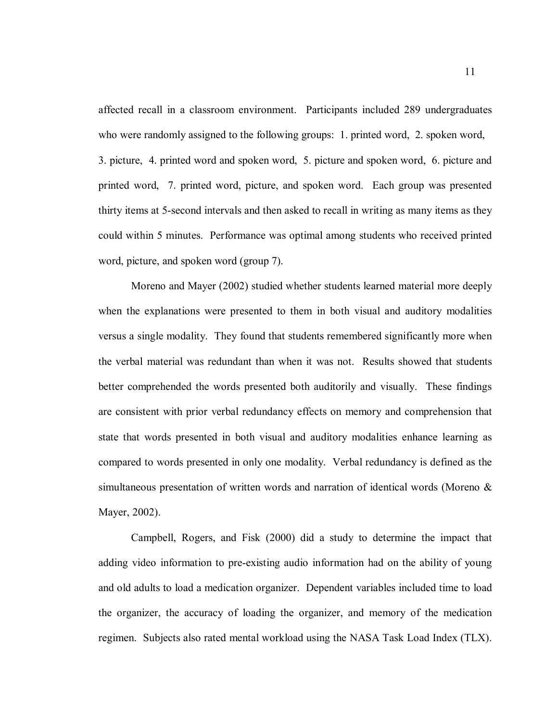affected recall in a classroom environment. Participants included 289 undergraduates who were randomly assigned to the following groups: 1. printed word, 2. spoken word, 3. picture, 4. printed word and spoken word, 5. picture and spoken word, 6. picture and printed word, 7. printed word, picture, and spoken word. Each group was presented thirty items at 5-second intervals and then asked to recall in writing as many items as they could within 5 minutes. Performance was optimal among students who received printed word, picture, and spoken word (group 7).

Moreno and Mayer (2002) studied whether students learned material more deeply when the explanations were presented to them in both visual and auditory modalities versus a single modality. They found that students remembered significantly more when the verbal material was redundant than when it was not. Results showed that students better comprehended the words presented both auditorily and visually. These findings are consistent with prior verbal redundancy effects on memory and comprehension that state that words presented in both visual and auditory modalities enhance learning as compared to words presented in only one modality. Verbal redundancy is defined as the simultaneous presentation of written words and narration of identical words (Moreno & Mayer, 2002).

Campbell, Rogers, and Fisk (2000) did a study to determine the impact that adding video information to pre-existing audio information had on the ability of young and old adults to load a medication organizer. Dependent variables included time to load the organizer, the accuracy of loading the organizer, and memory of the medication regimen. Subjects also rated mental workload using the NASA Task Load Index (TLX).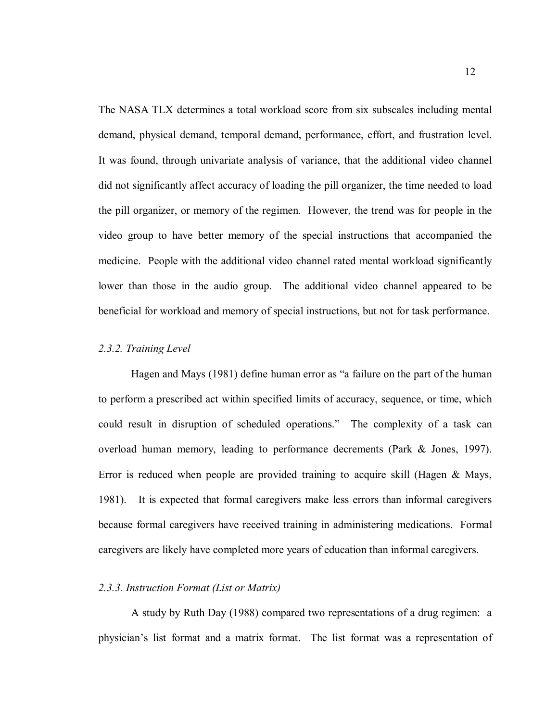The NASA TLX determines a total workload score from six subscales including mental demand, physical demand, temporal demand, performance, effort, and frustration level. It was found, through univariate analysis of variance, that the additional video channel did not significantly affect accuracy of loading the pill organizer, the time needed to load the pill organizer, or memory of the regimen. However, the trend was for people in the video group to have better memory of the special instructions that accompanied the medicine. People with the additional video channel rated mental workload significantly lower than those in the audio group. The additional video channel appeared to be beneficial for workload and memory of special instructions, but not for task performance.

#### *2.3.2. Training Level*

Hagen and Mays (1981) define human error as "a failure on the part of the human to perform a prescribed act within specified limits of accuracy, sequence, or time, which could result in disruption of scheduled operations." The complexity of a task can overload human memory, leading to performance decrements (Park & Jones, 1997). Error is reduced when people are provided training to acquire skill (Hagen & Mays, 1981). It is expected that formal caregivers make less errors than informal caregivers because formal caregivers have received training in administering medications. Formal caregivers are likely have completed more years of education than informal caregivers.

#### *2.3.3. Instruction Format (List or Matrix)*

A study by Ruth Day (1988) compared two representations of a drug regimen: a physician's list format and a matrix format. The list format was a representation of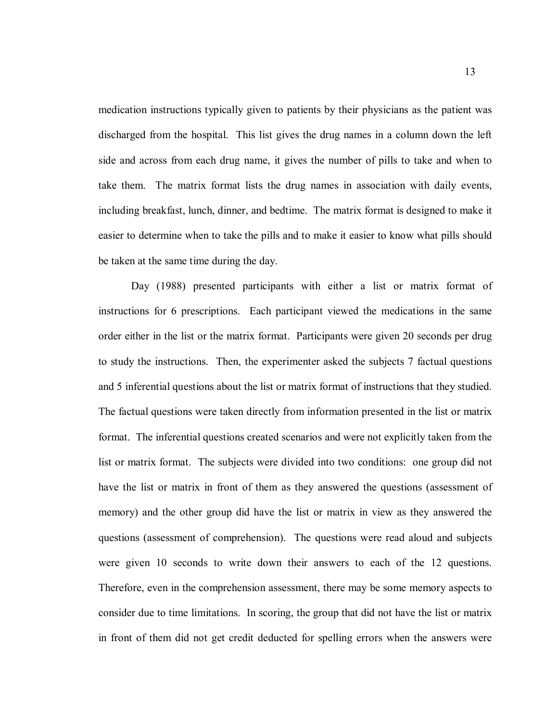medication instructions typically given to patients by their physicians as the patient was discharged from the hospital. This list gives the drug names in a column down the left side and across from each drug name, it gives the number of pills to take and when to take them. The matrix format lists the drug names in association with daily events, including breakfast, lunch, dinner, and bedtime. The matrix format is designed to make it easier to determine when to take the pills and to make it easier to know what pills should be taken at the same time during the day.

Day (1988) presented participants with either a list or matrix format of instructions for 6 prescriptions. Each participant viewed the medications in the same order either in the list or the matrix format. Participants were given 20 seconds per drug to study the instructions. Then, the experimenter asked the subjects 7 factual questions and 5 inferential questions about the list or matrix format of instructions that they studied. The factual questions were taken directly from information presented in the list or matrix format. The inferential questions created scenarios and were not explicitly taken from the list or matrix format. The subjects were divided into two conditions: one group did not have the list or matrix in front of them as they answered the questions (assessment of memory) and the other group did have the list or matrix in view as they answered the questions (assessment of comprehension). The questions were read aloud and subjects were given 10 seconds to write down their answers to each of the 12 questions. Therefore, even in the comprehension assessment, there may be some memory aspects to consider due to time limitations. In scoring, the group that did not have the list or matrix in front of them did not get credit deducted for spelling errors when the answers were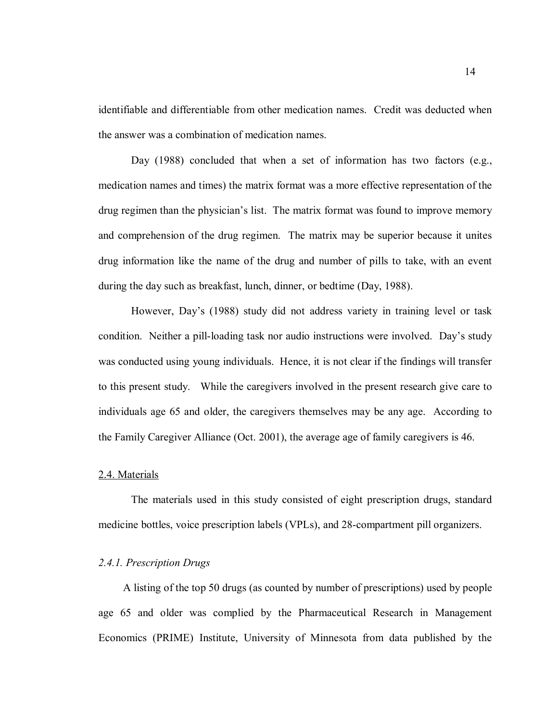identifiable and differentiable from other medication names. Credit was deducted when the answer was a combination of medication names.

Day (1988) concluded that when a set of information has two factors (e.g., medication names and times) the matrix format was a more effective representation of the drug regimen than the physician's list. The matrix format was found to improve memory and comprehension of the drug regimen. The matrix may be superior because it unites drug information like the name of the drug and number of pills to take, with an event during the day such as breakfast, lunch, dinner, or bedtime (Day, 1988).

However, Day's (1988) study did not address variety in training level or task condition. Neither a pill-loading task nor audio instructions were involved. Day's study was conducted using young individuals. Hence, it is not clear if the findings will transfer to this present study. While the caregivers involved in the present research give care to individuals age 65 and older, the caregivers themselves may be any age. According to the Family Caregiver Alliance (Oct. 2001), the average age of family caregivers is 46.

#### 2.4. Materials

The materials used in this study consisted of eight prescription drugs, standard medicine bottles, voice prescription labels (VPLs), and 28-compartment pill organizers.

### *2.4.1. Prescription Drugs*

A listing of the top 50 drugs (as counted by number of prescriptions) used by people age 65 and older was complied by the Pharmaceutical Research in Management Economics (PRIME) Institute, University of Minnesota from data published by the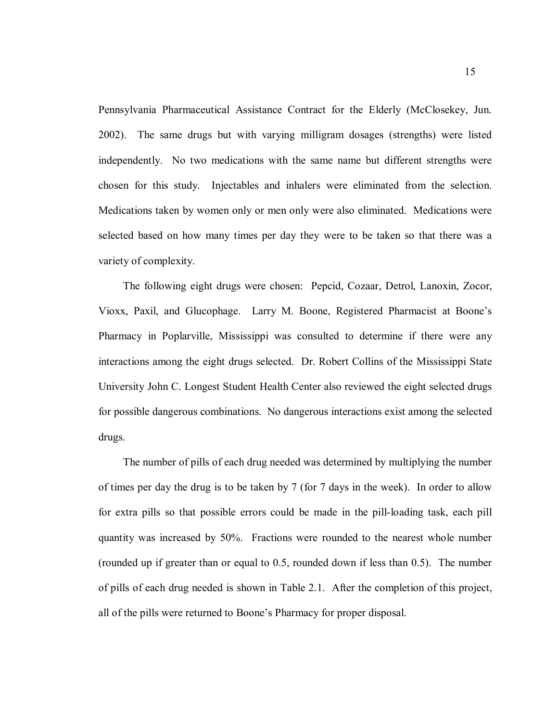Pennsylvania Pharmaceutical Assistance Contract for the Elderly (McClosekey, Jun. 2002). The same drugs but with varying milligram dosages (strengths) were listed independently. No two medications with the same name but different strengths were chosen for this study. Injectables and inhalers were eliminated from the selection. Medications taken by women only or men only were also eliminated. Medications were selected based on how many times per day they were to be taken so that there was a variety of complexity.

The following eight drugs were chosen: Pepcid, Cozaar, Detrol, Lanoxin, Zocor, Vioxx, Paxil, and Glucophage. Larry M. Boone, Registered Pharmacist at Boone's Pharmacy in Poplarville, Mississippi was consulted to determine if there were any interactions among the eight drugs selected. Dr. Robert Collins of the Mississippi State University John C. Longest Student Health Center also reviewed the eight selected drugs for possible dangerous combinations. No dangerous interactions exist among the selected drugs.

The number of pills of each drug needed was determined by multiplying the number of times per day the drug is to be taken by 7 (for 7 days in the week). In order to allow for extra pills so that possible errors could be made in the pill-loading task, each pill quantity was increased by 50%. Fractions were rounded to the nearest whole number (rounded up if greater than or equal to 0.5, rounded down if less than 0.5). The number of pills of each drug needed is shown in Table 2.1. After the completion of this project, all of the pills were returned to Boone's Pharmacy for proper disposal.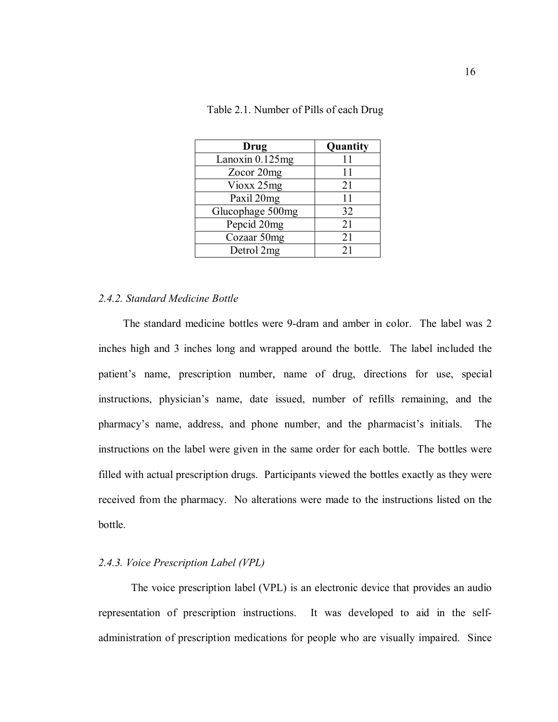| Drug             | Quantity |
|------------------|----------|
| Lanoxin 0.125mg  | 11       |
| Zocor 20mg       | 11       |
| Vioxx 25mg       | 21       |
| Paxil 20mg       | 11       |
| Glucophage 500mg | 32       |
| Pepcid 20mg      | 21       |
| Cozaar 50mg      | 21       |
| Detrol 2mg       | 21       |

Table 2.1. Number of Pills of each Drug

## *2.4.2. Standard Medicine Bottle*

The standard medicine bottles were 9-dram and amber in color. The label was 2 inches high and 3 inches long and wrapped around the bottle. The label included the patient's name, prescription number, name of drug, directions for use, special instructions, physician's name, date issued, number of refills remaining, and the pharmacy's name, address, and phone number, and the pharmacist's initials. The instructions on the label were given in the same order for each bottle. The bottles were filled with actual prescription drugs. Participants viewed the bottles exactly as they were received from the pharmacy. No alterations were made to the instructions listed on the bottle.

## *2.4.3. Voice Prescription Label (VPL)*

The voice prescription label (VPL) is an electronic device that provides an audio representation of prescription instructions. It was developed to aid in the selfadministration of prescription medications for people who are visually impaired. Since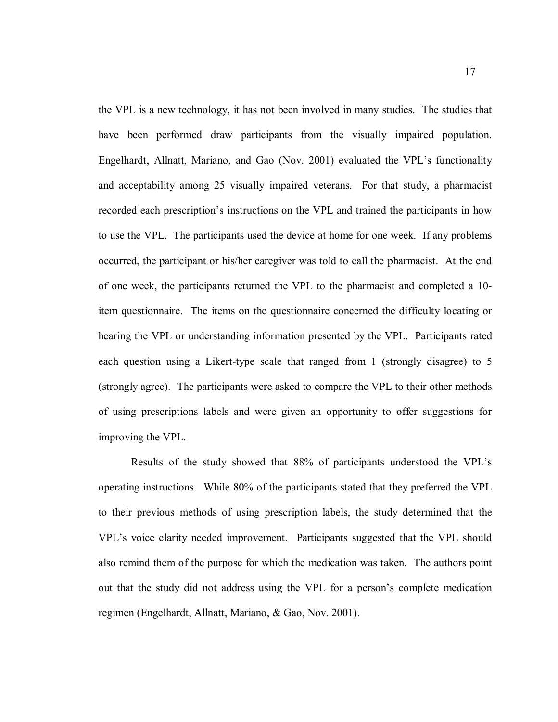the VPL is a new technology, it has not been involved in many studies. The studies that have been performed draw participants from the visually impaired population. Engelhardt, Allnatt, Mariano, and Gao (Nov. 2001) evaluated the VPL's functionality and acceptability among 25 visually impaired veterans. For that study, a pharmacist recorded each prescription's instructions on the VPL and trained the participants in how to use the VPL. The participants used the device at home for one week. If any problems occurred, the participant or his/her caregiver was told to call the pharmacist. At the end of one week, the participants returned the VPL to the pharmacist and completed a 10 item questionnaire. The items on the questionnaire concerned the difficulty locating or hearing the VPL or understanding information presented by the VPL. Participants rated each question using a Likert-type scale that ranged from 1 (strongly disagree) to 5 (strongly agree). The participants were asked to compare the VPL to their other methods of using prescriptions labels and were given an opportunity to offer suggestions for improving the VPL.

Results of the study showed that 88% of participants understood the VPL's operating instructions. While 80% of the participants stated that they preferred the VPL to their previous methods of using prescription labels, the study determined that the VPL's voice clarity needed improvement. Participants suggested that the VPL should also remind them of the purpose for which the medication was taken. The authors point out that the study did not address using the VPL for a person's complete medication regimen (Engelhardt, Allnatt, Mariano, & Gao, Nov. 2001).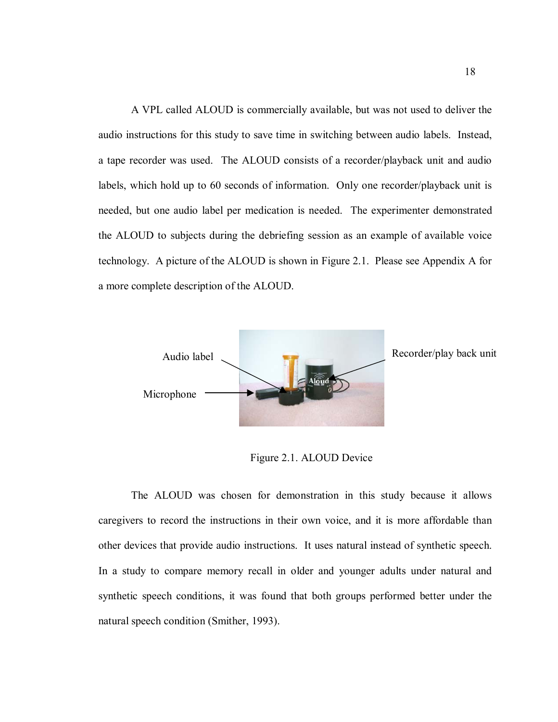A VPL called ALOUD is commercially available, but was not used to deliver the audio instructions for this study to save time in switching between audio labels. Instead, a tape recorder was used. The ALOUD consists of a recorder/playback unit and audio labels, which hold up to 60 seconds of information. Only one recorder/playback unit is needed, but one audio label per medication is needed. The experimenter demonstrated the ALOUD to subjects during the debriefing session as an example of available voice technology. A picture of the ALOUD is shown in Figure 2.1. Please see Appendix A for a more complete description of the ALOUD.



Figure 2.1. ALOUD Device

The ALOUD was chosen for demonstration in this study because it allows caregivers to record the instructions in their own voice, and it is more affordable than other devices that provide audio instructions. It uses natural instead of synthetic speech. In a study to compare memory recall in older and younger adults under natural and synthetic speech conditions, it was found that both groups performed better under the natural speech condition (Smither, 1993).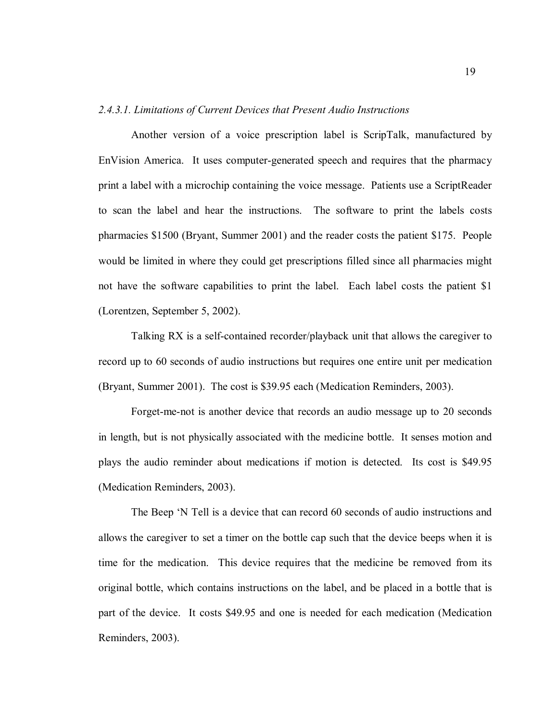#### *2.4.3.1. Limitations of Current Devices that Present Audio Instructions*

Another version of a voice prescription label is ScripTalk, manufactured by EnVision America. It uses computer-generated speech and requires that the pharmacy print a label with a microchip containing the voice message. Patients use a ScriptReader to scan the label and hear the instructions. The software to print the labels costs pharmacies \$1500 (Bryant, Summer 2001) and the reader costs the patient \$175. People would be limited in where they could get prescriptions filled since all pharmacies might not have the software capabilities to print the label. Each label costs the patient \$1 (Lorentzen, September 5, 2002).

Talking RX is a self-contained recorder/playback unit that allows the caregiver to record up to 60 seconds of audio instructions but requires one entire unit per medication (Bryant, Summer 2001). The cost is \$39.95 each (Medication Reminders, 2003).

Forget-me-not is another device that records an audio message up to 20 seconds in length, but is not physically associated with the medicine bottle. It senses motion and plays the audio reminder about medications if motion is detected. Its cost is \$49.95 (Medication Reminders, 2003).

The Beep 'N Tell is a device that can record 60 seconds of audio instructions and allows the caregiver to set a timer on the bottle cap such that the device beeps when it is time for the medication. This device requires that the medicine be removed from its original bottle, which contains instructions on the label, and be placed in a bottle that is part of the device. It costs \$49.95 and one is needed for each medication (Medication Reminders, 2003).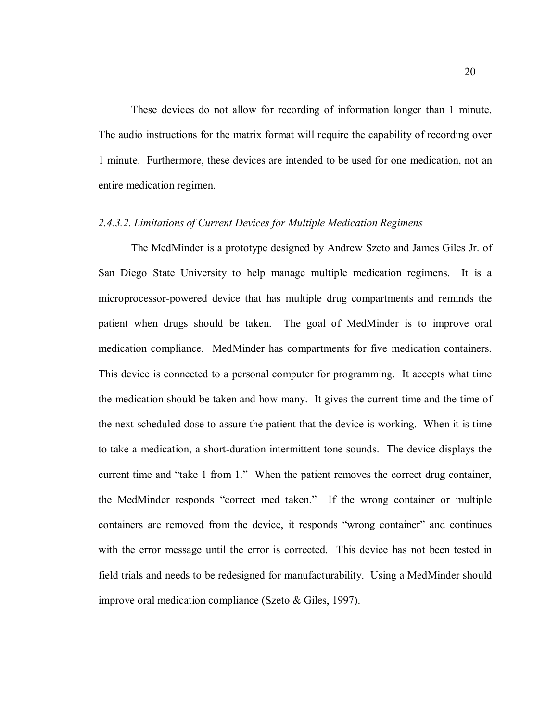These devices do not allow for recording of information longer than 1 minute. The audio instructions for the matrix format will require the capability of recording over 1 minute. Furthermore, these devices are intended to be used for one medication, not an entire medication regimen.

### *2.4.3.2. Limitations of Current Devices for Multiple Medication Regimens*

The MedMinder is a prototype designed by Andrew Szeto and James Giles Jr. of San Diego State University to help manage multiple medication regimens. It is a microprocessor-powered device that has multiple drug compartments and reminds the patient when drugs should be taken. The goal of MedMinder is to improve oral medication compliance. MedMinder has compartments for five medication containers. This device is connected to a personal computer for programming. It accepts what time the medication should be taken and how many. It gives the current time and the time of the next scheduled dose to assure the patient that the device is working. When it is time to take a medication, a short-duration intermittent tone sounds. The device displays the current time and "take 1 from 1." When the patient removes the correct drug container, the MedMinder responds "correct med taken." If the wrong container or multiple containers are removed from the device, it responds "wrong container" and continues with the error message until the error is corrected. This device has not been tested in field trials and needs to be redesigned for manufacturability. Using a MedMinder should improve oral medication compliance (Szeto & Giles, 1997).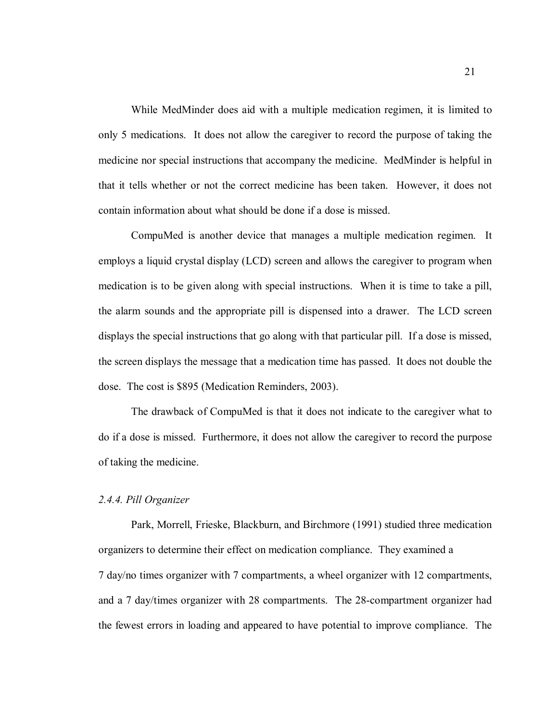While MedMinder does aid with a multiple medication regimen, it is limited to only 5 medications. It does not allow the caregiver to record the purpose of taking the medicine nor special instructions that accompany the medicine. MedMinder is helpful in that it tells whether or not the correct medicine has been taken. However, it does not contain information about what should be done if a dose is missed.

CompuMed is another device that manages a multiple medication regimen. It employs a liquid crystal display (LCD) screen and allows the caregiver to program when medication is to be given along with special instructions. When it is time to take a pill, the alarm sounds and the appropriate pill is dispensed into a drawer. The LCD screen displays the special instructions that go along with that particular pill. If a dose is missed, the screen displays the message that a medication time has passed. It does not double the dose. The cost is \$895 (Medication Reminders, 2003).

The drawback of CompuMed is that it does not indicate to the caregiver what to do if a dose is missed. Furthermore, it does not allow the caregiver to record the purpose of taking the medicine.

#### *2.4.4. Pill Organizer*

Park, Morrell, Frieske, Blackburn, and Birchmore (1991) studied three medication organizers to determine their effect on medication compliance. They examined a 7 day/no times organizer with 7 compartments, a wheel organizer with 12 compartments, and a 7 day/times organizer with 28 compartments. The 28-compartment organizer had the fewest errors in loading and appeared to have potential to improve compliance. The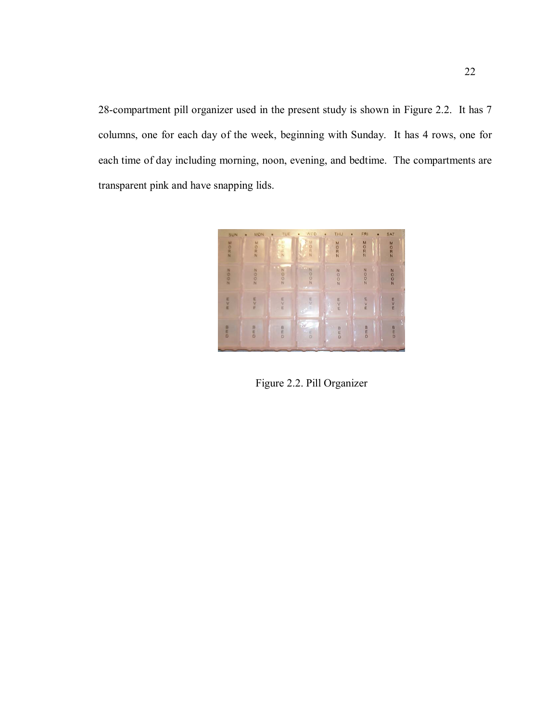28-compartment pill organizer used in the present study is shown in Figure 2.2. It has 7 columns, one for each day of the week, beginning with Sunday. It has 4 rows, one for each time of day including morning, noon, evening, and bedtime. The compartments are transparent pink and have snapping lids.



Figure 2.2. Pill Organizer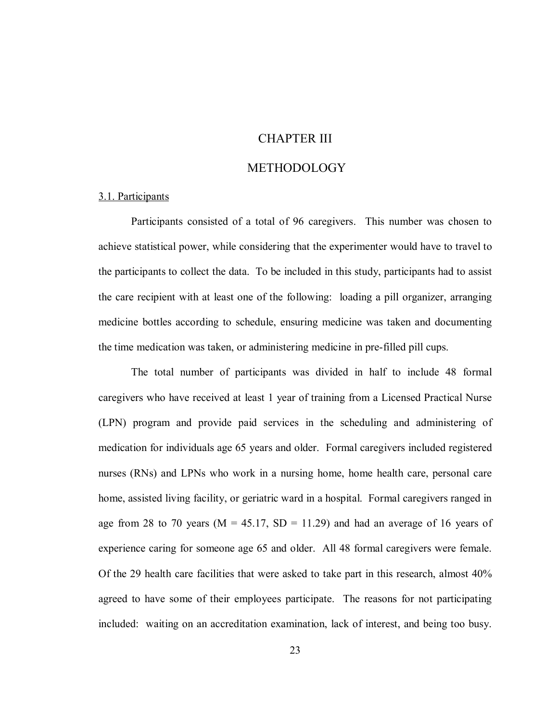## CHAPTER III

## **METHODOLOGY**

### 3.1. Participants

Participants consisted of a total of 96 caregivers. This number was chosen to achieve statistical power, while considering that the experimenter would have to travel to the participants to collect the data. To be included in this study, participants had to assist the care recipient with at least one of the following: loading a pill organizer, arranging medicine bottles according to schedule, ensuring medicine was taken and documenting the time medication was taken, or administering medicine in pre-filled pill cups.

The total number of participants was divided in half to include 48 formal caregivers who have received at least 1 year of training from a Licensed Practical Nurse (LPN) program and provide paid services in the scheduling and administering of medication for individuals age 65 years and older. Formal caregivers included registered nurses (RNs) and LPNs who work in a nursing home, home health care, personal care home, assisted living facility, or geriatric ward in a hospital. Formal caregivers ranged in age from 28 to 70 years ( $M = 45.17$ ,  $SD = 11.29$ ) and had an average of 16 years of experience caring for someone age 65 and older. All 48 formal caregivers were female. Of the 29 health care facilities that were asked to take part in this research, almost 40% agreed to have some of their employees participate. The reasons for not participating included: waiting on an accreditation examination, lack of interest, and being too busy.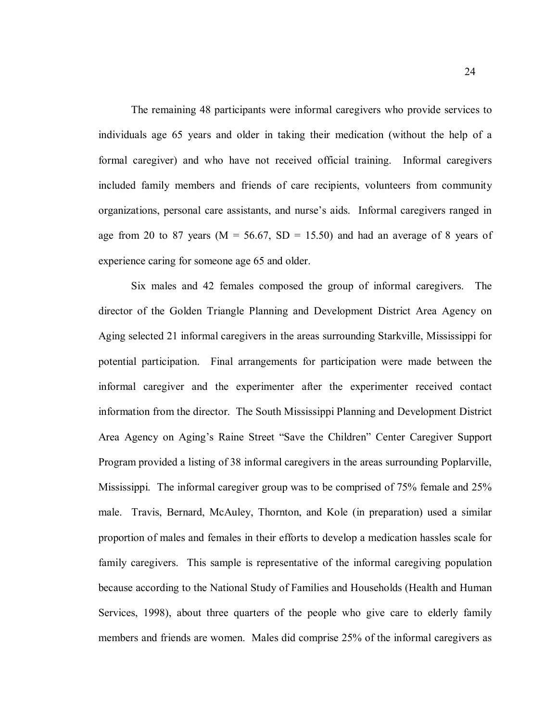The remaining 48 participants were informal caregivers who provide services to individuals age 65 years and older in taking their medication (without the help of a formal caregiver) and who have not received official training. Informal caregivers included family members and friends of care recipients, volunteers from community organizations, personal care assistants, and nurse's aids. Informal caregivers ranged in age from 20 to 87 years ( $M = 56.67$ ,  $SD = 15.50$ ) and had an average of 8 years of experience caring for someone age 65 and older.

Six males and 42 females composed the group of informal caregivers. The director of the Golden Triangle Planning and Development District Area Agency on Aging selected 21 informal caregivers in the areas surrounding Starkville, Mississippi for potential participation. Final arrangements for participation were made between the informal caregiver and the experimenter after the experimenter received contact information from the director. The South Mississippi Planning and Development District Area Agency on Aging's Raine Street "Save the Children" Center Caregiver Support Program provided a listing of 38 informal caregivers in the areas surrounding Poplarville, Mississippi. The informal caregiver group was to be comprised of 75% female and 25% male. Travis, Bernard, McAuley, Thornton, and Kole (in preparation) used a similar proportion of males and females in their efforts to develop a medication hassles scale for family caregivers. This sample is representative of the informal caregiving population because according to the National Study of Families and Households (Health and Human Services, 1998), about three quarters of the people who give care to elderly family members and friends are women. Males did comprise 25% of the informal caregivers as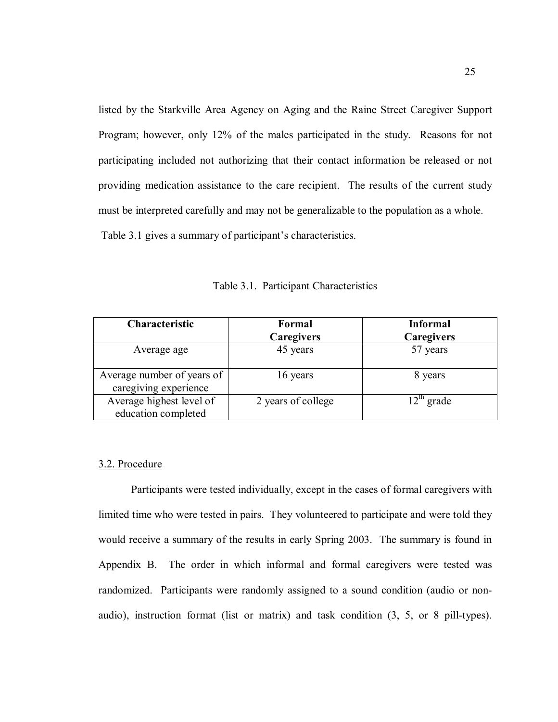listed by the Starkville Area Agency on Aging and the Raine Street Caregiver Support Program; however, only 12% of the males participated in the study. Reasons for not participating included not authorizing that their contact information be released or not providing medication assistance to the care recipient. The results of the current study must be interpreted carefully and may not be generalizable to the population as a whole. Table 3.1 gives a summary of participant's characteristics.

| Characteristic                                      | Formal             | <b>Informal</b> |
|-----------------------------------------------------|--------------------|-----------------|
|                                                     | <b>Caregivers</b>  | Caregivers      |
| Average age                                         | 45 years           | 57 years        |
| Average number of years of<br>caregiving experience | 16 years           | 8 years         |
| Average highest level of<br>education completed     | 2 years of college | $12th$ grade    |

Table 3.1. Participant Characteristics

# 3.2. Procedure

Participants were tested individually, except in the cases of formal caregivers with limited time who were tested in pairs. They volunteered to participate and were told they would receive a summary of the results in early Spring 2003. The summary is found in Appendix B. The order in which informal and formal caregivers were tested was randomized. Participants were randomly assigned to a sound condition (audio or nonaudio), instruction format (list or matrix) and task condition (3, 5, or 8 pill-types).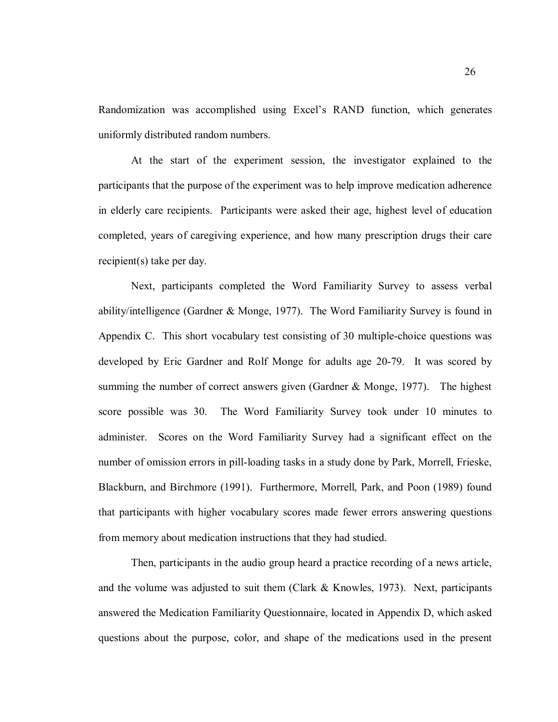Randomization was accomplished using Excel's RAND function, which generates uniformly distributed random numbers.

At the start of the experiment session, the investigator explained to the participants that the purpose of the experiment was to help improve medication adherence in elderly care recipients. Participants were asked their age, highest level of education completed, years of caregiving experience, and how many prescription drugs their care recipient(s) take per day.

Next, participants completed the Word Familiarity Survey to assess verbal ability/intelligence (Gardner & Monge, 1977). The Word Familiarity Survey is found in Appendix C. This short vocabulary test consisting of 30 multiple-choice questions was developed by Eric Gardner and Rolf Monge for adults age 20-79. It was scored by summing the number of correct answers given (Gardner & Monge, 1977). The highest score possible was 30. The Word Familiarity Survey took under 10 minutes to administer. Scores on the Word Familiarity Survey had a significant effect on the number of omission errors in pill-loading tasks in a study done by Park, Morrell, Frieske, Blackburn, and Birchmore (1991). Furthermore, Morrell, Park, and Poon (1989) found that participants with higher vocabulary scores made fewer errors answering questions from memory about medication instructions that they had studied.

Then, participants in the audio group heard a practice recording of a news article, and the volume was adjusted to suit them (Clark  $\&$  Knowles, 1973). Next, participants answered the Medication Familiarity Questionnaire, located in Appendix D, which asked questions about the purpose, color, and shape of the medications used in the present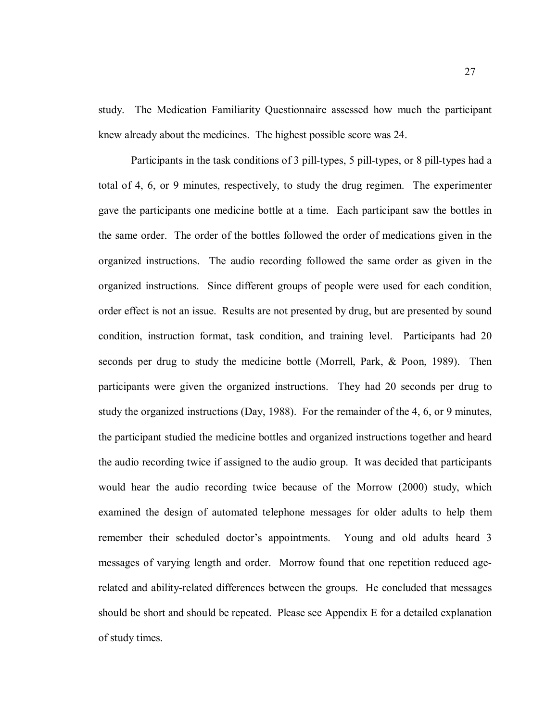study. The Medication Familiarity Questionnaire assessed how much the participant knew already about the medicines. The highest possible score was 24.

Participants in the task conditions of 3 pill-types, 5 pill-types, or 8 pill-types had a total of 4, 6, or 9 minutes, respectively, to study the drug regimen. The experimenter gave the participants one medicine bottle at a time. Each participant saw the bottles in the same order. The order of the bottles followed the order of medications given in the organized instructions. The audio recording followed the same order as given in the organized instructions. Since different groups of people were used for each condition, order effect is not an issue. Results are not presented by drug, but are presented by sound condition, instruction format, task condition, and training level. Participants had 20 seconds per drug to study the medicine bottle (Morrell, Park, & Poon, 1989). Then participants were given the organized instructions. They had 20 seconds per drug to study the organized instructions (Day, 1988). For the remainder of the 4, 6, or 9 minutes, the participant studied the medicine bottles and organized instructions together and heard the audio recording twice if assigned to the audio group. It was decided that participants would hear the audio recording twice because of the Morrow (2000) study, which examined the design of automated telephone messages for older adults to help them remember their scheduled doctor's appointments. Young and old adults heard 3 messages of varying length and order. Morrow found that one repetition reduced agerelated and ability-related differences between the groups. He concluded that messages should be short and should be repeated. Please see Appendix E for a detailed explanation of study times.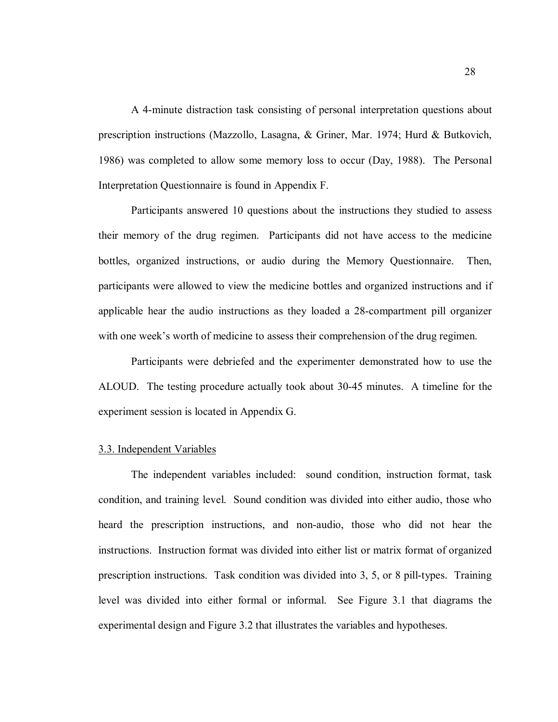A 4-minute distraction task consisting of personal interpretation questions about prescription instructions (Mazzollo, Lasagna, & Griner, Mar. 1974; Hurd & Butkovich, 1986) was completed to allow some memory loss to occur (Day, 1988). The Personal Interpretation Questionnaire is found in Appendix F.

Participants answered 10 questions about the instructions they studied to assess their memory of the drug regimen. Participants did not have access to the medicine bottles, organized instructions, or audio during the Memory Questionnaire. Then, participants were allowed to view the medicine bottles and organized instructions and if applicable hear the audio instructions as they loaded a 28-compartment pill organizer with one week's worth of medicine to assess their comprehension of the drug regimen.

Participants were debriefed and the experimenter demonstrated how to use the ALOUD. The testing procedure actually took about 30-45 minutes. A timeline for the experiment session is located in Appendix G.

## 3.3. Independent Variables

The independent variables included: sound condition, instruction format, task condition, and training level. Sound condition was divided into either audio, those who heard the prescription instructions, and non-audio, those who did not hear the instructions. Instruction format was divided into either list or matrix format of organized prescription instructions. Task condition was divided into 3, 5, or 8 pill-types. Training level was divided into either formal or informal. See Figure 3.1 that diagrams the experimental design and Figure 3.2 that illustrates the variables and hypotheses.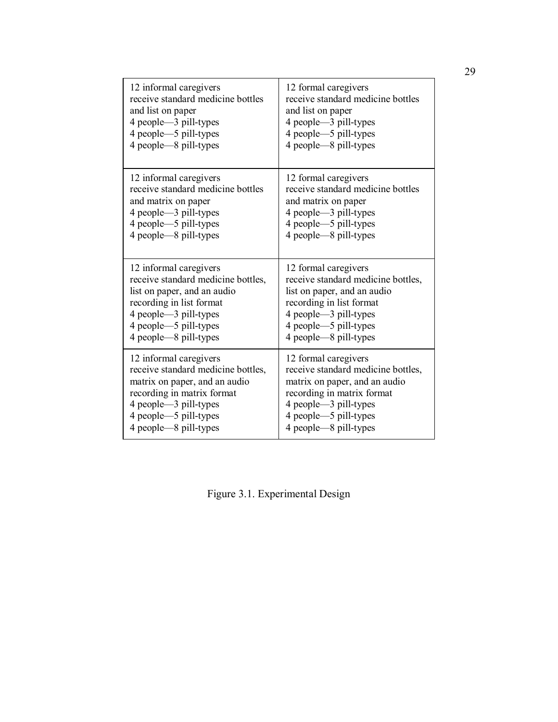| 12 informal caregivers             | 12 formal caregivers               |
|------------------------------------|------------------------------------|
| receive standard medicine bottles  | receive standard medicine bottles  |
| and list on paper                  | and list on paper                  |
| 4 people -3 pill-types             | 4 people -3 pill-types             |
| 4 people—5 pill-types              | 4 people—5 pill-types              |
| 4 people—8 pill-types              | 4 people—8 pill-types              |
| 12 informal caregivers             | 12 formal caregivers               |
| receive standard medicine bottles  | receive standard medicine bottles  |
| and matrix on paper                | and matrix on paper                |
| 4 people—3 pill-types              | 4 people - 3 pill-types            |
| 4 people -- 5 pill-types           | 4 people -- 5 pill-types           |
| 4 people—8 pill-types              | 4 people—8 pill-types              |
| 12 informal caregivers             | 12 formal caregivers               |
| receive standard medicine bottles, | receive standard medicine bottles, |
| list on paper, and an audio        | list on paper, and an audio        |
| recording in list format           | recording in list format           |
| 4 people—3 pill-types              | 4 people—3 pill-types              |
| 4 people-5 pill-types              | 4 people—5 pill-types              |
| 4 people—8 pill-types              | 4 people—8 pill-types              |
| 12 informal caregivers             | 12 formal caregivers               |
| receive standard medicine bottles, | receive standard medicine bottles, |
| matrix on paper, and an audio      | matrix on paper, and an audio      |
| recording in matrix format         | recording in matrix format         |
| 4 people—3 pill-types              | 4 people -3 pill-types             |
| 4 people -- 5 pill-types           | 4 people—5 pill-types              |
| 4 people—8 pill-types              | 4 people—8 pill-types              |

Figure 3.1. Experimental Design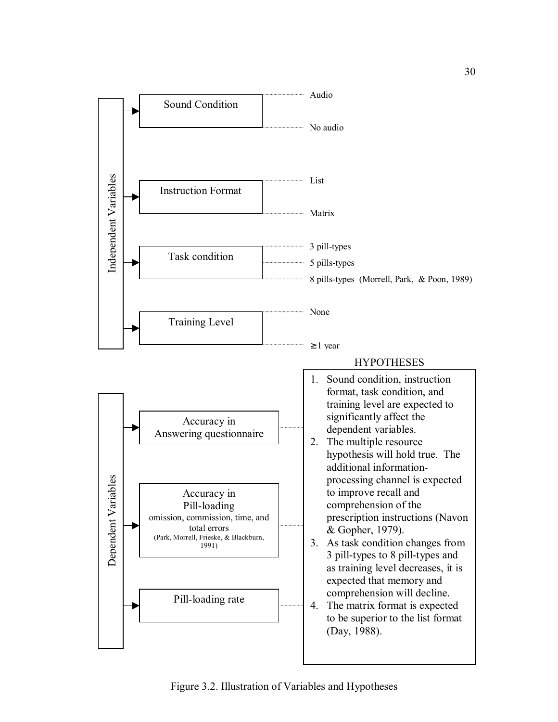

Figure 3.2. Illustration of Variables and Hypotheses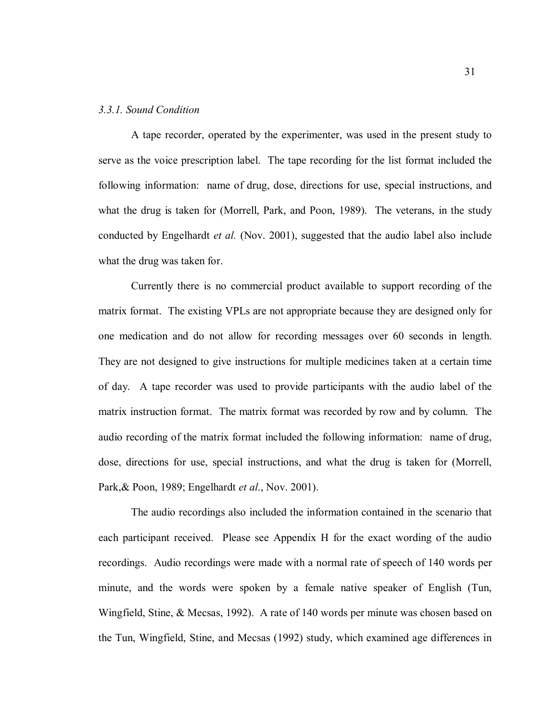### *3.3.1. Sound Condition*

A tape recorder, operated by the experimenter, was used in the present study to serve as the voice prescription label. The tape recording for the list format included the following information: name of drug, dose, directions for use, special instructions, and what the drug is taken for (Morrell, Park, and Poon, 1989). The veterans, in the study conducted by Engelhardt *et al.* (Nov. 2001), suggested that the audio label also include what the drug was taken for.

Currently there is no commercial product available to support recording of the matrix format. The existing VPLs are not appropriate because they are designed only for one medication and do not allow for recording messages over 60 seconds in length. They are not designed to give instructions for multiple medicines taken at a certain time of day. A tape recorder was used to provide participants with the audio label of the matrix instruction format. The matrix format was recorded by row and by column. The audio recording of the matrix format included the following information: name of drug, dose, directions for use, special instructions, and what the drug is taken for (Morrell, Park,& Poon, 1989; Engelhardt *et al*., Nov. 2001).

The audio recordings also included the information contained in the scenario that each participant received. Please see Appendix H for the exact wording of the audio recordings. Audio recordings were made with a normal rate of speech of 140 words per minute, and the words were spoken by a female native speaker of English (Tun, Wingfield, Stine, & Mecsas, 1992). A rate of 140 words per minute was chosen based on the Tun, Wingfield, Stine, and Mecsas (1992) study, which examined age differences in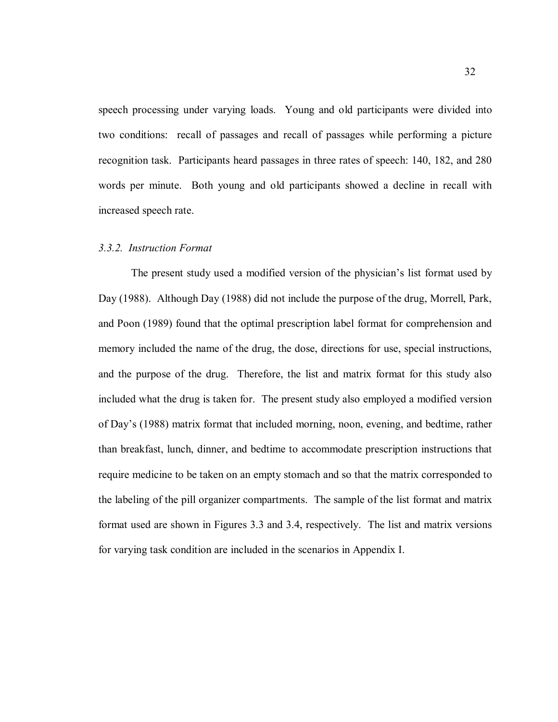speech processing under varying loads. Young and old participants were divided into two conditions: recall of passages and recall of passages while performing a picture recognition task. Participants heard passages in three rates of speech: 140, 182, and 280 words per minute. Both young and old participants showed a decline in recall with increased speech rate.

### *3.3.2. Instruction Format*

The present study used a modified version of the physician's list format used by Day (1988). Although Day (1988) did not include the purpose of the drug, Morrell, Park, and Poon (1989) found that the optimal prescription label format for comprehension and memory included the name of the drug, the dose, directions for use, special instructions, and the purpose of the drug. Therefore, the list and matrix format for this study also included what the drug is taken for. The present study also employed a modified version of Day's (1988) matrix format that included morning, noon, evening, and bedtime, rather than breakfast, lunch, dinner, and bedtime to accommodate prescription instructions that require medicine to be taken on an empty stomach and so that the matrix corresponded to the labeling of the pill organizer compartments. The sample of the list format and matrix format used are shown in Figures 3.3 and 3.4, respectively. The list and matrix versions for varying task condition are included in the scenarios in Appendix I.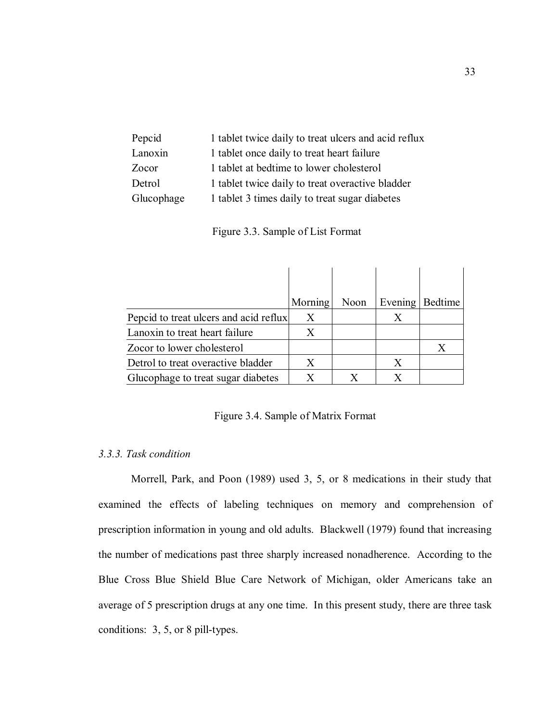| Pepcid     | 1 tablet twice daily to treat ulcers and acid reflux |
|------------|------------------------------------------------------|
| Lanoxin    | 1 tablet once daily to treat heart failure           |
| Zocor      | 1 tablet at bedtime to lower cholesterol             |
| Detrol     | 1 tablet twice daily to treat overactive bladder     |
| Glucophage | 1 tablet 3 times daily to treat sugar diabetes       |

Figure 3.3. Sample of List Format

|                                        | Morning | Noon | Evening | Bedtime |
|----------------------------------------|---------|------|---------|---------|
| Pepcid to treat ulcers and acid reflux | X       |      | X       |         |
| Lanoxin to treat heart failure         | X       |      |         |         |
| Zocor to lower cholesterol             |         |      |         | X       |
| Detrol to treat overactive bladder     | X       |      | X       |         |
| Glucophage to treat sugar diabetes     |         |      |         |         |

Figure 3.4. Sample of Matrix Format

# *3.3.3. Task condition*

Morrell, Park, and Poon (1989) used 3, 5, or 8 medications in their study that examined the effects of labeling techniques on memory and comprehension of prescription information in young and old adults. Blackwell (1979) found that increasing the number of medications past three sharply increased nonadherence. According to the Blue Cross Blue Shield Blue Care Network of Michigan, older Americans take an average of 5 prescription drugs at any one time. In this present study, there are three task conditions: 3, 5, or 8 pill-types.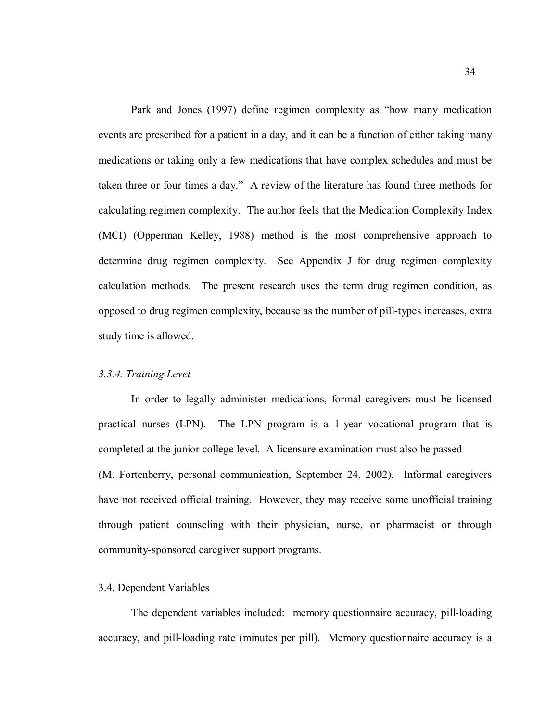Park and Jones (1997) define regimen complexity as "how many medication events are prescribed for a patient in a day, and it can be a function of either taking many medications or taking only a few medications that have complex schedules and must be taken three or four times a day." A review of the literature has found three methods for calculating regimen complexity. The author feels that the Medication Complexity Index (MCI) (Opperman Kelley, 1988) method is the most comprehensive approach to determine drug regimen complexity. See Appendix J for drug regimen complexity calculation methods. The present research uses the term drug regimen condition, as opposed to drug regimen complexity, because as the number of pill-types increases, extra study time is allowed.

# *3.3.4. Training Level*

In order to legally administer medications, formal caregivers must be licensed practical nurses (LPN). The LPN program is a 1-year vocational program that is completed at the junior college level. A licensure examination must also be passed (M. Fortenberry, personal communication, September 24, 2002). Informal caregivers have not received official training. However, they may receive some unofficial training through patient counseling with their physician, nurse, or pharmacist or through community-sponsored caregiver support programs.

## 3.4. Dependent Variables

The dependent variables included: memory questionnaire accuracy, pill-loading accuracy, and pill-loading rate (minutes per pill). Memory questionnaire accuracy is a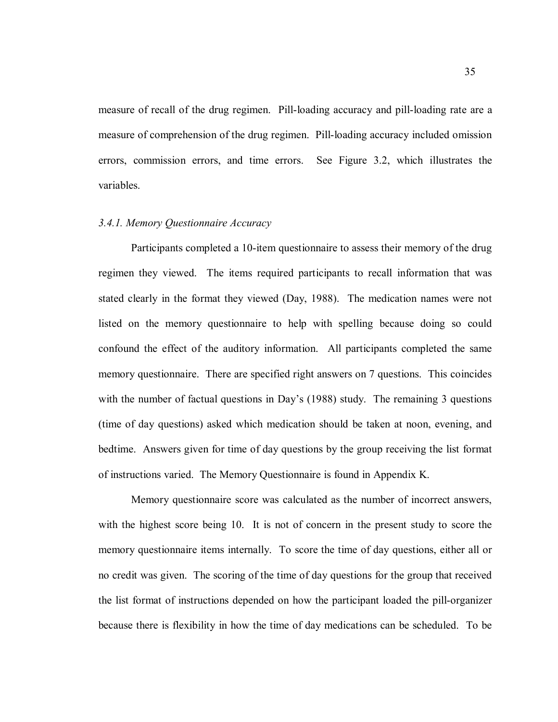measure of recall of the drug regimen. Pill-loading accuracy and pill-loading rate are a measure of comprehension of the drug regimen. Pill-loading accuracy included omission errors, commission errors, and time errors. See Figure 3.2, which illustrates the variables.

# *3.4.1. Memory Questionnaire Accuracy*

Participants completed a 10-item questionnaire to assess their memory of the drug regimen they viewed. The items required participants to recall information that was stated clearly in the format they viewed (Day, 1988). The medication names were not listed on the memory questionnaire to help with spelling because doing so could confound the effect of the auditory information. All participants completed the same memory questionnaire. There are specified right answers on 7 questions. This coincides with the number of factual questions in Day's (1988) study. The remaining 3 questions (time of day questions) asked which medication should be taken at noon, evening, and bedtime. Answers given for time of day questions by the group receiving the list format of instructions varied. The Memory Questionnaire is found in Appendix K.

Memory questionnaire score was calculated as the number of incorrect answers, with the highest score being 10. It is not of concern in the present study to score the memory questionnaire items internally. To score the time of day questions, either all or no credit was given. The scoring of the time of day questions for the group that received the list format of instructions depended on how the participant loaded the pill-organizer because there is flexibility in how the time of day medications can be scheduled. To be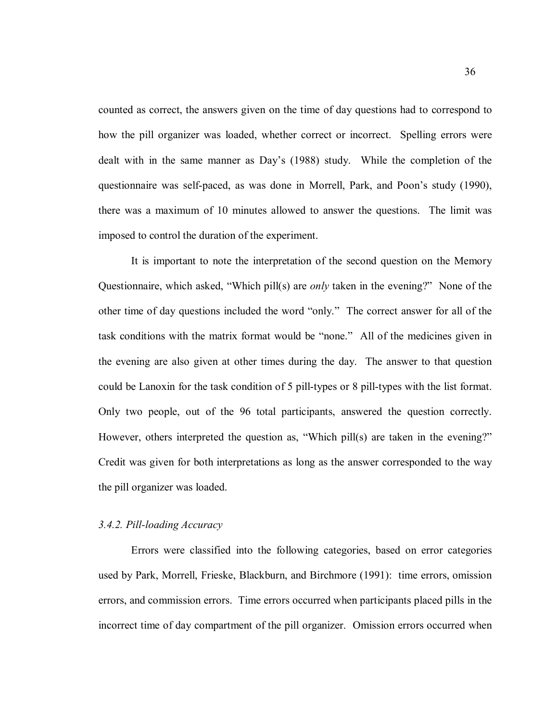counted as correct, the answers given on the time of day questions had to correspond to how the pill organizer was loaded, whether correct or incorrect. Spelling errors were dealt with in the same manner as Day's (1988) study. While the completion of the questionnaire was self-paced, as was done in Morrell, Park, and Poon's study (1990), there was a maximum of 10 minutes allowed to answer the questions. The limit was imposed to control the duration of the experiment.

It is important to note the interpretation of the second question on the Memory Questionnaire, which asked, "Which pill(s) are *only* taken in the evening?" None of the other time of day questions included the word "only." The correct answer for all of the task conditions with the matrix format would be "none." All of the medicines given in the evening are also given at other times during the day. The answer to that question could be Lanoxin for the task condition of 5 pill-types or 8 pill-types with the list format. Only two people, out of the 96 total participants, answered the question correctly. However, others interpreted the question as, "Which pill(s) are taken in the evening?" Credit was given for both interpretations as long as the answer corresponded to the way the pill organizer was loaded.

# *3.4.2. Pill-loading Accuracy*

Errors were classified into the following categories, based on error categories used by Park, Morrell, Frieske, Blackburn, and Birchmore (1991): time errors, omission errors, and commission errors. Time errors occurred when participants placed pills in the incorrect time of day compartment of the pill organizer. Omission errors occurred when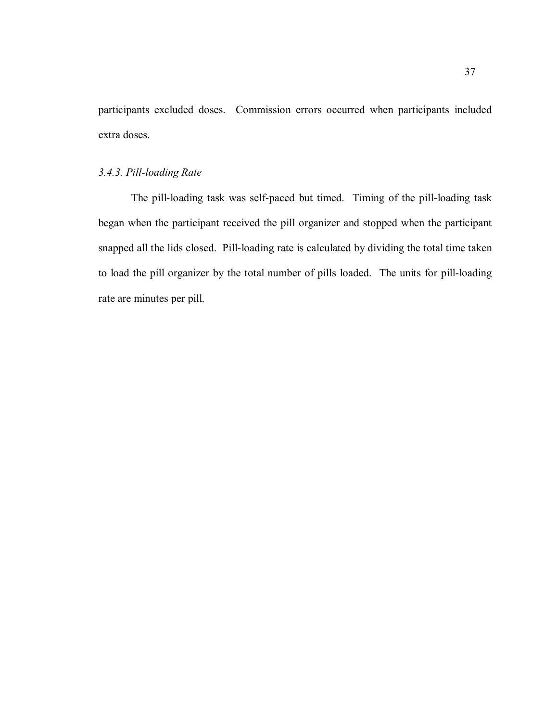participants excluded doses. Commission errors occurred when participants included extra doses.

# *3.4.3. Pill-loading Rate*

The pill-loading task was self-paced but timed. Timing of the pill-loading task began when the participant received the pill organizer and stopped when the participant snapped all the lids closed. Pill-loading rate is calculated by dividing the total time taken to load the pill organizer by the total number of pills loaded. The units for pill-loading rate are minutes per pill.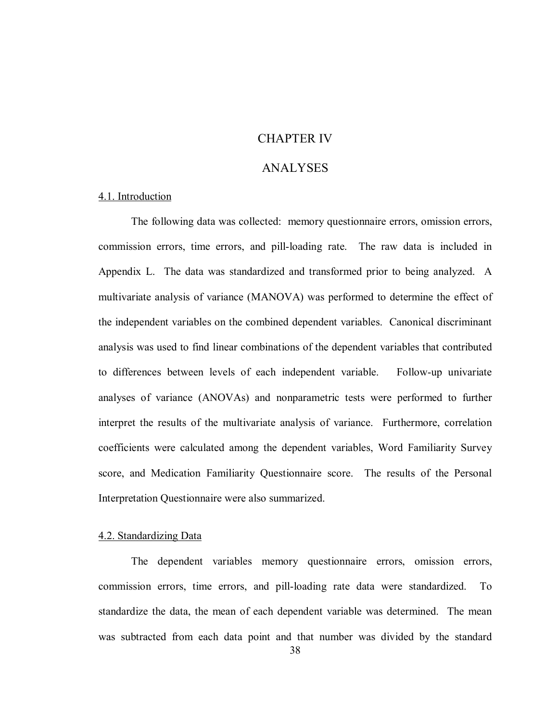# CHAPTER IV

# ANALYSES

## 4.1. Introduction

 The following data was collected: memory questionnaire errors, omission errors, commission errors, time errors, and pill-loading rate. The raw data is included in Appendix L. The data was standardized and transformed prior to being analyzed. A multivariate analysis of variance (MANOVA) was performed to determine the effect of the independent variables on the combined dependent variables. Canonical discriminant analysis was used to find linear combinations of the dependent variables that contributed to differences between levels of each independent variable. Follow-up univariate analyses of variance (ANOVAs) and nonparametric tests were performed to further interpret the results of the multivariate analysis of variance. Furthermore, correlation coefficients were calculated among the dependent variables, Word Familiarity Survey score, and Medication Familiarity Questionnaire score. The results of the Personal Interpretation Questionnaire were also summarized.

# 4.2. Standardizing Data

The dependent variables memory questionnaire errors, omission errors, commission errors, time errors, and pill-loading rate data were standardized. To standardize the data, the mean of each dependent variable was determined. The mean was subtracted from each data point and that number was divided by the standard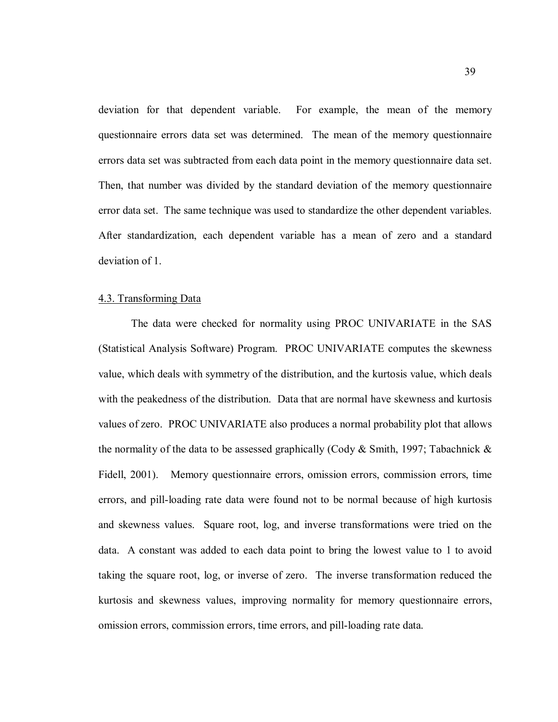deviation for that dependent variable. For example, the mean of the memory questionnaire errors data set was determined. The mean of the memory questionnaire errors data set was subtracted from each data point in the memory questionnaire data set. Then, that number was divided by the standard deviation of the memory questionnaire error data set. The same technique was used to standardize the other dependent variables. After standardization, each dependent variable has a mean of zero and a standard deviation of 1.

#### 4.3. Transforming Data

The data were checked for normality using PROC UNIVARIATE in the SAS (Statistical Analysis Software) Program. PROC UNIVARIATE computes the skewness value, which deals with symmetry of the distribution, and the kurtosis value, which deals with the peakedness of the distribution. Data that are normal have skewness and kurtosis values of zero. PROC UNIVARIATE also produces a normal probability plot that allows the normality of the data to be assessed graphically (Cody  $& Smith, 1997$ ; Tabachnick  $&$ Fidell, 2001). Memory questionnaire errors, omission errors, commission errors, time errors, and pill-loading rate data were found not to be normal because of high kurtosis and skewness values. Square root, log, and inverse transformations were tried on the data. A constant was added to each data point to bring the lowest value to 1 to avoid taking the square root, log, or inverse of zero. The inverse transformation reduced the kurtosis and skewness values, improving normality for memory questionnaire errors, omission errors, commission errors, time errors, and pill-loading rate data.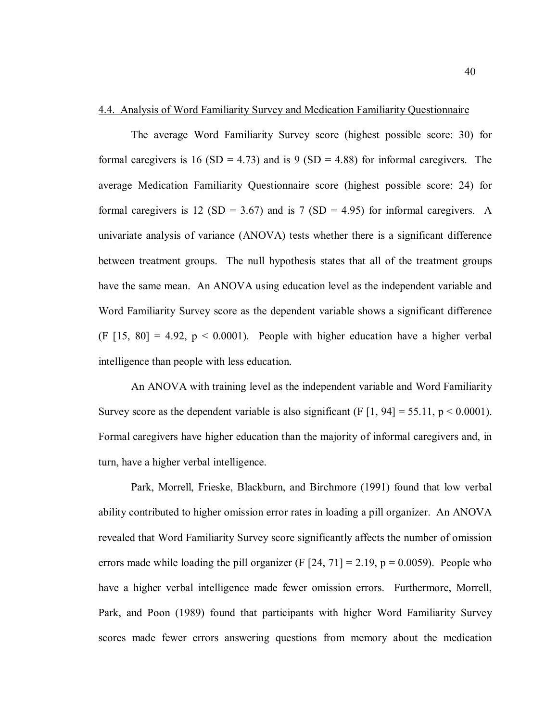# 4.4. Analysis of Word Familiarity Survey and Medication Familiarity Questionnaire

The average Word Familiarity Survey score (highest possible score: 30) for formal caregivers is 16 (SD = 4.73) and is 9 (SD = 4.88) for informal caregivers. The average Medication Familiarity Questionnaire score (highest possible score: 24) for formal caregivers is 12 (SD = 3.67) and is 7 (SD = 4.95) for informal caregivers. A univariate analysis of variance (ANOVA) tests whether there is a significant difference between treatment groups. The null hypothesis states that all of the treatment groups have the same mean. An ANOVA using education level as the independent variable and Word Familiarity Survey score as the dependent variable shows a significant difference (F  $[15, 80] = 4.92$ ,  $p < 0.0001$ ). People with higher education have a higher verbal intelligence than people with less education.

An ANOVA with training level as the independent variable and Word Familiarity Survey score as the dependent variable is also significant (F  $[1, 94] = 55.11$ ,  $p \le 0.0001$ ). Formal caregivers have higher education than the majority of informal caregivers and, in turn, have a higher verbal intelligence.

Park, Morrell, Frieske, Blackburn, and Birchmore (1991) found that low verbal ability contributed to higher omission error rates in loading a pill organizer. An ANOVA revealed that Word Familiarity Survey score significantly affects the number of omission errors made while loading the pill organizer (F  $[24, 71] = 2.19$ , p = 0.0059). People who have a higher verbal intelligence made fewer omission errors. Furthermore, Morrell, Park, and Poon (1989) found that participants with higher Word Familiarity Survey scores made fewer errors answering questions from memory about the medication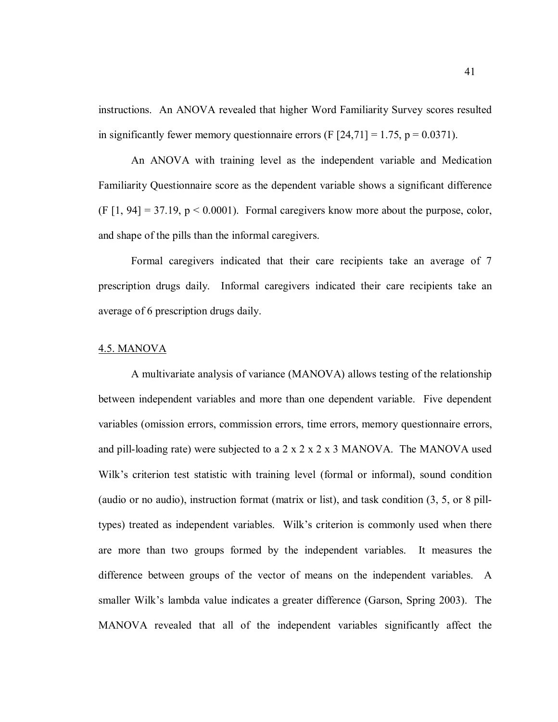instructions. An ANOVA revealed that higher Word Familiarity Survey scores resulted in significantly fewer memory questionnaire errors (F  $[24,71] = 1.75$ , p = 0.0371).

An ANOVA with training level as the independent variable and Medication Familiarity Questionnaire score as the dependent variable shows a significant difference  $(F [1, 94] = 37.19, p < 0.0001)$ . Formal caregivers know more about the purpose, color, and shape of the pills than the informal caregivers.

Formal caregivers indicated that their care recipients take an average of 7 prescription drugs daily. Informal caregivers indicated their care recipients take an average of 6 prescription drugs daily.

#### 4.5. MANOVA

A multivariate analysis of variance (MANOVA) allows testing of the relationship between independent variables and more than one dependent variable. Five dependent variables (omission errors, commission errors, time errors, memory questionnaire errors, and pill-loading rate) were subjected to a  $2 \times 2 \times 2 \times 3$  MANOVA. The MANOVA used Wilk's criterion test statistic with training level (formal or informal), sound condition (audio or no audio), instruction format (matrix or list), and task condition (3, 5, or 8 pilltypes) treated as independent variables. Wilk's criterion is commonly used when there are more than two groups formed by the independent variables. It measures the difference between groups of the vector of means on the independent variables. A smaller Wilk's lambda value indicates a greater difference (Garson, Spring 2003). The MANOVA revealed that all of the independent variables significantly affect the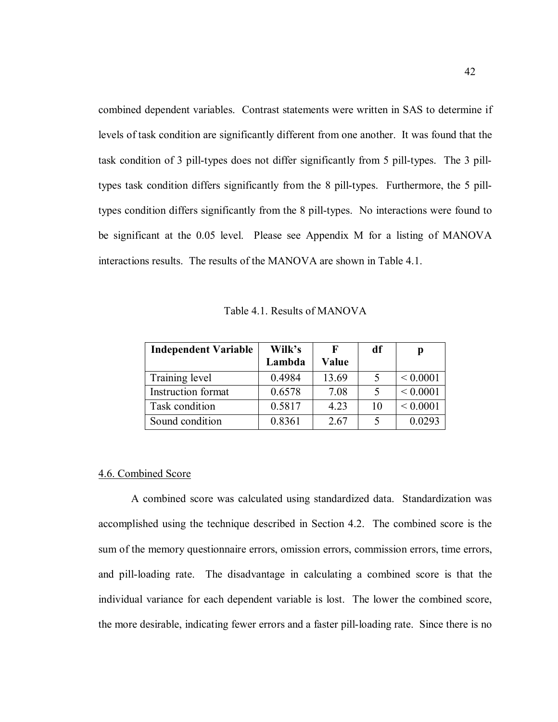combined dependent variables. Contrast statements were written in SAS to determine if levels of task condition are significantly different from one another. It was found that the task condition of 3 pill-types does not differ significantly from 5 pill-types. The 3 pilltypes task condition differs significantly from the 8 pill-types. Furthermore, the 5 pilltypes condition differs significantly from the 8 pill-types. No interactions were found to be significant at the 0.05 level. Please see Appendix M for a listing of MANOVA interactions results. The results of the MANOVA are shown in Table 4.1.

Table 4.1. Results of MANOVA

| <b>Independent Variable</b> | Wilk's |              | df | p            |
|-----------------------------|--------|--------------|----|--------------|
|                             | Lambda | <b>Value</b> |    |              |
| Training level              | 0.4984 | 13.69        |    | ${}< 0.0001$ |
| <b>Instruction format</b>   | 0.6578 | 7.08         |    | ${}< 0.0001$ |
| Task condition              | 0.5817 | 4.23         | 10 | ${}< 0.0001$ |
| Sound condition             | 0.8361 | 2.67         |    | 0.0293       |

#### 4.6. Combined Score

A combined score was calculated using standardized data. Standardization was accomplished using the technique described in Section 4.2. The combined score is the sum of the memory questionnaire errors, omission errors, commission errors, time errors, and pill-loading rate. The disadvantage in calculating a combined score is that the individual variance for each dependent variable is lost. The lower the combined score, the more desirable, indicating fewer errors and a faster pill-loading rate. Since there is no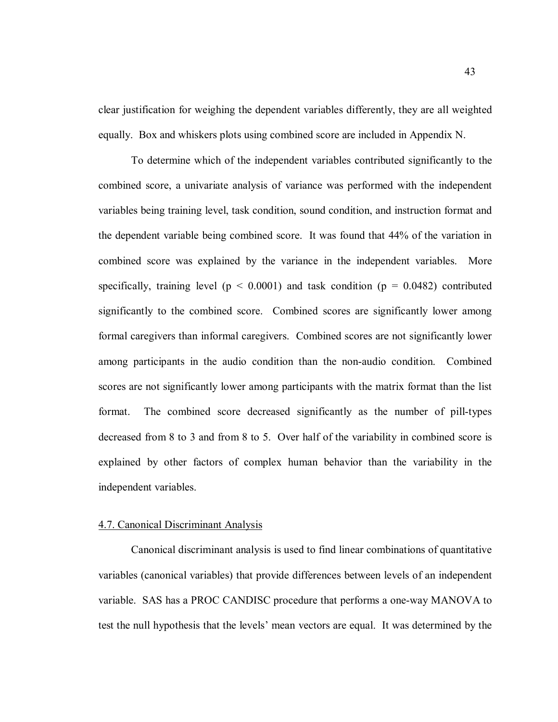clear justification for weighing the dependent variables differently, they are all weighted equally. Box and whiskers plots using combined score are included in Appendix N.

To determine which of the independent variables contributed significantly to the combined score, a univariate analysis of variance was performed with the independent variables being training level, task condition, sound condition, and instruction format and the dependent variable being combined score. It was found that 44% of the variation in combined score was explained by the variance in the independent variables. More specifically, training level ( $p \le 0.0001$ ) and task condition ( $p = 0.0482$ ) contributed significantly to the combined score. Combined scores are significantly lower among formal caregivers than informal caregivers. Combined scores are not significantly lower among participants in the audio condition than the non-audio condition. Combined scores are not significantly lower among participants with the matrix format than the list format. The combined score decreased significantly as the number of pill-types decreased from 8 to 3 and from 8 to 5. Over half of the variability in combined score is explained by other factors of complex human behavior than the variability in the independent variables.

#### 4.7. Canonical Discriminant Analysis

 Canonical discriminant analysis is used to find linear combinations of quantitative variables (canonical variables) that provide differences between levels of an independent variable. SAS has a PROC CANDISC procedure that performs a one-way MANOVA to test the null hypothesis that the levels' mean vectors are equal. It was determined by the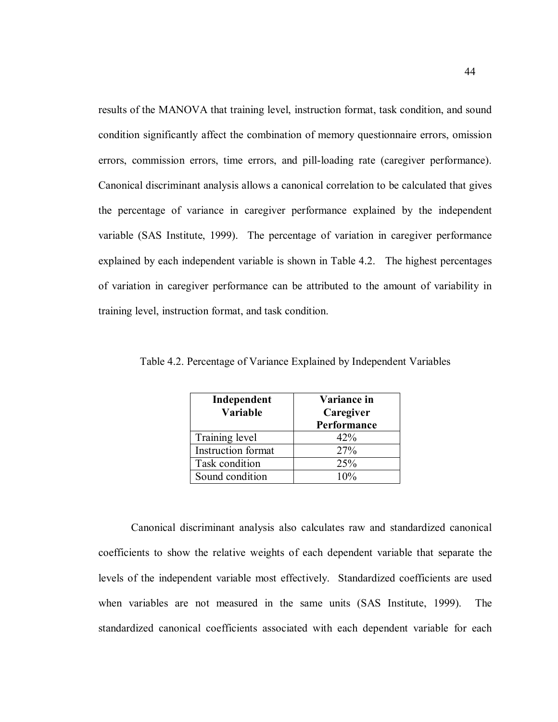results of the MANOVA that training level, instruction format, task condition, and sound condition significantly affect the combination of memory questionnaire errors, omission errors, commission errors, time errors, and pill-loading rate (caregiver performance). Canonical discriminant analysis allows a canonical correlation to be calculated that gives the percentage of variance in caregiver performance explained by the independent variable (SAS Institute, 1999). The percentage of variation in caregiver performance explained by each independent variable is shown in Table 4.2. The highest percentages of variation in caregiver performance can be attributed to the amount of variability in training level, instruction format, and task condition.

| Independent<br>Variable | Variance in<br>Caregiver<br>Performance |
|-------------------------|-----------------------------------------|
| Training level          | 42%                                     |
| Instruction format      | 27%                                     |
| Task condition          | 25%                                     |
| Sound condition         | $10\%$                                  |

Table 4.2. Percentage of Variance Explained by Independent Variables

Canonical discriminant analysis also calculates raw and standardized canonical coefficients to show the relative weights of each dependent variable that separate the levels of the independent variable most effectively. Standardized coefficients are used when variables are not measured in the same units (SAS Institute, 1999). The standardized canonical coefficients associated with each dependent variable for each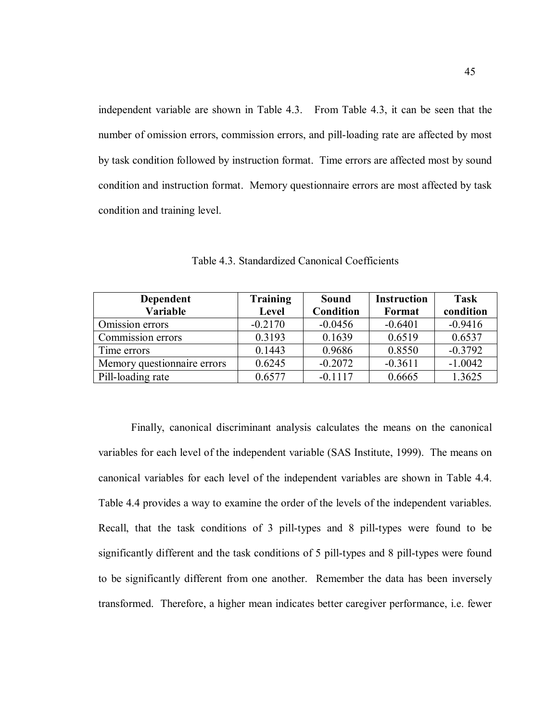independent variable are shown in Table 4.3. From Table 4.3, it can be seen that the number of omission errors, commission errors, and pill-loading rate are affected by most by task condition followed by instruction format. Time errors are affected most by sound condition and instruction format. Memory questionnaire errors are most affected by task condition and training level.

| Dependent                   | <b>Training</b> | <b>Sound</b>     | <b>Instruction</b> | <b>Task</b> |
|-----------------------------|-----------------|------------------|--------------------|-------------|
| Variable                    | <b>Level</b>    | <b>Condition</b> | Format             | condition   |
| Omission errors             | $-0.2170$       | $-0.0456$        | $-0.6401$          | $-0.9416$   |
| Commission errors           | 0.3193          | 0.1639           | 0.6519             | 0.6537      |
| Time errors                 | 0.1443          | 0.9686           | 0.8550             | $-0.3792$   |
| Memory questionnaire errors | 0.6245          | $-0.2072$        | $-0.3611$          | $-1.0042$   |
| Pill-loading rate           | 0.6577          | $-0.1117$        | 0.6665             | 1.3625      |

Table 4.3. Standardized Canonical Coefficients

Finally, canonical discriminant analysis calculates the means on the canonical variables for each level of the independent variable (SAS Institute, 1999). The means on canonical variables for each level of the independent variables are shown in Table 4.4. Table 4.4 provides a way to examine the order of the levels of the independent variables. Recall, that the task conditions of 3 pill-types and 8 pill-types were found to be significantly different and the task conditions of 5 pill-types and 8 pill-types were found to be significantly different from one another. Remember the data has been inversely transformed. Therefore, a higher mean indicates better caregiver performance, i.e. fewer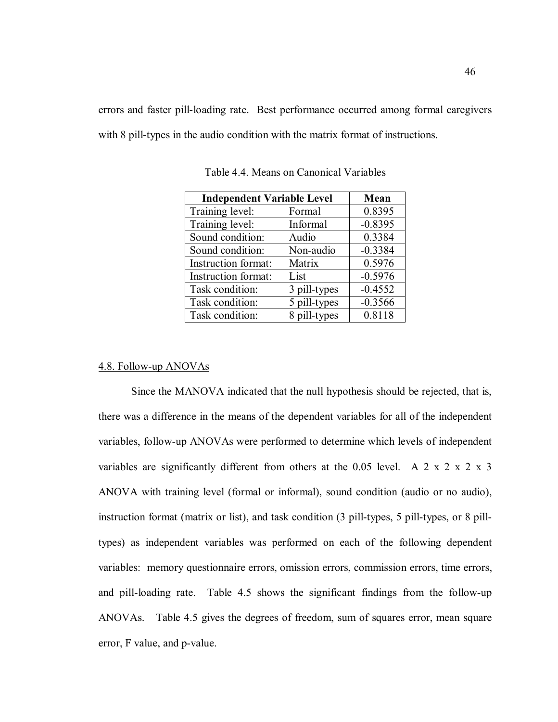errors and faster pill-loading rate. Best performance occurred among formal caregivers with 8 pill-types in the audio condition with the matrix format of instructions.

| <b>Independent Variable Level</b> | Mean         |           |
|-----------------------------------|--------------|-----------|
| Training level:                   | Formal       | 0.8395    |
| Training level:                   | Informal     | $-0.8395$ |
| Sound condition:                  | Audio        | 0.3384    |
| Sound condition:                  | Non-audio    | $-0.3384$ |
| Instruction format:               | Matrix       | 0.5976    |
| Instruction format:               | List         | $-0.5976$ |
| Task condition:                   | 3 pill-types | $-0.4552$ |
| Task condition:                   | 5 pill-types | $-0.3566$ |
| Task condition:                   | 8 pill-types | 0.8118    |

Table 4.4. Means on Canonical Variables

# 4.8. Follow-up ANOVAs

Since the MANOVA indicated that the null hypothesis should be rejected, that is, there was a difference in the means of the dependent variables for all of the independent variables, follow-up ANOVAs were performed to determine which levels of independent variables are significantly different from others at the  $0.05$  level. A 2 x 2 x 2 x 3 ANOVA with training level (formal or informal), sound condition (audio or no audio), instruction format (matrix or list), and task condition (3 pill-types, 5 pill-types, or 8 pilltypes) as independent variables was performed on each of the following dependent variables: memory questionnaire errors, omission errors, commission errors, time errors, and pill-loading rate. Table 4.5 shows the significant findings from the follow-up ANOVAs. Table 4.5 gives the degrees of freedom, sum of squares error, mean square error, F value, and p-value.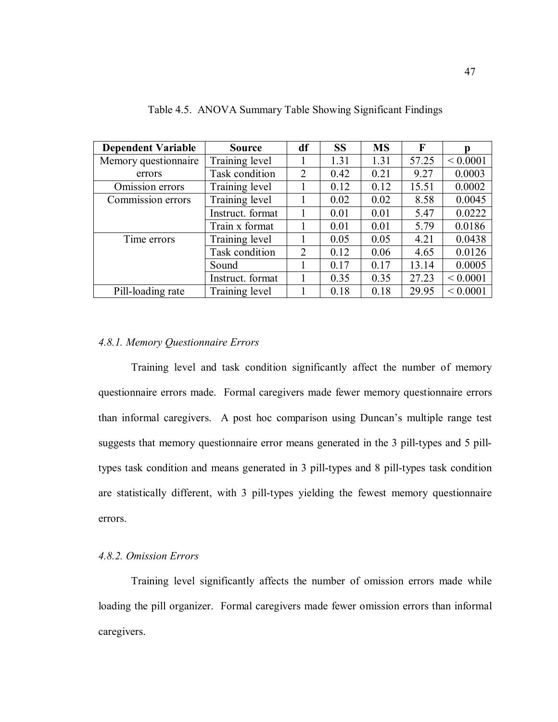| <b>Dependent Variable</b> | <b>Source</b>    | df | <b>SS</b> | <b>MS</b> | F     | n            |
|---------------------------|------------------|----|-----------|-----------|-------|--------------|
| Memory questionnaire      | Training level   |    | 1.31      | 1.31      | 57.25 | ${}< 0.0001$ |
| errors                    | Task condition   | 2  | 0.42      | 0.21      | 9.27  | 0.0003       |
| Omission errors           | Training level   |    | 0.12      | 0.12      | 15.51 | 0.0002       |
| Commission errors         | Training level   |    | 0.02      | 0.02      | 8.58  | 0.0045       |
|                           | Instruct. format |    | 0.01      | 0.01      | 5.47  | 0.0222       |
|                           | Train x format   |    | 0.01      | 0.01      | 5.79  | 0.0186       |
| Time errors               | Training level   |    | 0.05      | 0.05      | 4.21  | 0.0438       |
|                           | Task condition   | 2  | 0.12      | 0.06      | 4.65  | 0.0126       |
|                           | Sound            |    | 0.17      | 0.17      | 13.14 | 0.0005       |
|                           | Instruct. format |    | 0.35      | 0.35      | 27.23 | ${}< 0.0001$ |
| Pill-loading rate         | Training level   |    | 0.18      | 0.18      | 29.95 | ${}< 0.0001$ |

Table 4.5. ANOVA Summary Table Showing Significant Findings

# *4.8.1. Memory Questionnaire Errors*

Training level and task condition significantly affect the number of memory questionnaire errors made. Formal caregivers made fewer memory questionnaire errors than informal caregivers. A post hoc comparison using Duncan's multiple range test suggests that memory questionnaire error means generated in the 3 pill-types and 5 pilltypes task condition and means generated in 3 pill-types and 8 pill-types task condition are statistically different, with 3 pill-types yielding the fewest memory questionnaire errors.

#### *4.8.2. Omission Errors*

Training level significantly affects the number of omission errors made while loading the pill organizer. Formal caregivers made fewer omission errors than informal caregivers.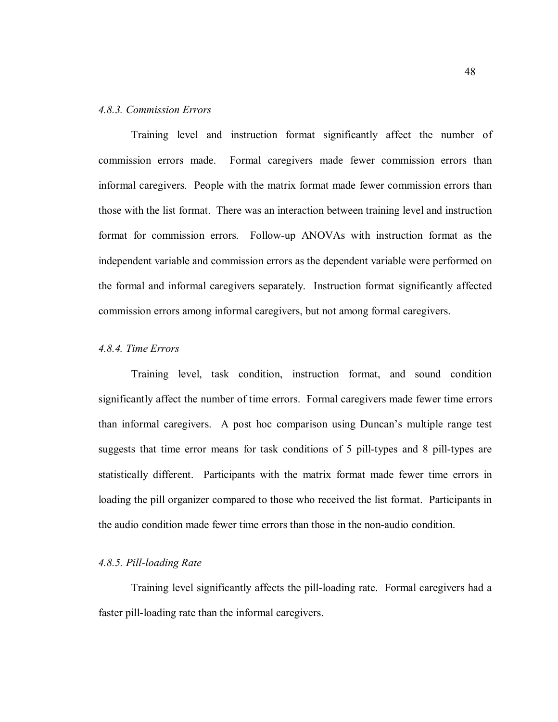## *4.8.3. Commission Errors*

Training level and instruction format significantly affect the number of commission errors made. Formal caregivers made fewer commission errors than informal caregivers. People with the matrix format made fewer commission errors than those with the list format. There was an interaction between training level and instruction format for commission errors. Follow-up ANOVAs with instruction format as the independent variable and commission errors as the dependent variable were performed on the formal and informal caregivers separately. Instruction format significantly affected commission errors among informal caregivers, but not among formal caregivers.

## *4.8.4. Time Errors*

Training level, task condition, instruction format, and sound condition significantly affect the number of time errors. Formal caregivers made fewer time errors than informal caregivers. A post hoc comparison using Duncan's multiple range test suggests that time error means for task conditions of 5 pill-types and 8 pill-types are statistically different. Participants with the matrix format made fewer time errors in loading the pill organizer compared to those who received the list format. Participants in the audio condition made fewer time errors than those in the non-audio condition.

## *4.8.5. Pill-loading Rate*

Training level significantly affects the pill-loading rate. Formal caregivers had a faster pill-loading rate than the informal caregivers.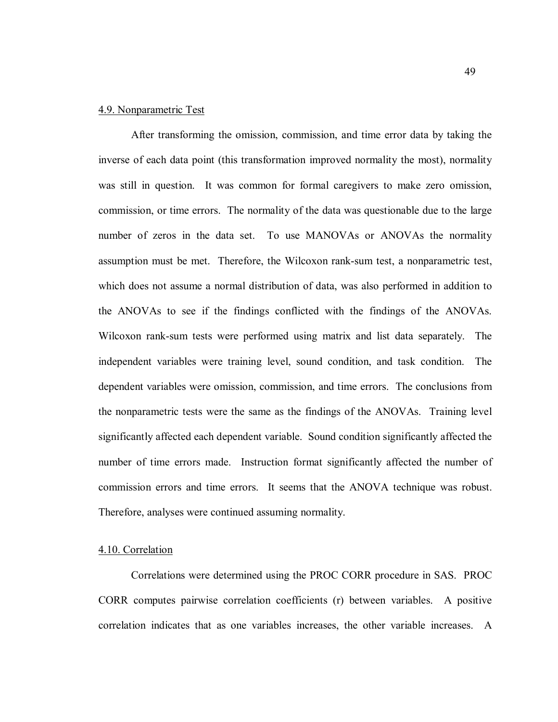## 4.9. Nonparametric Test

After transforming the omission, commission, and time error data by taking the inverse of each data point (this transformation improved normality the most), normality was still in question. It was common for formal caregivers to make zero omission, commission, or time errors. The normality of the data was questionable due to the large number of zeros in the data set. To use MANOVAs or ANOVAs the normality assumption must be met. Therefore, the Wilcoxon rank-sum test, a nonparametric test, which does not assume a normal distribution of data, was also performed in addition to the ANOVAs to see if the findings conflicted with the findings of the ANOVAs. Wilcoxon rank-sum tests were performed using matrix and list data separately. The independent variables were training level, sound condition, and task condition. The dependent variables were omission, commission, and time errors. The conclusions from the nonparametric tests were the same as the findings of the ANOVAs. Training level significantly affected each dependent variable. Sound condition significantly affected the number of time errors made. Instruction format significantly affected the number of commission errors and time errors. It seems that the ANOVA technique was robust. Therefore, analyses were continued assuming normality.

#### 4.10. Correlation

Correlations were determined using the PROC CORR procedure in SAS. PROC CORR computes pairwise correlation coefficients (r) between variables. A positive correlation indicates that as one variables increases, the other variable increases. A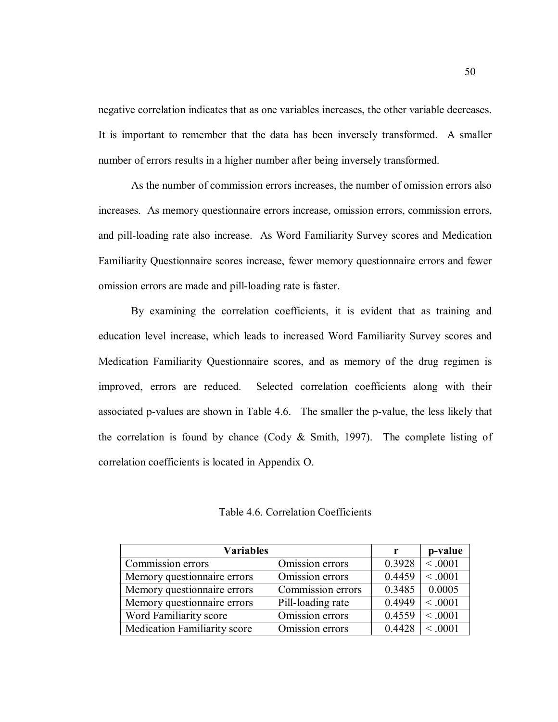negative correlation indicates that as one variables increases, the other variable decreases. It is important to remember that the data has been inversely transformed. A smaller number of errors results in a higher number after being inversely transformed.

As the number of commission errors increases, the number of omission errors also increases. As memory questionnaire errors increase, omission errors, commission errors, and pill-loading rate also increase. As Word Familiarity Survey scores and Medication Familiarity Questionnaire scores increase, fewer memory questionnaire errors and fewer omission errors are made and pill-loading rate is faster.

By examining the correlation coefficients, it is evident that as training and education level increase, which leads to increased Word Familiarity Survey scores and Medication Familiarity Questionnaire scores, and as memory of the drug regimen is improved, errors are reduced. Selected correlation coefficients along with their associated p-values are shown in Table 4.6. The smaller the p-value, the less likely that the correlation is found by chance (Cody  $& Smith, 1997$ ). The complete listing of correlation coefficients is located in Appendix O.

Table 4.6. Correlation Coefficients

| <b>Variables</b>                    |                   |        | p-value |
|-------------------------------------|-------------------|--------|---------|
| Commission errors                   | Omission errors   | 0.3928 | < 0.001 |
| Memory questionnaire errors         | Omission errors   | 0.4459 | < 0.001 |
| Memory questionnaire errors         | Commission errors | 0.3485 | 0.0005  |
| Memory questionnaire errors         | Pill-loading rate | 0.4949 | < 0.001 |
| Word Familiarity score              | Omission errors   | 0.4559 | < 0.001 |
| <b>Medication Familiarity score</b> | Omission errors   | 0.4428 | < 0.001 |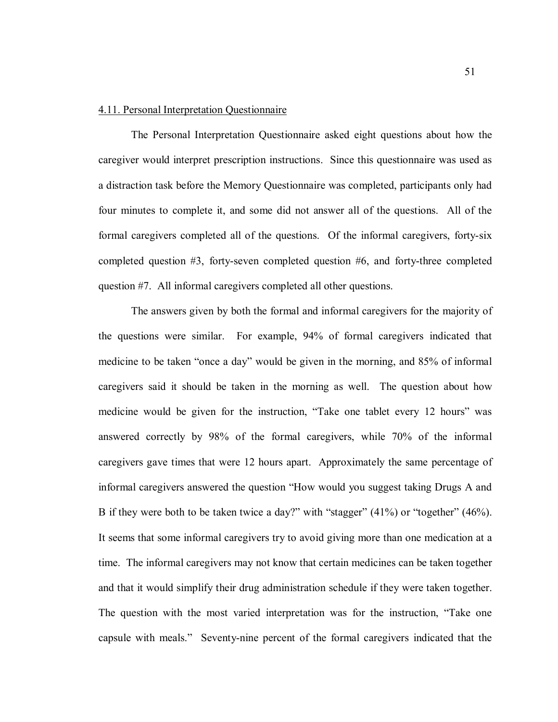### 4.11. Personal Interpretation Questionnaire

The Personal Interpretation Questionnaire asked eight questions about how the caregiver would interpret prescription instructions. Since this questionnaire was used as a distraction task before the Memory Questionnaire was completed, participants only had four minutes to complete it, and some did not answer all of the questions. All of the formal caregivers completed all of the questions. Of the informal caregivers, forty-six completed question #3, forty-seven completed question #6, and forty-three completed question #7. All informal caregivers completed all other questions.

The answers given by both the formal and informal caregivers for the majority of the questions were similar. For example, 94% of formal caregivers indicated that medicine to be taken "once a day" would be given in the morning, and 85% of informal caregivers said it should be taken in the morning as well. The question about how medicine would be given for the instruction, "Take one tablet every 12 hours" was answered correctly by 98% of the formal caregivers, while 70% of the informal caregivers gave times that were 12 hours apart. Approximately the same percentage of informal caregivers answered the question "How would you suggest taking Drugs A and B if they were both to be taken twice a day?" with "stagger" (41%) or "together" (46%). It seems that some informal caregivers try to avoid giving more than one medication at a time. The informal caregivers may not know that certain medicines can be taken together and that it would simplify their drug administration schedule if they were taken together. The question with the most varied interpretation was for the instruction, "Take one capsule with meals." Seventy-nine percent of the formal caregivers indicated that the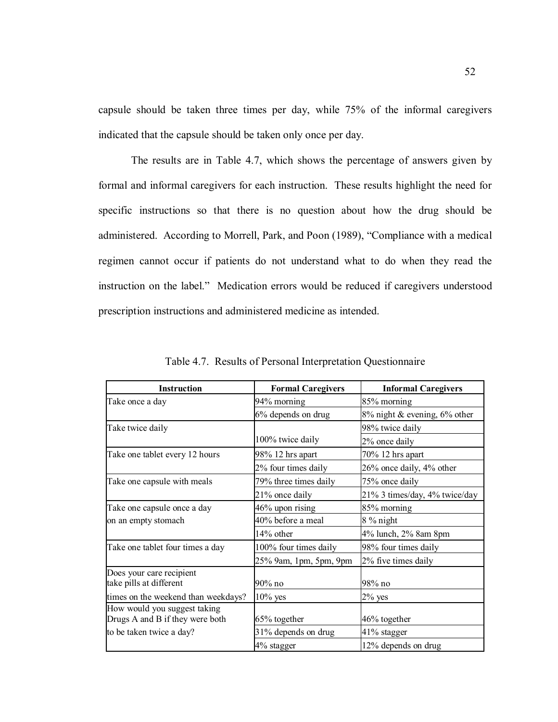capsule should be taken three times per day, while 75% of the informal caregivers indicated that the capsule should be taken only once per day.

The results are in Table 4.7, which shows the percentage of answers given by formal and informal caregivers for each instruction. These results highlight the need for specific instructions so that there is no question about how the drug should be administered. According to Morrell, Park, and Poon (1989), "Compliance with a medical regimen cannot occur if patients do not understand what to do when they read the instruction on the label." Medication errors would be reduced if caregivers understood prescription instructions and administered medicine as intended.

| <b>Instruction</b>                                              | <b>Formal Caregivers</b> | <b>Informal Caregivers</b>         |
|-----------------------------------------------------------------|--------------------------|------------------------------------|
| Take once a day                                                 | 94% morning              | 85% morning                        |
|                                                                 | 6% depends on drug       | $8\%$ night & evening, $6\%$ other |
| Take twice daily                                                |                          | 98% twice daily                    |
|                                                                 | 100% twice daily         | 2% once daily                      |
| Take one tablet every 12 hours                                  | 98% 12 hrs apart         | 70% 12 hrs apart                   |
|                                                                 | 2% four times daily      | 26% once daily, 4% other           |
| Take one capsule with meals                                     | 79% three times daily    | 75% once daily                     |
|                                                                 | 21% once daily           | 21% 3 times/day, 4% twice/day      |
| Take one capsule once a day                                     | $46\%$ upon rising       | 85% morning                        |
| on an empty stomach                                             | 40% before a meal        | 8 % night                          |
|                                                                 | $14\%$ other             | 4% lunch, 2% 8am 8pm               |
| Take one tablet four times a day                                | 100% four times daily    | 98% four times daily               |
|                                                                 | 25% 9am, 1pm, 5pm, 9pm   | 2% five times daily                |
| Does your care recipient<br>take pills at different             | 90% no                   | 98% no                             |
| times on the weekend than weekdays?                             | $10\%$ yes               | $2\%$ yes                          |
| How would you suggest taking<br>Drugs A and B if they were both | 65% together             | 46% together                       |
| to be taken twice a day?                                        | 31% depends on drug      | 41% stagger                        |
|                                                                 | 4% stagger               | 12% depends on drug                |

Table 4.7. Results of Personal Interpretation Questionnaire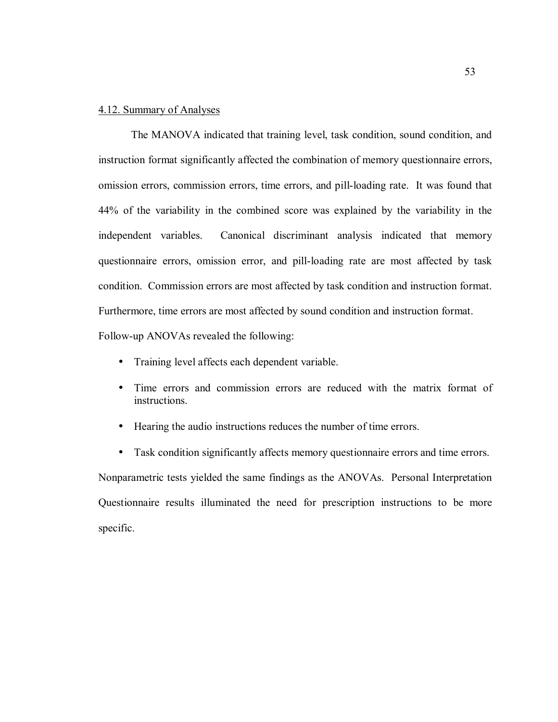# 4.12. Summary of Analyses

The MANOVA indicated that training level, task condition, sound condition, and instruction format significantly affected the combination of memory questionnaire errors, omission errors, commission errors, time errors, and pill-loading rate. It was found that 44% of the variability in the combined score was explained by the variability in the independent variables. Canonical discriminant analysis indicated that memory questionnaire errors, omission error, and pill-loading rate are most affected by task condition. Commission errors are most affected by task condition and instruction format. Furthermore, time errors are most affected by sound condition and instruction format. Follow-up ANOVAs revealed the following:

- Training level affects each dependent variable.
- Time errors and commission errors are reduced with the matrix format of instructions.
- Hearing the audio instructions reduces the number of time errors.
- Task condition significantly affects memory questionnaire errors and time errors.

Nonparametric tests yielded the same findings as the ANOVAs. Personal Interpretation Questionnaire results illuminated the need for prescription instructions to be more specific.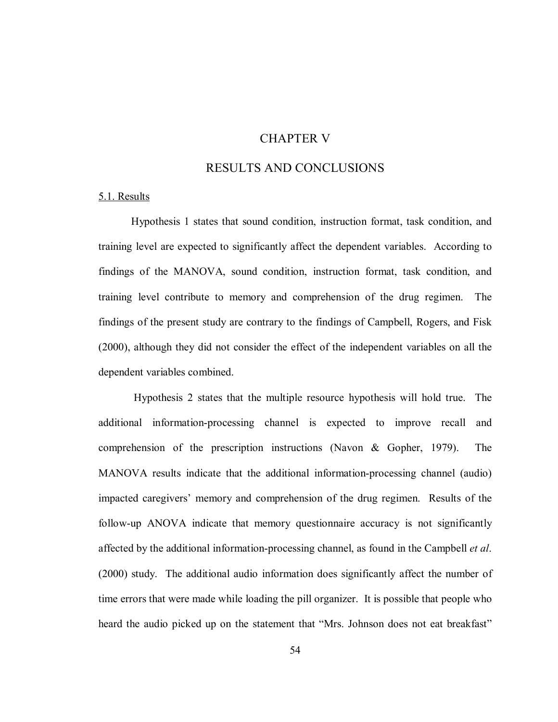# CHAPTER V

# RESULTS AND CONCLUSIONS

# 5.1. Results

Hypothesis 1 states that sound condition, instruction format, task condition, and training level are expected to significantly affect the dependent variables. According to findings of the MANOVA, sound condition, instruction format, task condition, and training level contribute to memory and comprehension of the drug regimen. The findings of the present study are contrary to the findings of Campbell, Rogers, and Fisk (2000), although they did not consider the effect of the independent variables on all the dependent variables combined.

 Hypothesis 2 states that the multiple resource hypothesis will hold true. The additional information-processing channel is expected to improve recall and comprehension of the prescription instructions (Navon & Gopher, 1979). The MANOVA results indicate that the additional information-processing channel (audio) impacted caregivers' memory and comprehension of the drug regimen. Results of the follow-up ANOVA indicate that memory questionnaire accuracy is not significantly affected by the additional information-processing channel, as found in the Campbell *et al*. (2000) study. The additional audio information does significantly affect the number of time errors that were made while loading the pill organizer. It is possible that people who heard the audio picked up on the statement that "Mrs. Johnson does not eat breakfast"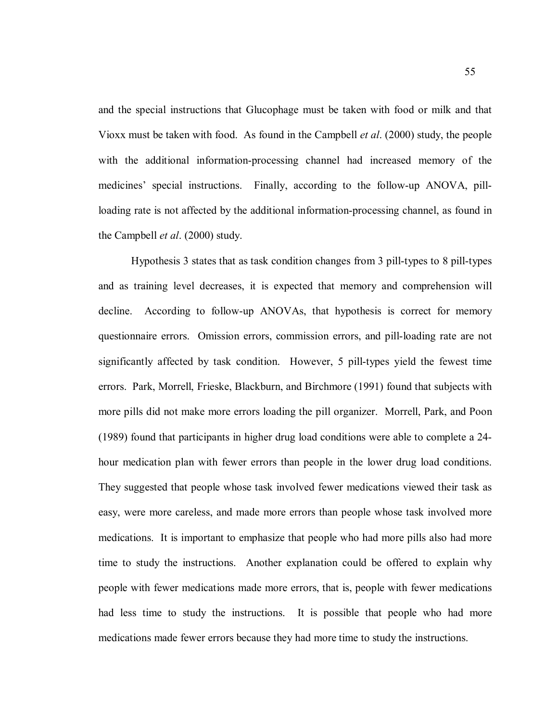and the special instructions that Glucophage must be taken with food or milk and that Vioxx must be taken with food. As found in the Campbell *et al*. (2000) study, the people with the additional information-processing channel had increased memory of the medicines' special instructions. Finally, according to the follow-up ANOVA, pillloading rate is not affected by the additional information-processing channel, as found in the Campbell *et al*. (2000) study.

Hypothesis 3 states that as task condition changes from 3 pill-types to 8 pill-types and as training level decreases, it is expected that memory and comprehension will decline. According to follow-up ANOVAs, that hypothesis is correct for memory questionnaire errors. Omission errors, commission errors, and pill-loading rate are not significantly affected by task condition. However, 5 pill-types yield the fewest time errors. Park, Morrell, Frieske, Blackburn, and Birchmore (1991) found that subjects with more pills did not make more errors loading the pill organizer. Morrell, Park, and Poon (1989) found that participants in higher drug load conditions were able to complete a 24 hour medication plan with fewer errors than people in the lower drug load conditions. They suggested that people whose task involved fewer medications viewed their task as easy, were more careless, and made more errors than people whose task involved more medications. It is important to emphasize that people who had more pills also had more time to study the instructions. Another explanation could be offered to explain why people with fewer medications made more errors, that is, people with fewer medications had less time to study the instructions. It is possible that people who had more medications made fewer errors because they had more time to study the instructions.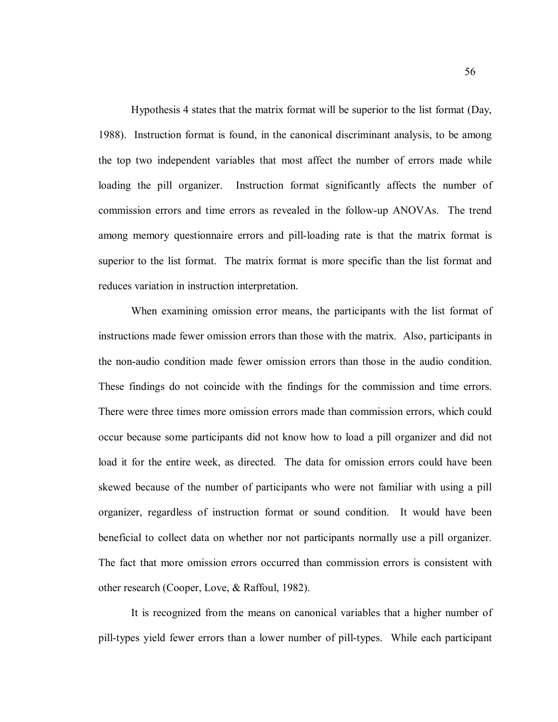Hypothesis 4 states that the matrix format will be superior to the list format (Day, 1988). Instruction format is found, in the canonical discriminant analysis, to be among the top two independent variables that most affect the number of errors made while loading the pill organizer. Instruction format significantly affects the number of commission errors and time errors as revealed in the follow-up ANOVAs. The trend among memory questionnaire errors and pill-loading rate is that the matrix format is superior to the list format. The matrix format is more specific than the list format and reduces variation in instruction interpretation.

 When examining omission error means, the participants with the list format of instructions made fewer omission errors than those with the matrix. Also, participants in the non-audio condition made fewer omission errors than those in the audio condition. These findings do not coincide with the findings for the commission and time errors. There were three times more omission errors made than commission errors, which could occur because some participants did not know how to load a pill organizer and did not load it for the entire week, as directed. The data for omission errors could have been skewed because of the number of participants who were not familiar with using a pill organizer, regardless of instruction format or sound condition. It would have been beneficial to collect data on whether nor not participants normally use a pill organizer. The fact that more omission errors occurred than commission errors is consistent with other research (Cooper, Love, & Raffoul, 1982).

 It is recognized from the means on canonical variables that a higher number of pill-types yield fewer errors than a lower number of pill-types. While each participant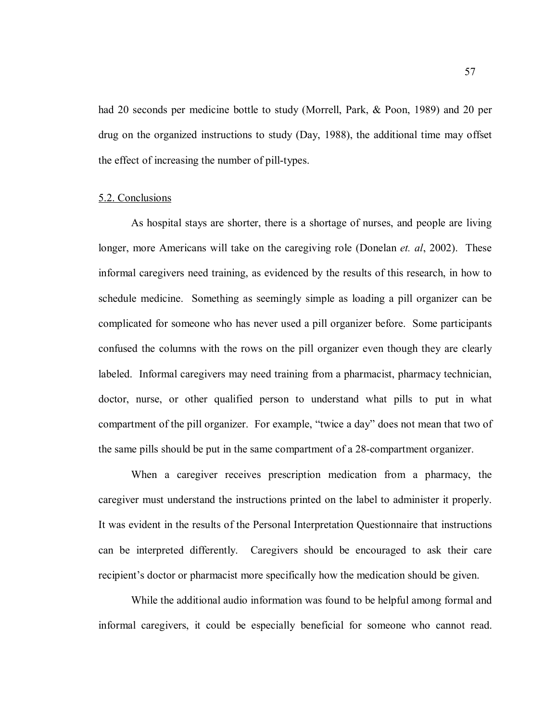had 20 seconds per medicine bottle to study (Morrell, Park, & Poon, 1989) and 20 per drug on the organized instructions to study (Day, 1988), the additional time may offset the effect of increasing the number of pill-types.

# 5.2. Conclusions

As hospital stays are shorter, there is a shortage of nurses, and people are living longer, more Americans will take on the caregiving role (Donelan *et. al*, 2002). These informal caregivers need training, as evidenced by the results of this research, in how to schedule medicine. Something as seemingly simple as loading a pill organizer can be complicated for someone who has never used a pill organizer before. Some participants confused the columns with the rows on the pill organizer even though they are clearly labeled. Informal caregivers may need training from a pharmacist, pharmacy technician, doctor, nurse, or other qualified person to understand what pills to put in what compartment of the pill organizer. For example, "twice a day" does not mean that two of the same pills should be put in the same compartment of a 28-compartment organizer.

When a caregiver receives prescription medication from a pharmacy, the caregiver must understand the instructions printed on the label to administer it properly. It was evident in the results of the Personal Interpretation Questionnaire that instructions can be interpreted differently. Caregivers should be encouraged to ask their care recipient's doctor or pharmacist more specifically how the medication should be given.

While the additional audio information was found to be helpful among formal and informal caregivers, it could be especially beneficial for someone who cannot read.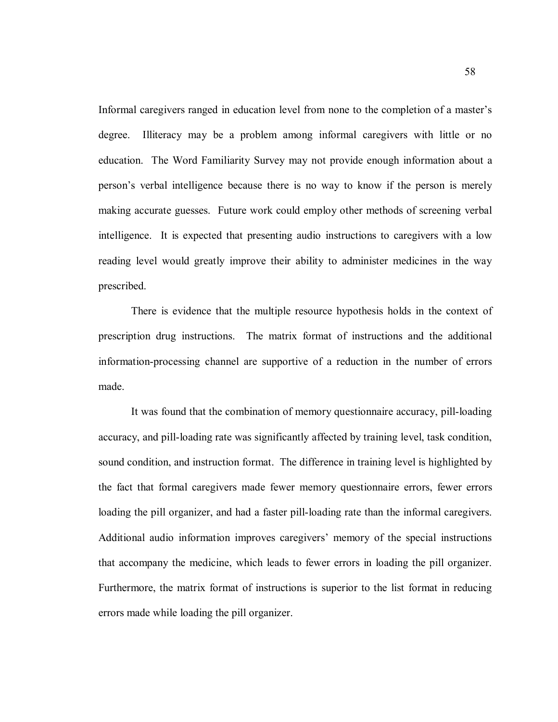Informal caregivers ranged in education level from none to the completion of a master's degree. Illiteracy may be a problem among informal caregivers with little or no education. The Word Familiarity Survey may not provide enough information about a person's verbal intelligence because there is no way to know if the person is merely making accurate guesses. Future work could employ other methods of screening verbal intelligence. It is expected that presenting audio instructions to caregivers with a low reading level would greatly improve their ability to administer medicines in the way prescribed.

There is evidence that the multiple resource hypothesis holds in the context of prescription drug instructions. The matrix format of instructions and the additional information-processing channel are supportive of a reduction in the number of errors made.

It was found that the combination of memory questionnaire accuracy, pill-loading accuracy, and pill-loading rate was significantly affected by training level, task condition, sound condition, and instruction format. The difference in training level is highlighted by the fact that formal caregivers made fewer memory questionnaire errors, fewer errors loading the pill organizer, and had a faster pill-loading rate than the informal caregivers. Additional audio information improves caregivers' memory of the special instructions that accompany the medicine, which leads to fewer errors in loading the pill organizer. Furthermore, the matrix format of instructions is superior to the list format in reducing errors made while loading the pill organizer.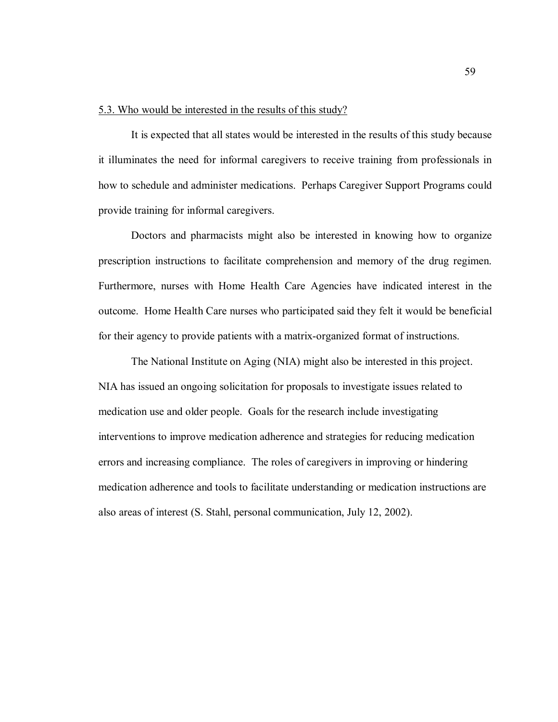# 5.3. Who would be interested in the results of this study?

It is expected that all states would be interested in the results of this study because it illuminates the need for informal caregivers to receive training from professionals in how to schedule and administer medications. Perhaps Caregiver Support Programs could provide training for informal caregivers.

Doctors and pharmacists might also be interested in knowing how to organize prescription instructions to facilitate comprehension and memory of the drug regimen. Furthermore, nurses with Home Health Care Agencies have indicated interest in the outcome. Home Health Care nurses who participated said they felt it would be beneficial for their agency to provide patients with a matrix-organized format of instructions.

 The National Institute on Aging (NIA) might also be interested in this project. NIA has issued an ongoing solicitation for proposals to investigate issues related to medication use and older people. Goals for the research include investigating interventions to improve medication adherence and strategies for reducing medication errors and increasing compliance. The roles of caregivers in improving or hindering medication adherence and tools to facilitate understanding or medication instructions are also areas of interest (S. Stahl, personal communication, July 12, 2002).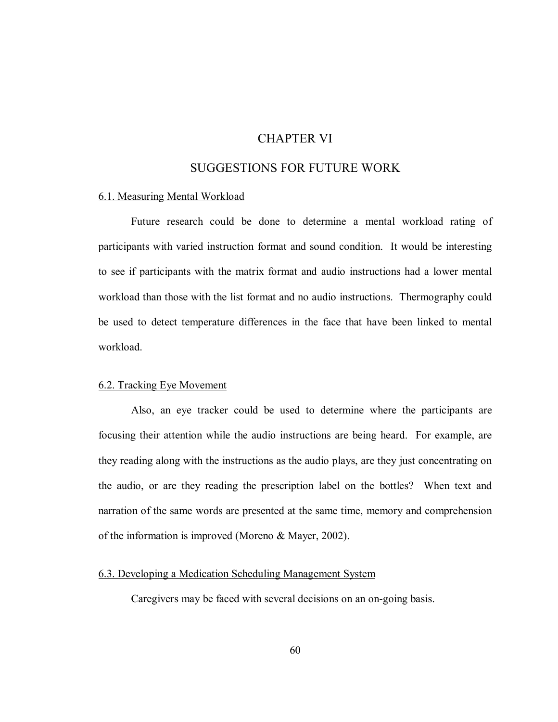# CHAPTER VI

# SUGGESTIONS FOR FUTURE WORK

# 6.1. Measuring Mental Workload

Future research could be done to determine a mental workload rating of participants with varied instruction format and sound condition. It would be interesting to see if participants with the matrix format and audio instructions had a lower mental workload than those with the list format and no audio instructions. Thermography could be used to detect temperature differences in the face that have been linked to mental workload.

#### 6.2. Tracking Eye Movement

Also, an eye tracker could be used to determine where the participants are focusing their attention while the audio instructions are being heard. For example, are they reading along with the instructions as the audio plays, are they just concentrating on the audio, or are they reading the prescription label on the bottles? When text and narration of the same words are presented at the same time, memory and comprehension of the information is improved (Moreno & Mayer, 2002).

# 6.3. Developing a Medication Scheduling Management System

Caregivers may be faced with several decisions on an on-going basis.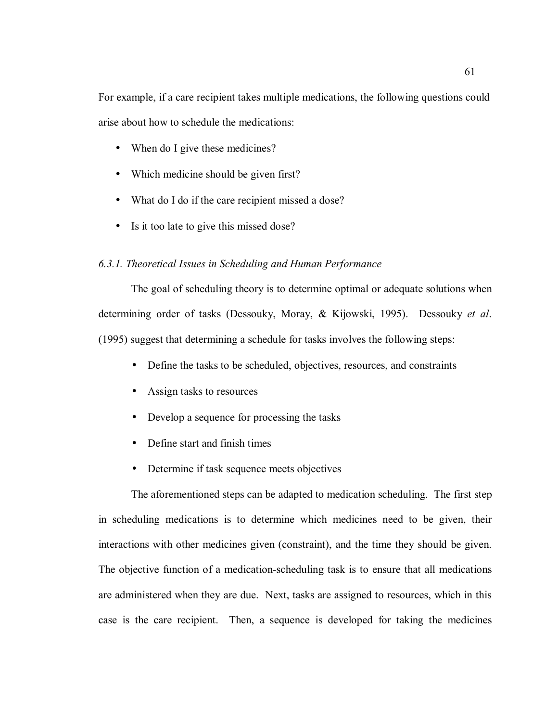For example, if a care recipient takes multiple medications, the following questions could arise about how to schedule the medications:

- When do I give these medicines?
- Which medicine should be given first?
- What do I do if the care recipient missed a dose?
- Is it too late to give this missed dose?

#### *6.3.1. Theoretical Issues in Scheduling and Human Performance*

The goal of scheduling theory is to determine optimal or adequate solutions when determining order of tasks (Dessouky, Moray, & Kijowski, 1995). Dessouky *et al*. (1995) suggest that determining a schedule for tasks involves the following steps:

- Define the tasks to be scheduled, objectives, resources, and constraints
- Assign tasks to resources
- Develop a sequence for processing the tasks
- Define start and finish times
- Determine if task sequence meets objectives

The aforementioned steps can be adapted to medication scheduling. The first step in scheduling medications is to determine which medicines need to be given, their interactions with other medicines given (constraint), and the time they should be given. The objective function of a medication-scheduling task is to ensure that all medications are administered when they are due. Next, tasks are assigned to resources, which in this case is the care recipient. Then, a sequence is developed for taking the medicines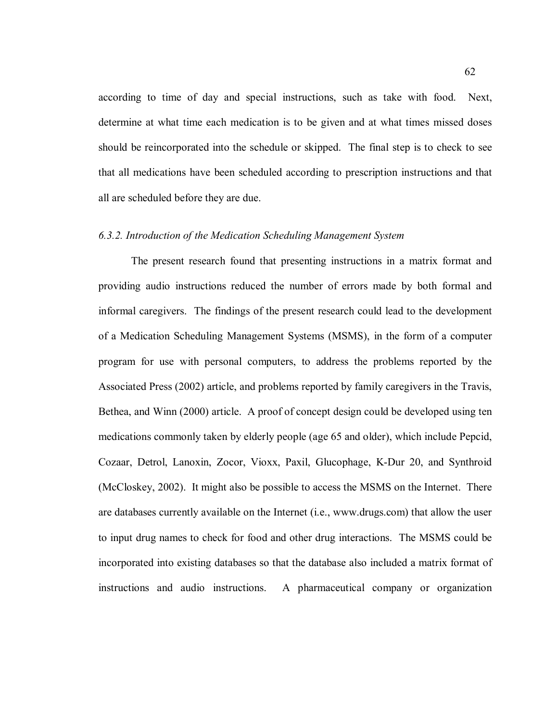according to time of day and special instructions, such as take with food. Next, determine at what time each medication is to be given and at what times missed doses should be reincorporated into the schedule or skipped. The final step is to check to see that all medications have been scheduled according to prescription instructions and that all are scheduled before they are due.

### *6.3.2. Introduction of the Medication Scheduling Management System*

The present research found that presenting instructions in a matrix format and providing audio instructions reduced the number of errors made by both formal and informal caregivers. The findings of the present research could lead to the development of a Medication Scheduling Management Systems (MSMS), in the form of a computer program for use with personal computers, to address the problems reported by the Associated Press (2002) article, and problems reported by family caregivers in the Travis, Bethea, and Winn (2000) article. A proof of concept design could be developed using ten medications commonly taken by elderly people (age 65 and older), which include Pepcid, Cozaar, Detrol, Lanoxin, Zocor, Vioxx, Paxil, Glucophage, K-Dur 20, and Synthroid (McCloskey, 2002). It might also be possible to access the MSMS on the Internet. There are databases currently available on the Internet (i.e., www.drugs.com) that allow the user to input drug names to check for food and other drug interactions. The MSMS could be incorporated into existing databases so that the database also included a matrix format of instructions and audio instructions. A pharmaceutical company or organization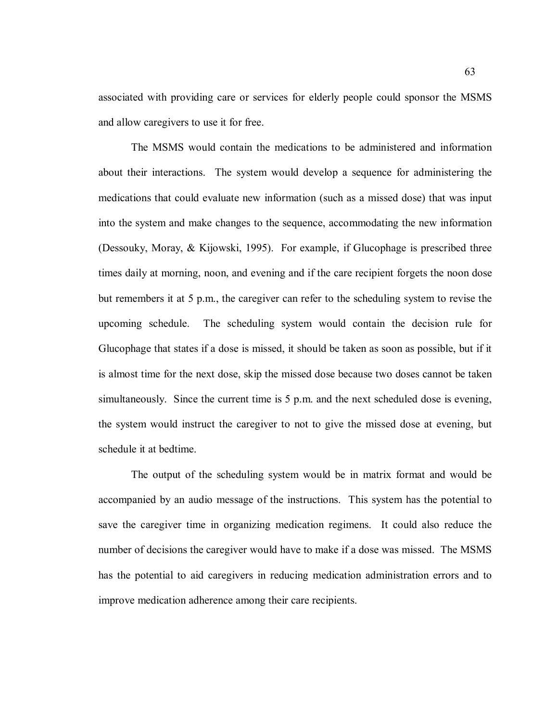associated with providing care or services for elderly people could sponsor the MSMS and allow caregivers to use it for free.

The MSMS would contain the medications to be administered and information about their interactions. The system would develop a sequence for administering the medications that could evaluate new information (such as a missed dose) that was input into the system and make changes to the sequence, accommodating the new information (Dessouky, Moray, & Kijowski, 1995). For example, if Glucophage is prescribed three times daily at morning, noon, and evening and if the care recipient forgets the noon dose but remembers it at 5 p.m., the caregiver can refer to the scheduling system to revise the upcoming schedule. The scheduling system would contain the decision rule for Glucophage that states if a dose is missed, it should be taken as soon as possible, but if it is almost time for the next dose, skip the missed dose because two doses cannot be taken simultaneously. Since the current time is 5 p.m. and the next scheduled dose is evening, the system would instruct the caregiver to not to give the missed dose at evening, but schedule it at bedtime.

The output of the scheduling system would be in matrix format and would be accompanied by an audio message of the instructions. This system has the potential to save the caregiver time in organizing medication regimens. It could also reduce the number of decisions the caregiver would have to make if a dose was missed. The MSMS has the potential to aid caregivers in reducing medication administration errors and to improve medication adherence among their care recipients.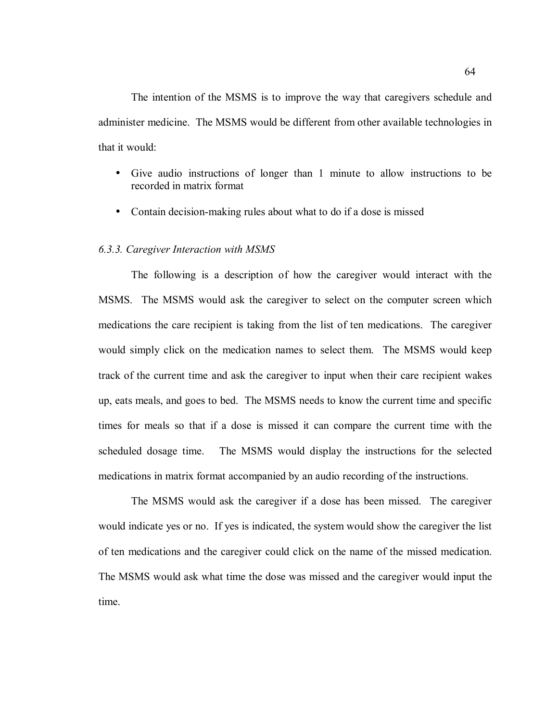The intention of the MSMS is to improve the way that caregivers schedule and administer medicine. The MSMS would be different from other available technologies in that it would:

- Give audio instructions of longer than 1 minute to allow instructions to be recorded in matrix format
- Contain decision-making rules about what to do if a dose is missed

#### *6.3.3. Caregiver Interaction with MSMS*

The following is a description of how the caregiver would interact with the MSMS. The MSMS would ask the caregiver to select on the computer screen which medications the care recipient is taking from the list of ten medications. The caregiver would simply click on the medication names to select them. The MSMS would keep track of the current time and ask the caregiver to input when their care recipient wakes up, eats meals, and goes to bed. The MSMS needs to know the current time and specific times for meals so that if a dose is missed it can compare the current time with the scheduled dosage time. The MSMS would display the instructions for the selected medications in matrix format accompanied by an audio recording of the instructions.

The MSMS would ask the caregiver if a dose has been missed. The caregiver would indicate yes or no. If yes is indicated, the system would show the caregiver the list of ten medications and the caregiver could click on the name of the missed medication. The MSMS would ask what time the dose was missed and the caregiver would input the time.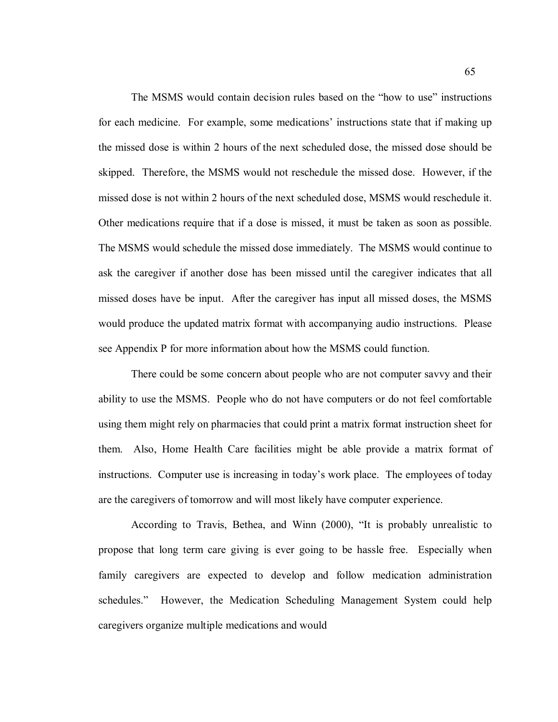The MSMS would contain decision rules based on the "how to use" instructions for each medicine. For example, some medications' instructions state that if making up the missed dose is within 2 hours of the next scheduled dose, the missed dose should be skipped. Therefore, the MSMS would not reschedule the missed dose. However, if the missed dose is not within 2 hours of the next scheduled dose, MSMS would reschedule it. Other medications require that if a dose is missed, it must be taken as soon as possible. The MSMS would schedule the missed dose immediately. The MSMS would continue to ask the caregiver if another dose has been missed until the caregiver indicates that all missed doses have be input. After the caregiver has input all missed doses, the MSMS would produce the updated matrix format with accompanying audio instructions. Please see Appendix P for more information about how the MSMS could function.

There could be some concern about people who are not computer savvy and their ability to use the MSMS. People who do not have computers or do not feel comfortable using them might rely on pharmacies that could print a matrix format instruction sheet for them. Also, Home Health Care facilities might be able provide a matrix format of instructions. Computer use is increasing in today's work place. The employees of today are the caregivers of tomorrow and will most likely have computer experience.

According to Travis, Bethea, and Winn (2000), "It is probably unrealistic to propose that long term care giving is ever going to be hassle free. Especially when family caregivers are expected to develop and follow medication administration schedules." However, the Medication Scheduling Management System could help caregivers organize multiple medications and would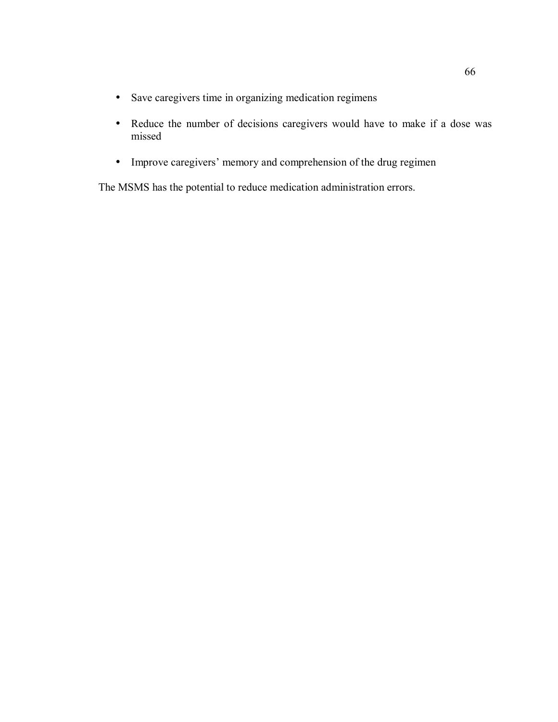- Save caregivers time in organizing medication regimens
- Reduce the number of decisions caregivers would have to make if a dose was missed
- Improve caregivers' memory and comprehension of the drug regimen

The MSMS has the potential to reduce medication administration errors.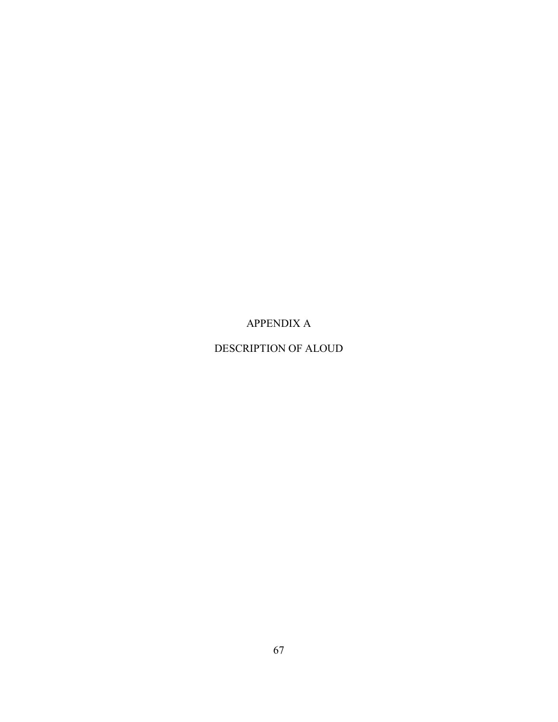# APPENDIX A

## DESCRIPTION OF ALOUD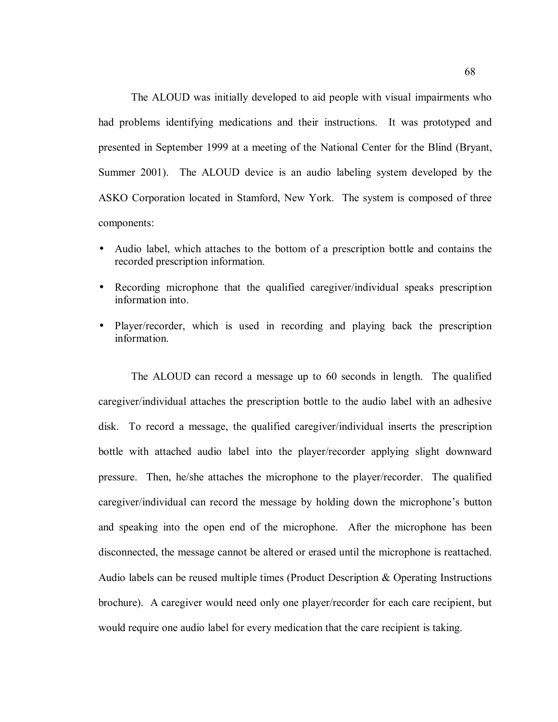The ALOUD was initially developed to aid people with visual impairments who had problems identifying medications and their instructions. It was prototyped and presented in September 1999 at a meeting of the National Center for the Blind (Bryant, Summer 2001). The ALOUD device is an audio labeling system developed by the ASKO Corporation located in Stamford, New York. The system is composed of three components:

- Audio label, which attaches to the bottom of a prescription bottle and contains the recorded prescription information.
- Recording microphone that the qualified caregiver/individual speaks prescription information into.
- Player/recorder, which is used in recording and playing back the prescription information.

The ALOUD can record a message up to 60 seconds in length. The qualified caregiver/individual attaches the prescription bottle to the audio label with an adhesive disk. To record a message, the qualified caregiver/individual inserts the prescription bottle with attached audio label into the player/recorder applying slight downward pressure. Then, he/she attaches the microphone to the player/recorder. The qualified caregiver/individual can record the message by holding down the microphone's button and speaking into the open end of the microphone. After the microphone has been disconnected, the message cannot be altered or erased until the microphone is reattached. Audio labels can be reused multiple times (Product Description & Operating Instructions brochure). A caregiver would need only one player/recorder for each care recipient, but would require one audio label for every medication that the care recipient is taking.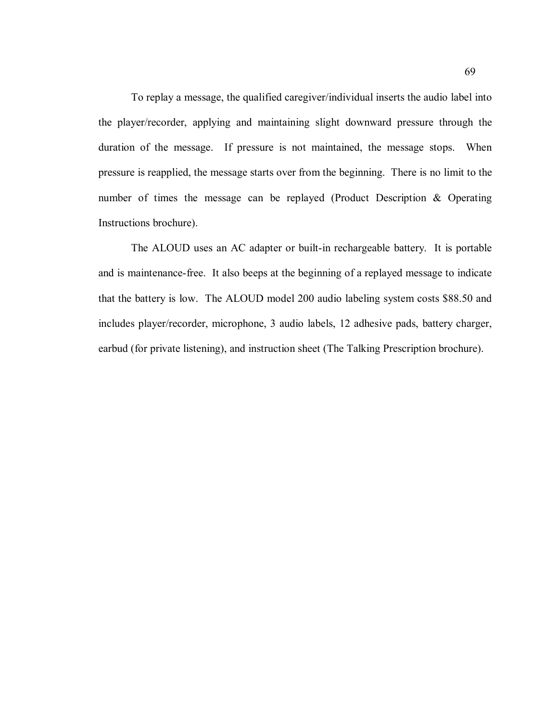To replay a message, the qualified caregiver/individual inserts the audio label into the player/recorder, applying and maintaining slight downward pressure through the duration of the message. If pressure is not maintained, the message stops. When pressure is reapplied, the message starts over from the beginning. There is no limit to the number of times the message can be replayed (Product Description & Operating Instructions brochure).

The ALOUD uses an AC adapter or built-in rechargeable battery. It is portable and is maintenance-free. It also beeps at the beginning of a replayed message to indicate that the battery is low. The ALOUD model 200 audio labeling system costs \$88.50 and includes player/recorder, microphone, 3 audio labels, 12 adhesive pads, battery charger, earbud (for private listening), and instruction sheet (The Talking Prescription brochure).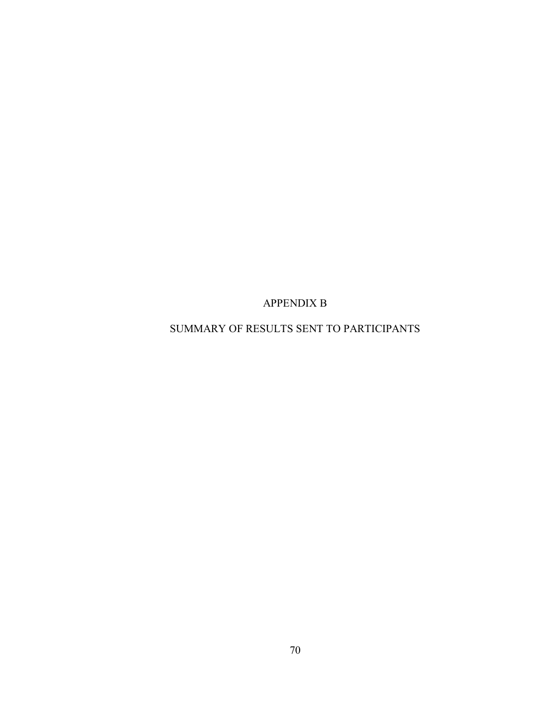APPENDIX B

SUMMARY OF RESULTS SENT TO PARTICIPANTS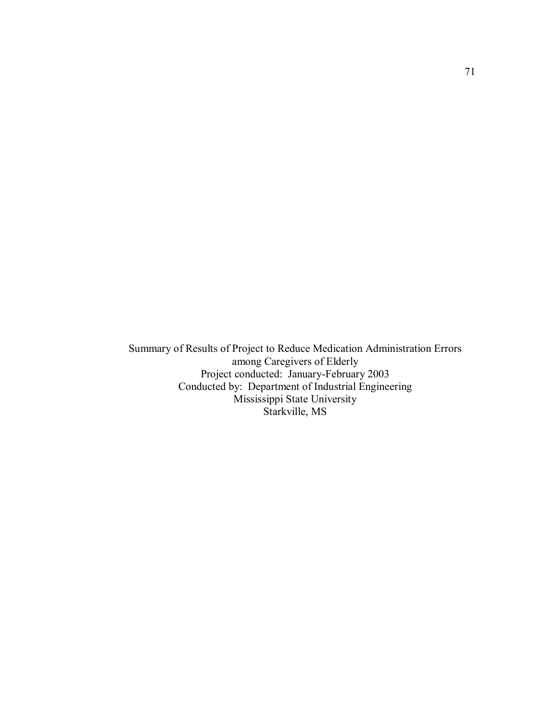Summary of Results of Project to Reduce Medication Administration Errors among Caregivers of Elderly Project conducted: January-February 2003 Conducted by: Department of Industrial Engineering Mississippi State University Starkville, MS

71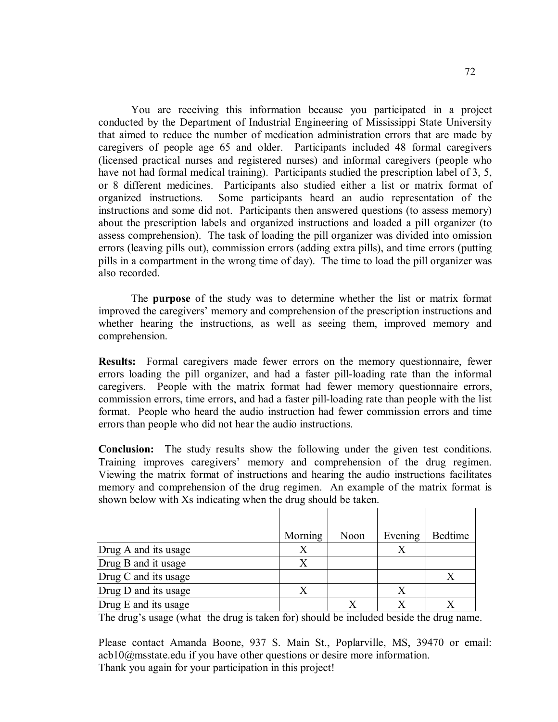You are receiving this information because you participated in a project conducted by the Department of Industrial Engineering of Mississippi State University that aimed to reduce the number of medication administration errors that are made by caregivers of people age 65 and older. Participants included 48 formal caregivers (licensed practical nurses and registered nurses) and informal caregivers (people who have not had formal medical training). Participants studied the prescription label of 3, 5, or 8 different medicines. Participants also studied either a list or matrix format of organized instructions. Some participants heard an audio representation of the instructions and some did not. Participants then answered questions (to assess memory) about the prescription labels and organized instructions and loaded a pill organizer (to assess comprehension). The task of loading the pill organizer was divided into omission errors (leaving pills out), commission errors (adding extra pills), and time errors (putting pills in a compartment in the wrong time of day). The time to load the pill organizer was also recorded.

The **purpose** of the study was to determine whether the list or matrix format improved the caregivers' memory and comprehension of the prescription instructions and whether hearing the instructions, as well as seeing them, improved memory and comprehension.

**Results:** Formal caregivers made fewer errors on the memory questionnaire, fewer errors loading the pill organizer, and had a faster pill-loading rate than the informal caregivers. People with the matrix format had fewer memory questionnaire errors, commission errors, time errors, and had a faster pill-loading rate than people with the list format. People who heard the audio instruction had fewer commission errors and time errors than people who did not hear the audio instructions.

**Conclusion:** The study results show the following under the given test conditions. Training improves caregivers' memory and comprehension of the drug regimen. Viewing the matrix format of instructions and hearing the audio instructions facilitates memory and comprehension of the drug regimen. An example of the matrix format is shown below with Xs indicating when the drug should be taken.

|                      | Morning | Noon | Evening | <b>Bedtime</b> |
|----------------------|---------|------|---------|----------------|
| Drug A and its usage | Χ       |      |         |                |
| Drug B and it usage  | Χ       |      |         |                |
| Drug C and its usage |         |      |         | Х              |
| Drug D and its usage |         |      |         |                |
| Drug E and its usage |         |      |         |                |

The drug's usage (what the drug is taken for) should be included beside the drug name.

Please contact Amanda Boone, 937 S. Main St., Poplarville, MS, 39470 or email: acb10@msstate.edu if you have other questions or desire more information. Thank you again for your participation in this project!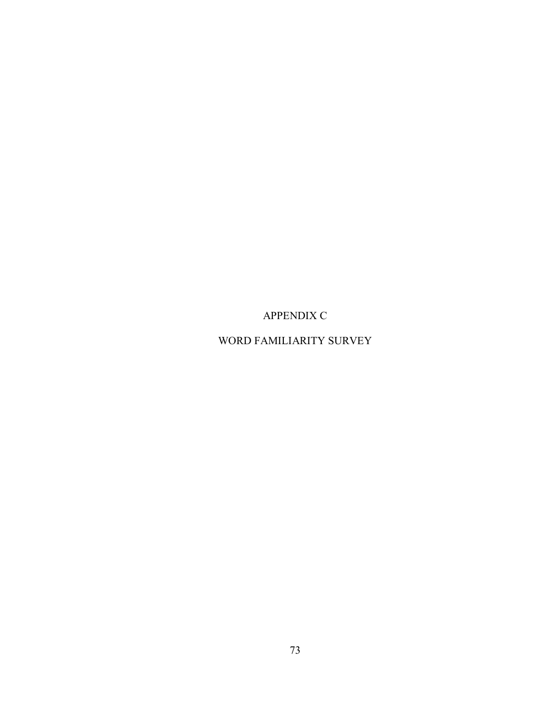APPENDIX C

WORD FAMILIARITY SURVEY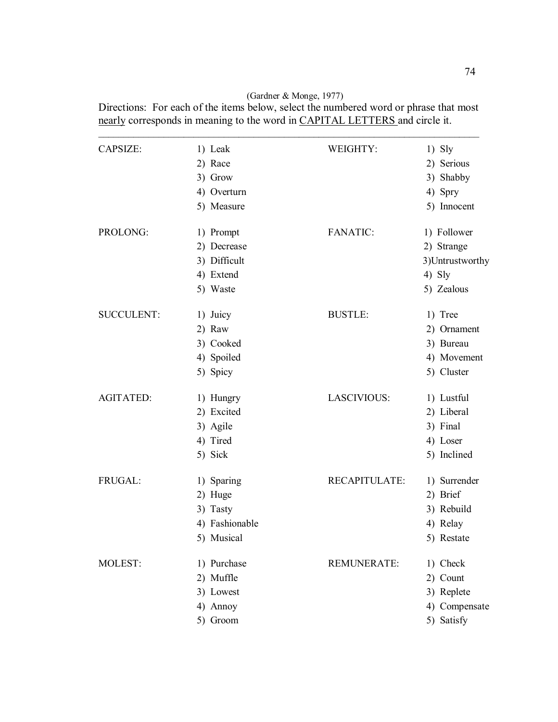(Gardner & Monge, 1977)

| Directions: For each of the items below, select the numbered word or phrase that most |
|---------------------------------------------------------------------------------------|
| nearly corresponds in meaning to the word in CAPITAL LETTERS and circle it.           |

| CAPSIZE:          | 1) Leak        | WEIGHTY:           | $1)$ Sly         |
|-------------------|----------------|--------------------|------------------|
|                   | 2) Race        |                    | 2) Serious       |
|                   | 3) Grow        |                    | 3) Shabby        |
|                   | 4) Overturn    |                    | 4) Spry          |
|                   | 5) Measure     |                    | 5) Innocent      |
| PROLONG:          | 1) Prompt      | <b>FANATIC:</b>    | 1) Follower      |
|                   | 2) Decrease    |                    | 2) Strange       |
|                   | 3) Difficult   |                    | 3) Untrustworthy |
|                   | 4) Extend      |                    | $4)$ Sly         |
|                   | 5) Waste       |                    | 5) Zealous       |
| <b>SUCCULENT:</b> | 1) Juicy       | <b>BUSTLE:</b>     | 1) Tree          |
|                   | 2) Raw         |                    | 2) Ornament      |
|                   | 3) Cooked      |                    | 3) Bureau        |
|                   | 4) Spoiled     |                    | 4) Movement      |
|                   | 5) Spicy       |                    | 5) Cluster       |
| <b>AGITATED:</b>  | 1) Hungry      | LASCIVIOUS:        | 1) Lustful       |
|                   | 2) Excited     |                    | 2) Liberal       |
|                   | 3) Agile       |                    | 3) Final         |
|                   | 4) Tired       |                    | 4) Loser         |
|                   | 5) Sick        |                    | 5) Inclined      |
| FRUGAL:           | 1) Sparing     | RECAPITULATE:      | 1) Surrender     |
|                   | 2) Huge        |                    | 2) Brief         |
|                   | 3) Tasty       |                    | 3) Rebuild       |
|                   | 4) Fashionable |                    | 4) Relay         |
|                   | 5) Musical     |                    | 5) Restate       |
| MOLEST:           | 1) Purchase    | <b>REMUNERATE:</b> | 1) Check         |
|                   | 2) Muffle      |                    | 2) Count         |
|                   | 3) Lowest      |                    | 3) Replete       |
|                   | 4) Annoy       |                    | 4) Compensate    |
|                   | 5) Groom       |                    | 5) Satisfy       |
|                   |                |                    |                  |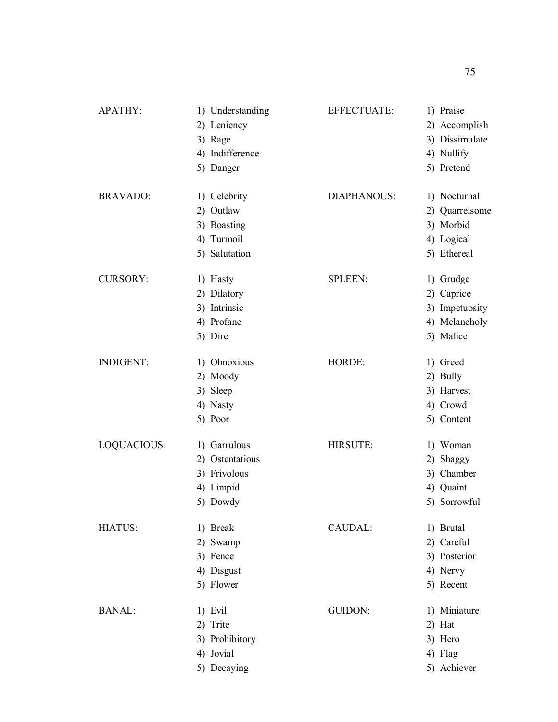| APATHY:          | 1) Understanding | <b>EFFECTUATE:</b> | 1) Praise      |
|------------------|------------------|--------------------|----------------|
|                  | 2) Leniency      |                    | 2) Accomplish  |
|                  | 3) Rage          |                    | 3) Dissimulate |
|                  | 4) Indifference  |                    | 4) Nullify     |
|                  | 5) Danger        |                    | 5) Pretend     |
| <b>BRAVADO:</b>  | 1) Celebrity     | <b>DIAPHANOUS:</b> | 1) Nocturnal   |
|                  | 2) Outlaw        |                    | 2) Quarrelsome |
|                  | 3) Boasting      |                    | 3) Morbid      |
|                  | 4) Turmoil       |                    | 4) Logical     |
|                  | 5) Salutation    |                    | 5) Ethereal    |
| <b>CURSORY:</b>  | 1) Hasty         | <b>SPLEEN:</b>     | 1) Grudge      |
|                  | 2) Dilatory      |                    | 2) Caprice     |
|                  | 3) Intrinsic     |                    | 3) Impetuosity |
|                  | 4) Profane       |                    | 4) Melancholy  |
|                  | 5) Dire          |                    | 5) Malice      |
| <b>INDIGENT:</b> | 1) Obnoxious     | HORDE:             | 1) Greed       |
|                  | 2) Moody         |                    | 2) Bully       |
|                  | 3) Sleep         |                    | 3) Harvest     |
|                  | 4) Nasty         |                    | 4) Crowd       |
|                  | 5) Poor          |                    | 5) Content     |
| LOQUACIOUS:      | 1) Garrulous     | HIRSUTE:           | 1) Woman       |
|                  | 2) Ostentatious  |                    | 2) Shaggy      |
|                  | 3) Frivolous     |                    | 3) Chamber     |
|                  | 4) Limpid        |                    | 4) Quaint      |
|                  | 5) Dowdy         |                    | 5) Sorrowful   |
| <b>HIATUS:</b>   | 1) Break         | CAUDAL:            | 1) Brutal      |
|                  | 2) Swamp         |                    | 2) Careful     |
|                  | 3) Fence         |                    | 3) Posterior   |
|                  | 4) Disgust       |                    | 4) Nervy       |
|                  | 5) Flower        |                    | 5) Recent      |
| <b>BANAL:</b>    | 1) Evil          | <b>GUIDON:</b>     | 1) Miniature   |
|                  | 2) Trite         |                    | $2)$ Hat       |
|                  | 3) Prohibitory   |                    | 3) Hero        |
|                  | 4) Jovial        |                    | 4) Flag        |
|                  | 5) Decaying      |                    | 5) Achiever    |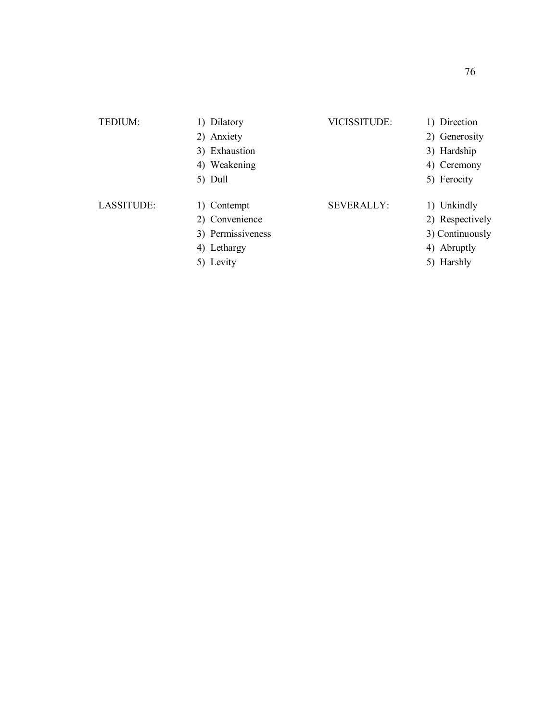| TEDIUM:    | 1) Dilatory       | <b>VICISSITUDE:</b> | 1) Direction    |
|------------|-------------------|---------------------|-----------------|
|            | 2) Anxiety        |                     | 2) Generosity   |
|            | 3) Exhaustion     |                     | 3) Hardship     |
|            | 4) Weakening      |                     | 4) Ceremony     |
|            | 5) Dull           |                     | 5) Ferocity     |
| LASSITUDE: | 1) Contempt       | <b>SEVERALLY:</b>   | 1) Unkindly     |
|            | 2) Convenience    |                     | 2) Respectively |
|            | 3) Permissiveness |                     | 3) Continuously |
|            | 4) Lethargy       |                     | 4) Abruptly     |
|            | 5) Levity         |                     | 5) Harshly      |
|            |                   |                     |                 |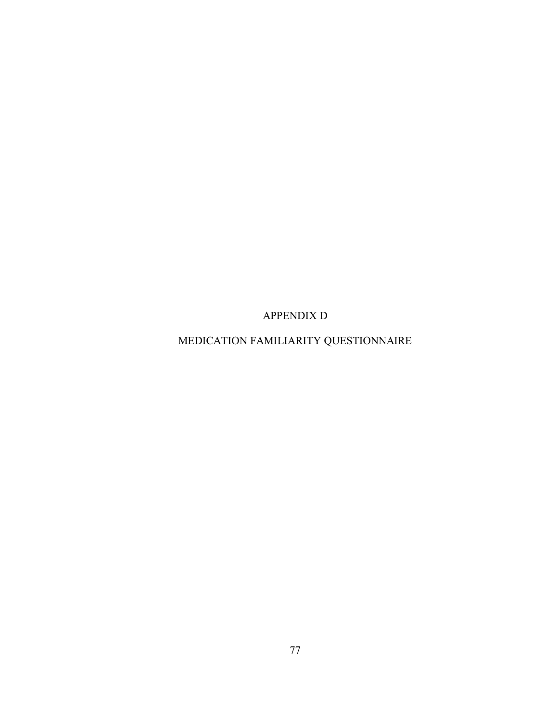APPENDIX D

MEDICATION FAMILIARITY QUESTIONNAIRE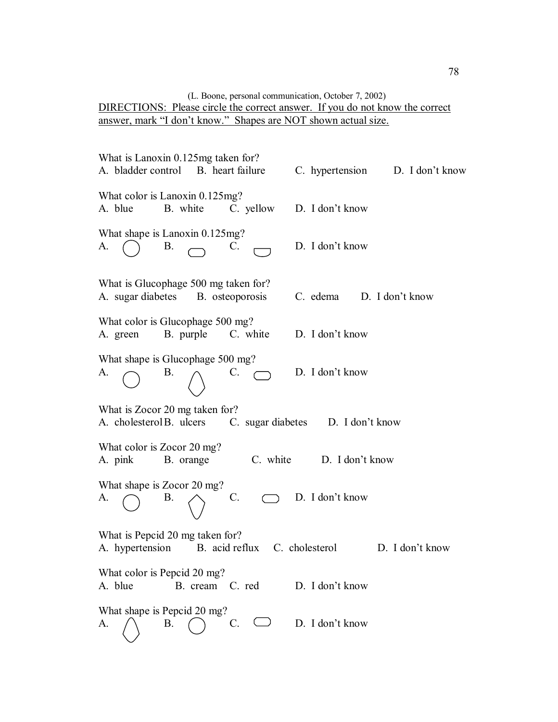### (L. Boone, personal communication, October 7, 2002) DIRECTIONS: Please circle the correct answer. If you do not know the correct answer, mark "I don't know." Shapes are NOT shown actual size.

What is Lanoxin 0.125mg taken for? A. bladder control B. heart failure C. hypertension D. I don't know What color is Lanoxin 0.125mg? A. blue B. white C. yellow D. I don't know What shape is Lanoxin 0.125mg? A.  $\bigcap$  B.  $\bigcap$  C.  $\bigcap$  D. I don't know What is Glucophage 500 mg taken for? A. sugar diabetes B. osteoporosis C. edema D. I don't know What color is Glucophage 500 mg? A. green B. purple C. white D. I don't know What shape is Glucophage 500 mg? A.  $\bigcap$  B.  $\bigcap$  C.  $\bigcap$  D. I don't know What is Zocor 20 mg taken for? A. cholesterol B. ulcers C. sugar diabetes D. I don't know What color is Zocor 20 mg? A. pink B. orange C. white D. I don't know What shape is Zocor 20 mg? A.  $\bigcap$  B.  $\bigtriangleup$  C.  $\bigcap$  D. I don't know What is Pepcid 20 mg taken for? A. hypertension B. acid reflux C. cholesterol D. I don't know What color is Pepcid 20 mg? A. blue B. cream C. red D. I don't know What shape is Pepcid 20 mg? A.  $\land$  B.  $\land$  C.  $\circ$  D. I don't know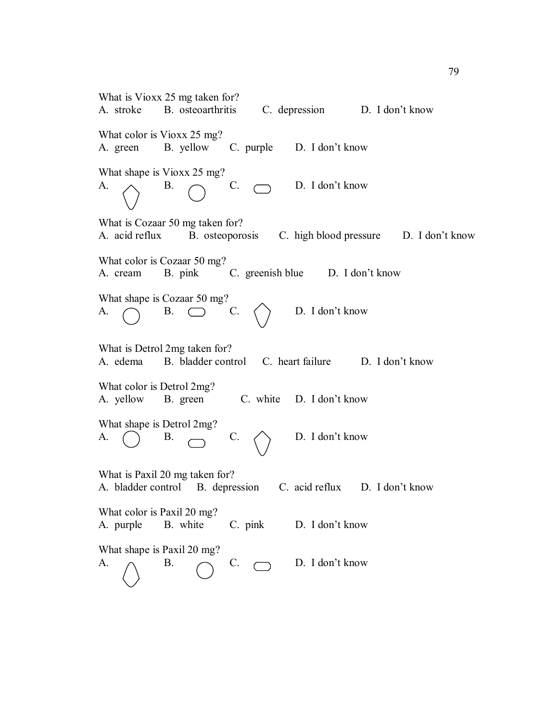| What is Vioxx 25 mg taken for?<br>A. stroke B. osteoarthritis<br>C. depression D. I don't know                 |
|----------------------------------------------------------------------------------------------------------------|
| What color is Vioxx 25 mg?<br>B. yellow C. purple D. I don't know<br>A. green                                  |
| What shape is Vioxx 25 mg?<br>D. I don't know<br>$C. \quad \Box$<br>A.<br><b>B.</b>                            |
| What is Cozaar 50 mg taken for?<br>A. acid reflux<br>B. osteoporosis<br>C. high blood pressure D. I don't know |
| What color is Cozaar 50 mg?<br>B. pink C. greenish blue D. I don't know<br>A. cream                            |
| What shape is Cozaar 50 mg?<br>$B.$ $\Box$<br>D. I don't know<br>C.<br>A.                                      |
| What is Detrol 2mg taken for?<br>A. edema B. bladder control C. heart failure D. I don't know                  |
| What color is Detrol 2mg?<br>C. white D. I don't know<br>A. yellow B. green                                    |
| What shape is Detrol 2mg?<br>$\mathcal{C}$ .<br>D. I don't know<br><b>B.</b><br>А.                             |
| What is Paxil 20 mg taken for?<br>A. bladder control B. depression<br>C. acid reflux D. I don't know           |
| What color is Paxil 20 mg?<br>B. white<br>D. I don't know<br>A. purple<br>C. pink                              |
| What shape is Paxil 20 mg?<br>D. I don't know<br>C.<br>A.<br>Β.                                                |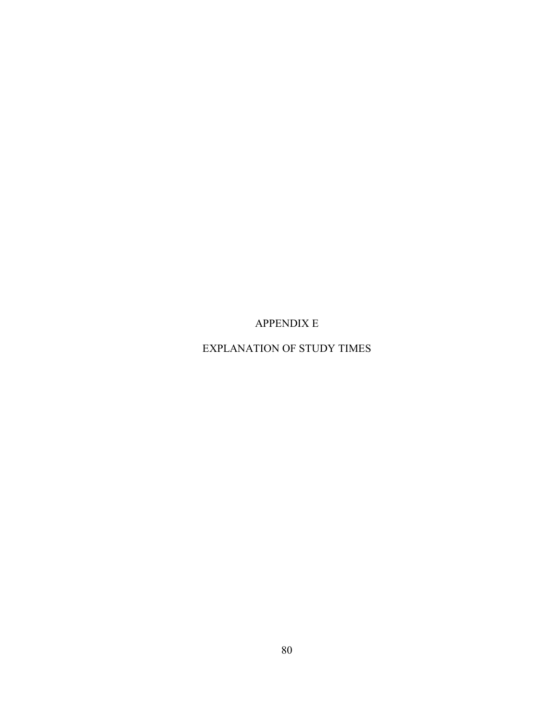APPENDIX E

EXPLANATION OF STUDY TIMES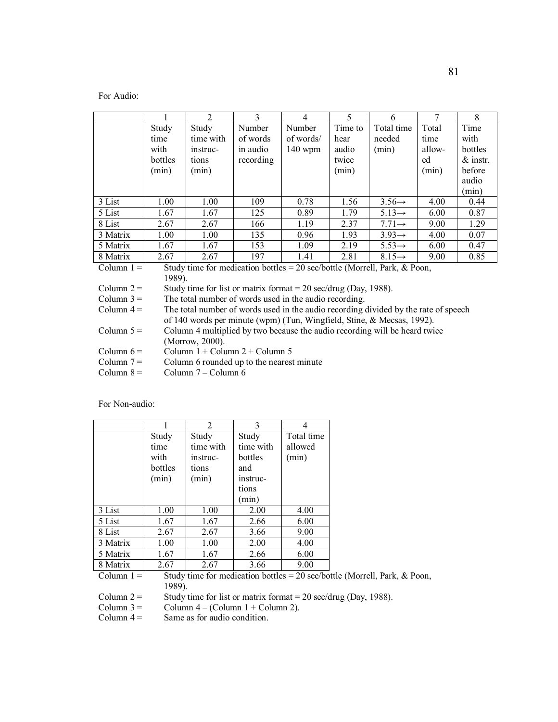For Audio:

|                                                                                           |                                                                   | $\mathfrak{D}$ | 3         | 4         | 5       | 6                  | 7      | 8          |
|-------------------------------------------------------------------------------------------|-------------------------------------------------------------------|----------------|-----------|-----------|---------|--------------------|--------|------------|
|                                                                                           | Study                                                             | Study          | Number    | Number    | Time to | Total time         | Total  | Time       |
|                                                                                           | time                                                              | time with      | of words  | of words/ | hear    | needed             | time   | with       |
|                                                                                           | with                                                              | instruc-       | in audio  | $140$ wpm | audio   | (min)              | allow- | bottles    |
|                                                                                           | bottles                                                           | tions          | recording |           | twice   |                    | ed     | $&$ instr. |
|                                                                                           | (min)                                                             | (min)          |           |           | (min)   |                    | (min)  | before     |
|                                                                                           |                                                                   |                |           |           |         |                    |        | audio      |
|                                                                                           |                                                                   |                |           |           |         |                    |        | (min)      |
| 3 List                                                                                    | 1.00                                                              | 1.00           | 109       | 0.78      | 1.56    | $3.56 \rightarrow$ | 4.00   | 0.44       |
| 5 List                                                                                    | 1.67                                                              | 1.67           | 125       | 0.89      | 1.79    | $5.13 \rightarrow$ | 6.00   | 0.87       |
| 8 List                                                                                    | 2.67                                                              | 2.67           | 166       | 1.19      | 2.37    | $7.71 \rightarrow$ | 9.00   | 1.29       |
| 3 Matrix                                                                                  | 1.00                                                              | 1.00           | 135       | 0.96      | 1.93    | $3.93 \rightarrow$ | 4.00   | 0.07       |
| 5 Matrix                                                                                  | 1.67                                                              | 1.67           | 153       | 1.09      | 2.19    | $5.53 \rightarrow$ | 6.00   | 0.47       |
| 8 Matrix                                                                                  | 2.67                                                              | 2.67           | 197       | 1.41      | 2.81    | $8.15 \rightarrow$ | 9.00   | 0.85       |
| Column $1 =$<br>Study time for medication bottles = 20 sec/bottle (Morrell, Park, & Poon, |                                                                   |                |           |           |         |                    |        |            |
| 1989).                                                                                    |                                                                   |                |           |           |         |                    |        |            |
| Column $2 =$                                                                              | Study time for list or matrix format $= 20$ sec/drug (Day, 1988). |                |           |           |         |                    |        |            |
| Column $3 =$                                                                              | The total number of words used in the audio recording.            |                |           |           |         |                    |        |            |

Column  $4 =$  The total number of words used in the audio recording divided by the rate of speech of 140 words per minute (wpm) (Tun, Wingfield, Stine, & Mecsas, 1992).

| Column 5 = | Column 4 multiplied by two because the audio recording will be heard twice |
|------------|----------------------------------------------------------------------------|
|            | (Morrow, 2000).                                                            |
| --         |                                                                            |

Column  $7 =$  Column 6 rounded up to the nearest minute<br>Column  $8 =$  Column  $7 -$ Column 6

Column  $7 -$ Column 6

For Non-audio:

|          |         | $\overline{2}$ | 3         |            |
|----------|---------|----------------|-----------|------------|
|          | Study   | Study          | Study     | Total time |
|          | time    | time with      | time with | allowed    |
|          | with    | instruc-       | bottles   | (min)      |
|          | bottles | tions          | and       |            |
|          | (min)   | (min)          | instruc-  |            |
|          |         |                | tions     |            |
|          |         |                | (min)     |            |
| 3 List   | 1.00    | 1.00           | 2.00      | 4.00       |
| 5 List   | 1.67    | 1.67           | 2.66      | 6.00       |
| 8 List   | 2.67    | 2.67           | 3.66      | 9.00       |
| 3 Matrix | 1.00    | 1.00           | 2.00      | 4.00       |
| 5 Matrix | 1.67    | 1.67           | 2.66      | 6.00       |
| 8 Matrix | 2.67    | 2.67           | 3.66      | 9.00       |

Column  $1 =$  Study time for medication bottles = 20 sec/bottle (Morrell, Park, & Poon, Column 2 =  $\frac{1989}{5}$ .

Column 2 = Study time for list or matrix format = 20 sec/drug (Day, 1988).<br>Column 3 = Column 4 – (Column 1 + Column 2).

Column 3 = Column 4 – (Column 1 + Column 2).<br>Column 4 = Same as for audio condition.

Same as for audio condition.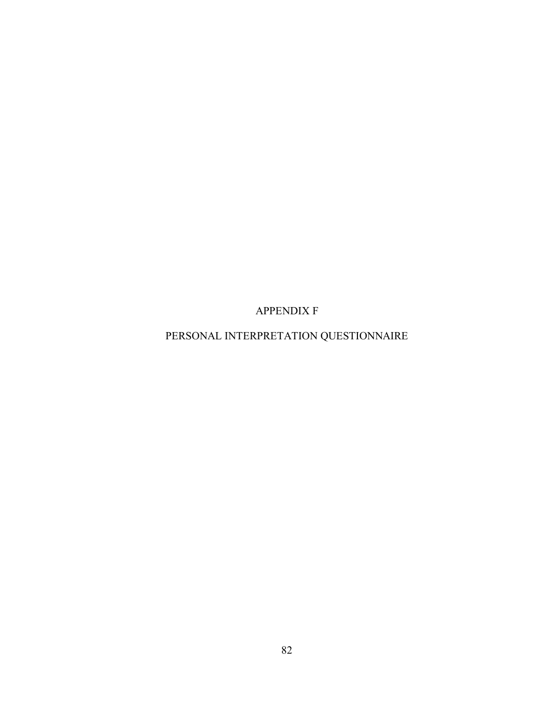APPENDIX F

PERSONAL INTERPRETATION QUESTIONNAIRE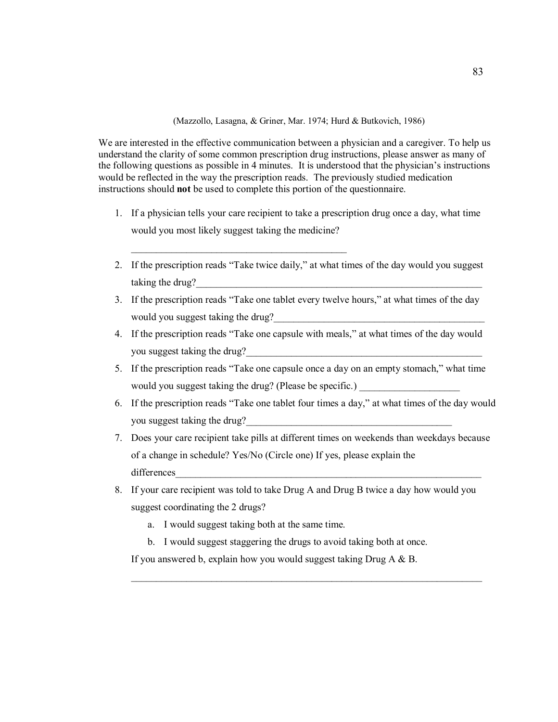(Mazzollo, Lasagna, & Griner, Mar. 1974; Hurd & Butkovich, 1986)

We are interested in the effective communication between a physician and a caregiver. To help us understand the clarity of some common prescription drug instructions, please answer as many of the following questions as possible in 4 minutes. It is understood that the physician's instructions would be reflected in the way the prescription reads. The previously studied medication instructions should **not** be used to complete this portion of the questionnaire.

- 1. If a physician tells your care recipient to take a prescription drug once a day, what time would you most likely suggest taking the medicine?
- 2. If the prescription reads "Take twice daily," at what times of the day would you suggest taking the drug?
- 3. If the prescription reads "Take one tablet every twelve hours," at what times of the day would you suggest taking the drug?
- 4. If the prescription reads "Take one capsule with meals," at what times of the day would you suggest taking the drug?
- 5. If the prescription reads "Take one capsule once a day on an empty stomach," what time would you suggest taking the drug? (Please be specific.)
- 6. If the prescription reads "Take one tablet four times a day," at what times of the day would you suggest taking the drug?
- 7. Does your care recipient take pills at different times on weekends than weekdays because of a change in schedule? Yes/No (Circle one) If yes, please explain the differences
- 8. If your care recipient was told to take Drug A and Drug B twice a day how would you suggest coordinating the 2 drugs?

 $\mathcal{L}_\mathcal{L} = \{ \mathcal{L}_\mathcal{L} = \{ \mathcal{L}_\mathcal{L} = \{ \mathcal{L}_\mathcal{L} = \{ \mathcal{L}_\mathcal{L} = \{ \mathcal{L}_\mathcal{L} = \{ \mathcal{L}_\mathcal{L} = \{ \mathcal{L}_\mathcal{L} = \{ \mathcal{L}_\mathcal{L} = \{ \mathcal{L}_\mathcal{L} = \{ \mathcal{L}_\mathcal{L} = \{ \mathcal{L}_\mathcal{L} = \{ \mathcal{L}_\mathcal{L} = \{ \mathcal{L}_\mathcal{L} = \{ \mathcal{L}_\mathcal{$ 

a. I would suggest taking both at the same time.

 $\mathcal{L}_\text{max}$  and  $\mathcal{L}_\text{max}$  and  $\mathcal{L}_\text{max}$ 

b. I would suggest staggering the drugs to avoid taking both at once.

If you answered b, explain how you would suggest taking Drug A & B.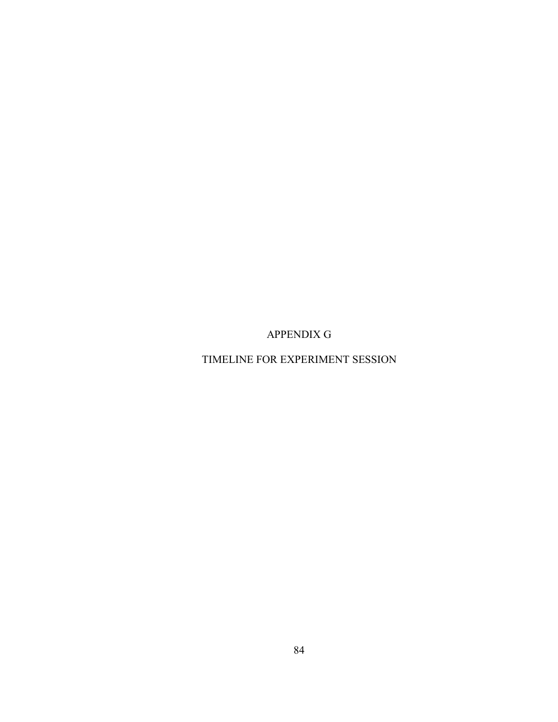APPENDIX G

TIMELINE FOR EXPERIMENT SESSION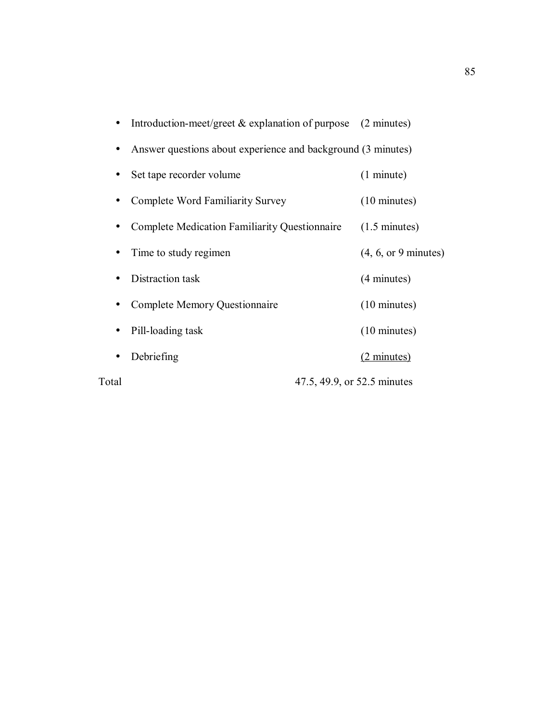|           | Introduction-meet/greet $&$ explanation of purpose (2 minutes) |                             |                         |
|-----------|----------------------------------------------------------------|-----------------------------|-------------------------|
|           | Answer questions about experience and background (3 minutes)   |                             |                         |
| $\bullet$ | Set tape recorder volume                                       |                             | (1 minute)              |
|           | Complete Word Familiarity Survey                               |                             | $(10 \text{ minutes})$  |
|           | Complete Medication Familiarity Questionnaire                  |                             | $(1.5 \text{ minutes})$ |
| $\bullet$ | Time to study regimen                                          |                             | (4, 6, or 9 minutes)    |
|           | Distraction task                                               |                             | (4 minutes)             |
|           | Complete Memory Questionnaire                                  |                             | $(10 \text{ minutes})$  |
| $\bullet$ | Pill-loading task                                              |                             | $(10 \text{ minutes})$  |
|           | Debriefing                                                     |                             | $(2 \text{ minutes})$   |
| Total     |                                                                | 47.5, 49.9, or 52.5 minutes |                         |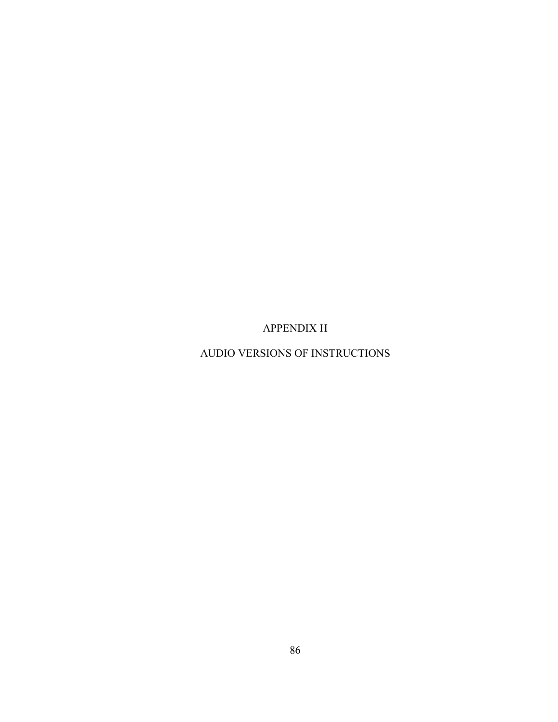APPENDIX H

AUDIO VERSIONS OF INSTRUCTIONS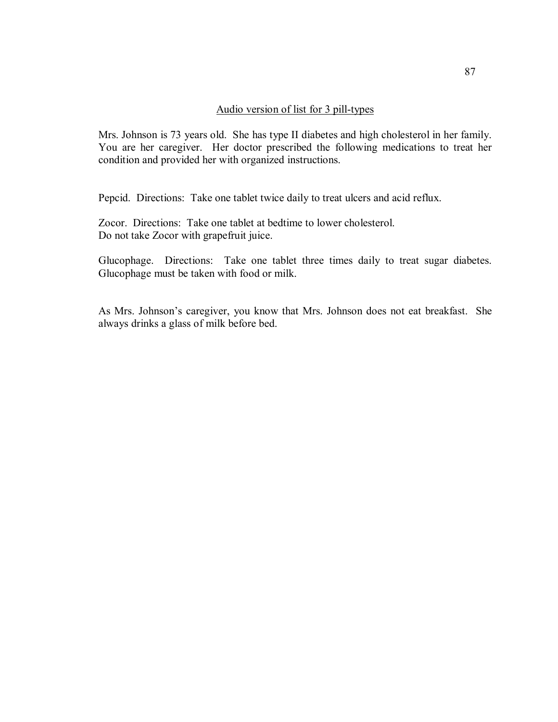#### Audio version of list for 3 pill-types

Mrs. Johnson is 73 years old. She has type II diabetes and high cholesterol in her family. You are her caregiver. Her doctor prescribed the following medications to treat her condition and provided her with organized instructions.

Pepcid. Directions: Take one tablet twice daily to treat ulcers and acid reflux.

Zocor. Directions: Take one tablet at bedtime to lower cholesterol. Do not take Zocor with grapefruit juice.

Glucophage. Directions: Take one tablet three times daily to treat sugar diabetes. Glucophage must be taken with food or milk.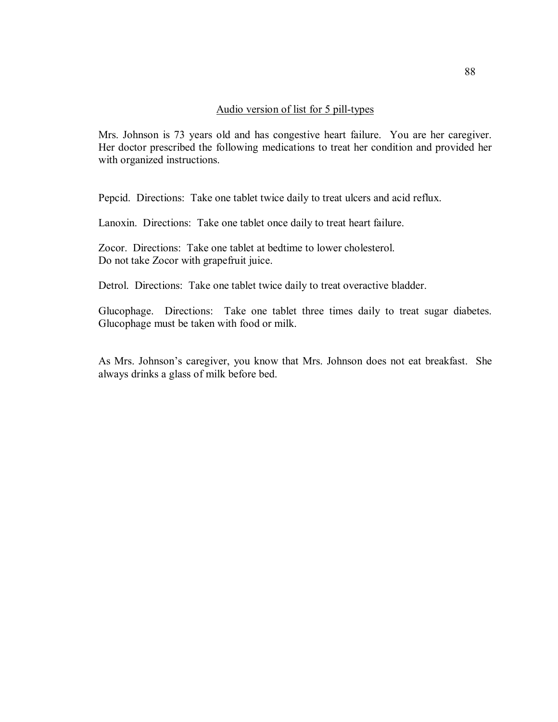#### Audio version of list for 5 pill-types

Mrs. Johnson is 73 years old and has congestive heart failure. You are her caregiver. Her doctor prescribed the following medications to treat her condition and provided her with organized instructions.

Pepcid. Directions: Take one tablet twice daily to treat ulcers and acid reflux.

Lanoxin. Directions: Take one tablet once daily to treat heart failure.

Zocor. Directions: Take one tablet at bedtime to lower cholesterol. Do not take Zocor with grapefruit juice.

Detrol. Directions: Take one tablet twice daily to treat overactive bladder.

Glucophage. Directions: Take one tablet three times daily to treat sugar diabetes. Glucophage must be taken with food or milk.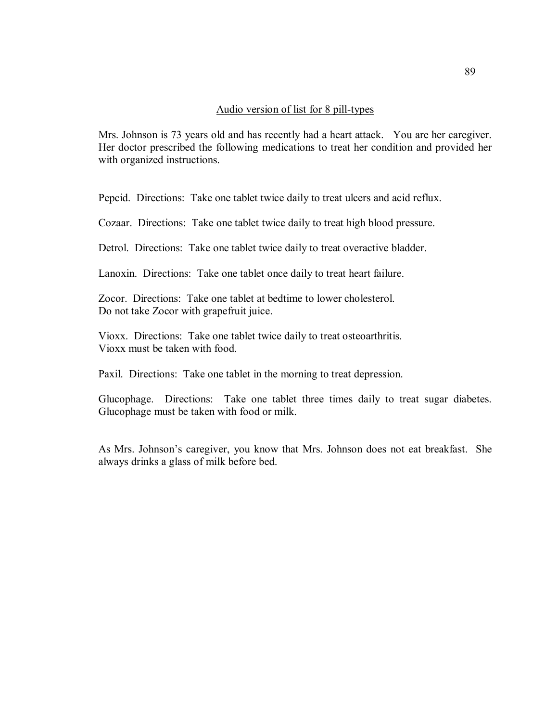#### Audio version of list for 8 pill-types

Mrs. Johnson is 73 years old and has recently had a heart attack. You are her caregiver. Her doctor prescribed the following medications to treat her condition and provided her with organized instructions.

Pepcid. Directions: Take one tablet twice daily to treat ulcers and acid reflux.

Cozaar. Directions: Take one tablet twice daily to treat high blood pressure.

Detrol. Directions: Take one tablet twice daily to treat overactive bladder.

Lanoxin. Directions: Take one tablet once daily to treat heart failure.

Zocor. Directions: Take one tablet at bedtime to lower cholesterol. Do not take Zocor with grapefruit juice.

Vioxx. Directions: Take one tablet twice daily to treat osteoarthritis. Vioxx must be taken with food.

Paxil. Directions: Take one tablet in the morning to treat depression.

Glucophage. Directions: Take one tablet three times daily to treat sugar diabetes. Glucophage must be taken with food or milk.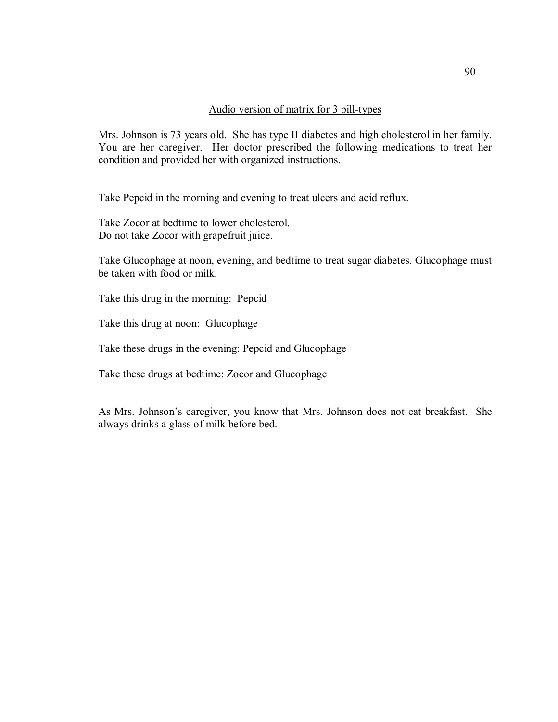### Audio version of matrix for 3 pill-types

Mrs. Johnson is 73 years old. She has type II diabetes and high cholesterol in her family. You are her caregiver. Her doctor prescribed the following medications to treat her condition and provided her with organized instructions.

Take Pepcid in the morning and evening to treat ulcers and acid reflux.

Take Zocor at bedtime to lower cholesterol. Do not take Zocor with grapefruit juice.

Take Glucophage at noon, evening, and bedtime to treat sugar diabetes. Glucophage must be taken with food or milk.

Take this drug in the morning: Pepcid

Take this drug at noon: Glucophage

Take these drugs in the evening: Pepcid and Glucophage

Take these drugs at bedtime: Zocor and Glucophage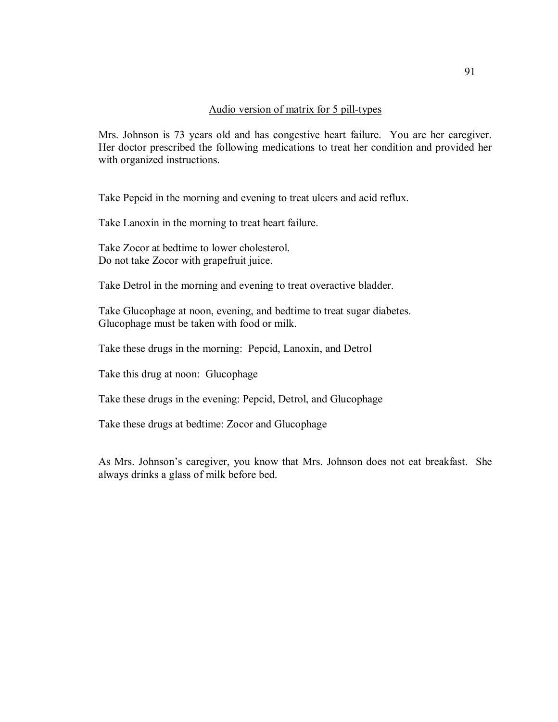#### Audio version of matrix for 5 pill-types

Mrs. Johnson is 73 years old and has congestive heart failure. You are her caregiver. Her doctor prescribed the following medications to treat her condition and provided her with organized instructions.

Take Pepcid in the morning and evening to treat ulcers and acid reflux.

Take Lanoxin in the morning to treat heart failure.

Take Zocor at bedtime to lower cholesterol. Do not take Zocor with grapefruit juice.

Take Detrol in the morning and evening to treat overactive bladder.

Take Glucophage at noon, evening, and bedtime to treat sugar diabetes. Glucophage must be taken with food or milk.

Take these drugs in the morning: Pepcid, Lanoxin, and Detrol

Take this drug at noon: Glucophage

Take these drugs in the evening: Pepcid, Detrol, and Glucophage

Take these drugs at bedtime: Zocor and Glucophage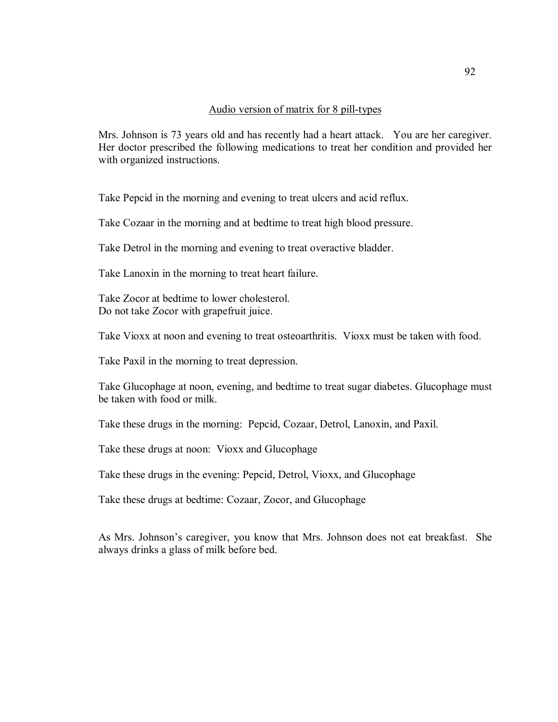#### Audio version of matrix for 8 pill-types

Mrs. Johnson is 73 years old and has recently had a heart attack. You are her caregiver. Her doctor prescribed the following medications to treat her condition and provided her with organized instructions.

Take Pepcid in the morning and evening to treat ulcers and acid reflux.

Take Cozaar in the morning and at bedtime to treat high blood pressure.

Take Detrol in the morning and evening to treat overactive bladder.

Take Lanoxin in the morning to treat heart failure.

Take Zocor at bedtime to lower cholesterol. Do not take Zocor with grapefruit juice.

Take Vioxx at noon and evening to treat osteoarthritis. Vioxx must be taken with food.

Take Paxil in the morning to treat depression.

Take Glucophage at noon, evening, and bedtime to treat sugar diabetes. Glucophage must be taken with food or milk.

Take these drugs in the morning: Pepcid, Cozaar, Detrol, Lanoxin, and Paxil.

Take these drugs at noon: Vioxx and Glucophage

Take these drugs in the evening: Pepcid, Detrol, Vioxx, and Glucophage

Take these drugs at bedtime: Cozaar, Zocor, and Glucophage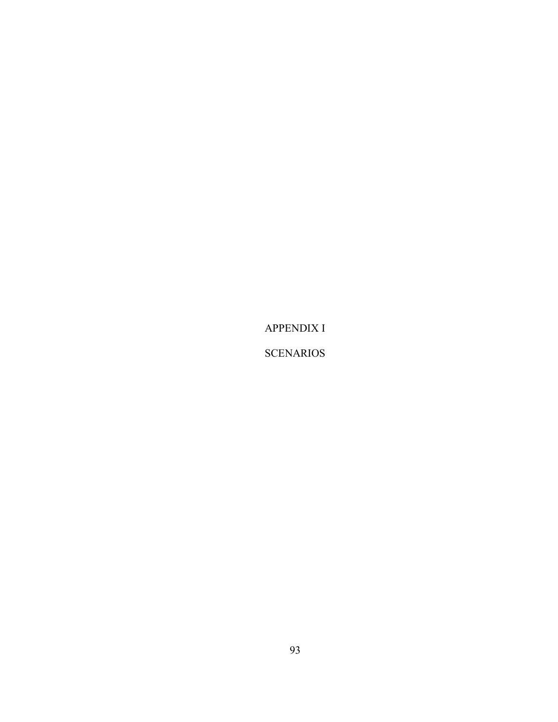APPENDIX I

**SCENARIOS**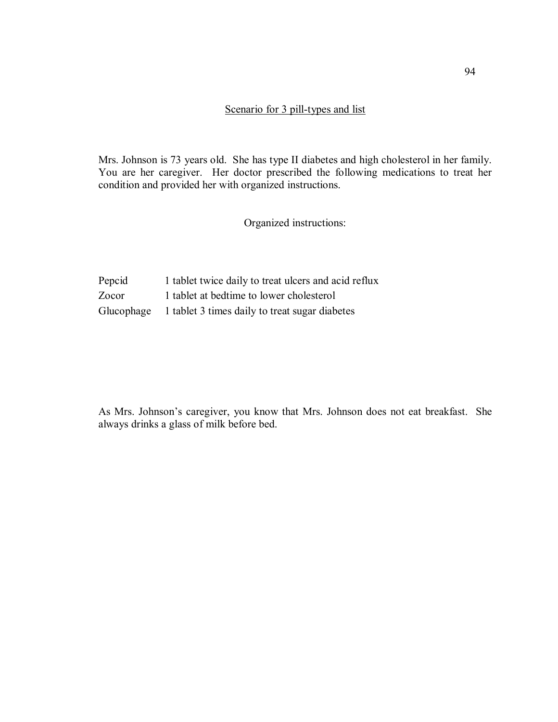#### Scenario for 3 pill-types and list

Mrs. Johnson is 73 years old. She has type II diabetes and high cholesterol in her family. You are her caregiver. Her doctor prescribed the following medications to treat her condition and provided her with organized instructions.

Organized instructions:

Pepcid 1 tablet twice daily to treat ulcers and acid reflux Zocor 1 tablet at bedtime to lower cholesterol Glucophage 1 tablet 3 times daily to treat sugar diabetes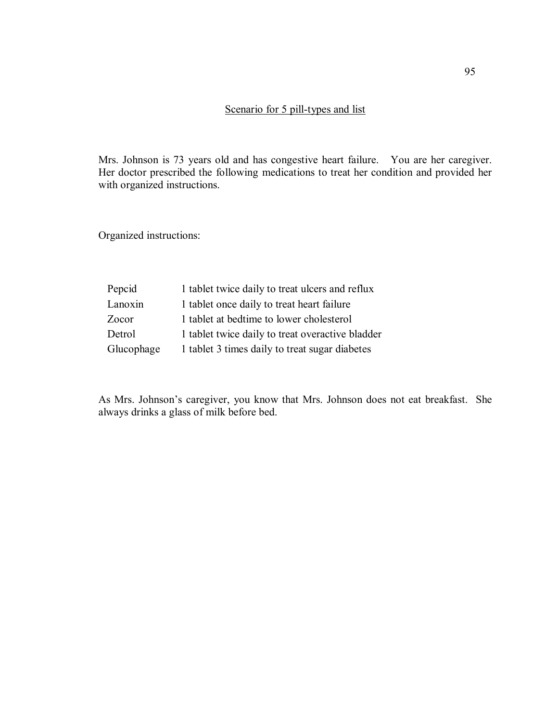## Scenario for 5 pill-types and list

Mrs. Johnson is 73 years old and has congestive heart failure. You are her caregiver. Her doctor prescribed the following medications to treat her condition and provided her with organized instructions.

Organized instructions:

| Pepcid     | 1 tablet twice daily to treat ulcers and reflux  |
|------------|--------------------------------------------------|
| Lanoxin    | 1 tablet once daily to treat heart failure       |
| Zocor      | 1 tablet at bedtime to lower cholesterol         |
| Detrol     | 1 tablet twice daily to treat overactive bladder |
| Glucophage | 1 tablet 3 times daily to treat sugar diabetes   |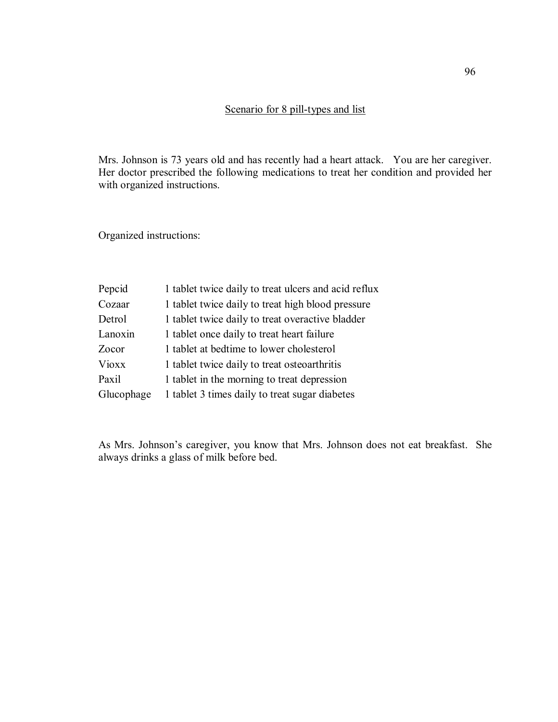## Scenario for 8 pill-types and list

Mrs. Johnson is 73 years old and has recently had a heart attack. You are her caregiver. Her doctor prescribed the following medications to treat her condition and provided her with organized instructions.

Organized instructions:

| Pepcid       | 1 tablet twice daily to treat ulcers and acid reflux |
|--------------|------------------------------------------------------|
| Cozaar       | 1 tablet twice daily to treat high blood pressure    |
| Detrol       | 1 tablet twice daily to treat overactive bladder     |
| Lanoxin      | 1 tablet once daily to treat heart failure           |
| Zocor        | 1 tablet at bedtime to lower cholesterol             |
| <b>Vioxx</b> | 1 tablet twice daily to treat osteoarthritis         |
| Paxil        | 1 tablet in the morning to treat depression          |
| Glucophage   | 1 tablet 3 times daily to treat sugar diabetes       |
|              |                                                      |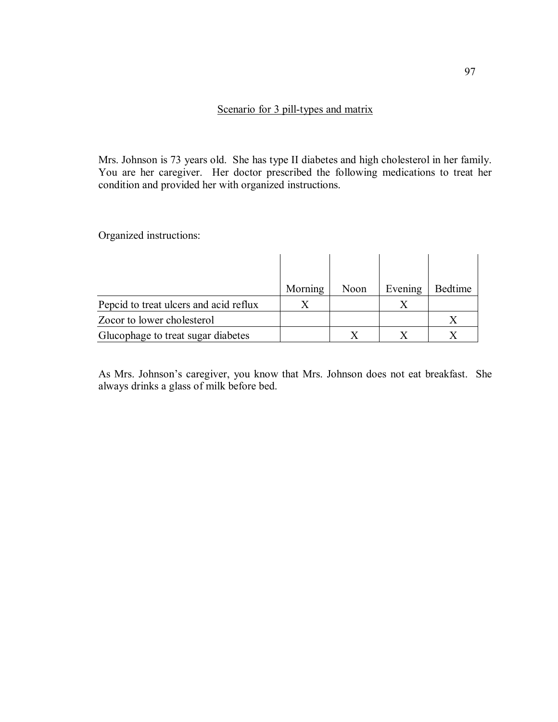## Scenario for 3 pill-types and matrix

Mrs. Johnson is 73 years old. She has type II diabetes and high cholesterol in her family. You are her caregiver. Her doctor prescribed the following medications to treat her condition and provided her with organized instructions.

Organized instructions:

|                                        | Morning | Noon | Evening | Bedtime |
|----------------------------------------|---------|------|---------|---------|
| Pepcid to treat ulcers and acid reflux |         |      |         |         |
| Zocor to lower cholesterol             |         |      |         |         |
| Glucophage to treat sugar diabetes     |         |      |         |         |

As Mrs. Johnson's caregiver, you know that Mrs. Johnson does not eat breakfast. She always drinks a glass of milk before bed.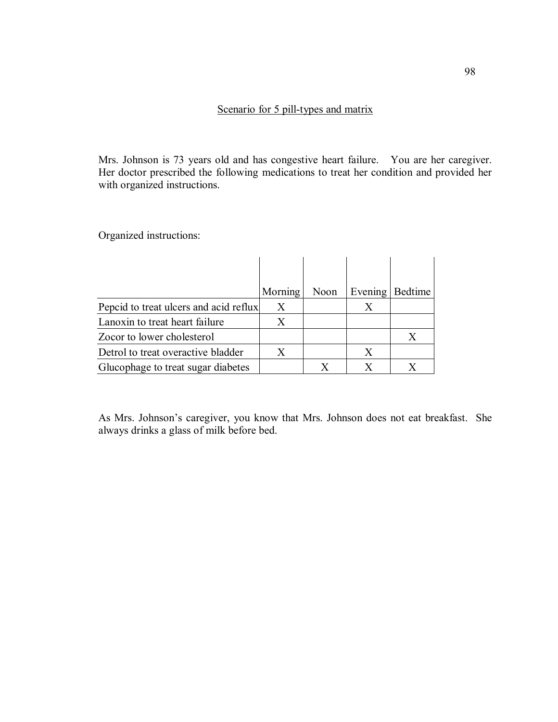## Scenario for 5 pill-types and matrix

Mrs. Johnson is 73 years old and has congestive heart failure. You are her caregiver. Her doctor prescribed the following medications to treat her condition and provided her with organized instructions.

Organized instructions:

|                                        | Morning | Noon | Evening | Bedtime |
|----------------------------------------|---------|------|---------|---------|
| Pepcid to treat ulcers and acid reflux | X       |      | X       |         |
| Lanoxin to treat heart failure         | X       |      |         |         |
| Zocor to lower cholesterol             |         |      |         | X       |
| Detrol to treat overactive bladder     | X       |      | X       |         |
| Glucophage to treat sugar diabetes     |         |      | X       |         |

As Mrs. Johnson's caregiver, you know that Mrs. Johnson does not eat breakfast. She always drinks a glass of milk before bed.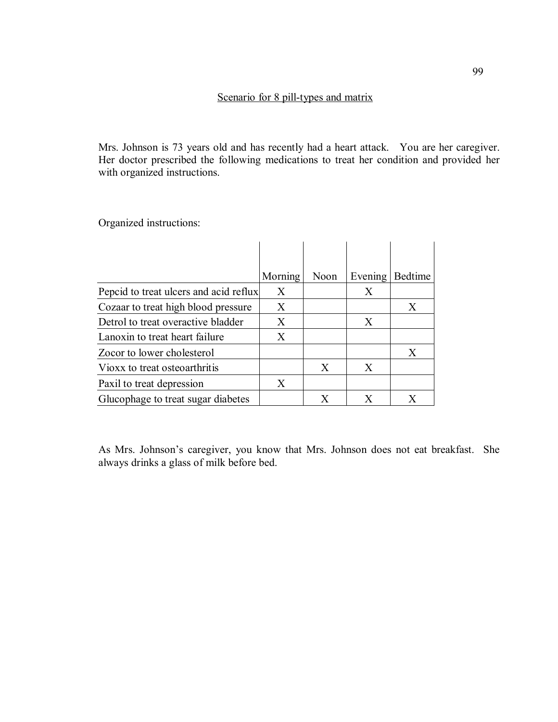Mrs. Johnson is 73 years old and has recently had a heart attack. You are her caregiver. Her doctor prescribed the following medications to treat her condition and provided her with organized instructions.

Organized instructions:

|                                        | Morning | Noon | Evening | <b>Bedtime</b> |
|----------------------------------------|---------|------|---------|----------------|
| Pepcid to treat ulcers and acid reflux | X       |      | X       |                |
| Cozaar to treat high blood pressure    | X       |      |         | X              |
| Detrol to treat overactive bladder     | X       |      | X       |                |
| Lanoxin to treat heart failure         | X       |      |         |                |
| Zocor to lower cholesterol             |         |      |         | X              |
| Vioxx to treat osteoarthritis          |         | X    | X       |                |
| Paxil to treat depression              | X       |      |         |                |
| Glucophage to treat sugar diabetes     |         | X    | X       | X              |

As Mrs. Johnson's caregiver, you know that Mrs. Johnson does not eat breakfast. She always drinks a glass of milk before bed.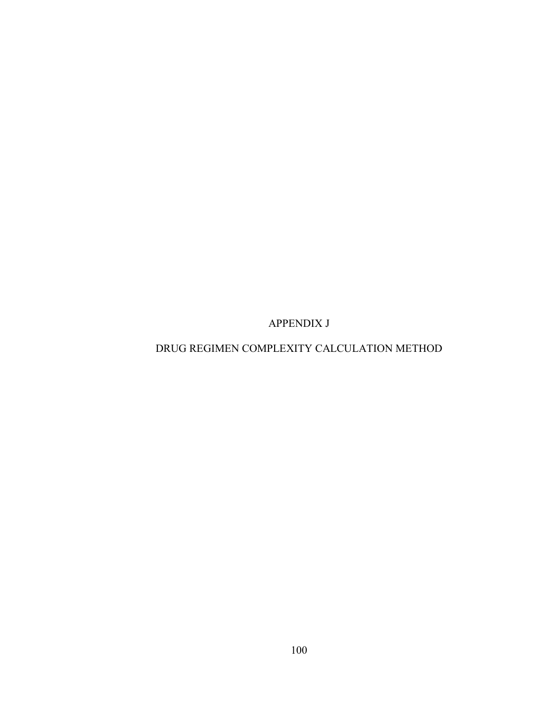APPENDIX J

## DRUG REGIMEN COMPLEXITY CALCULATION METHOD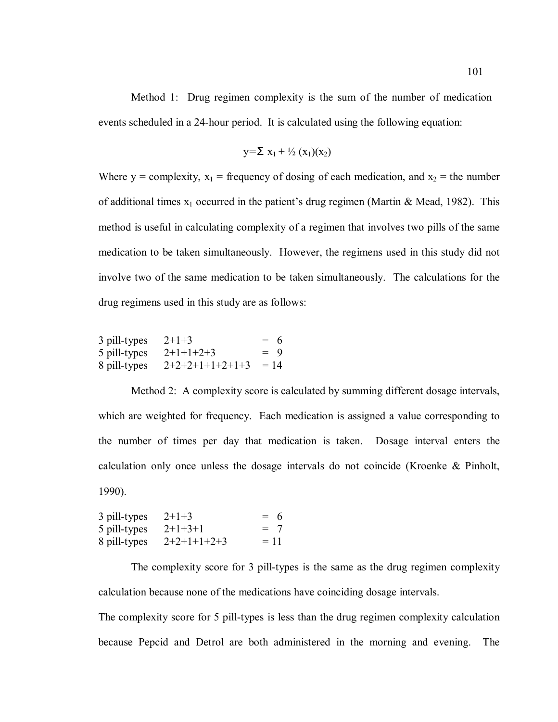Method 1: Drug regimen complexity is the sum of the number of medication events scheduled in a 24-hour period. It is calculated using the following equation:

$$
y = \sum x_1 + \frac{1}{2} (x_1)(x_2)
$$

Where y = complexity,  $x_1$  = frequency of dosing of each medication, and  $x_2$  = the number of additional times  $x_1$  occurred in the patient's drug regimen (Martin & Mead, 1982). This method is useful in calculating complexity of a regimen that involves two pills of the same medication to be taken simultaneously. However, the regimens used in this study did not involve two of the same medication to be taken simultaneously. The calculations for the drug regimens used in this study are as follows:

| 3 pill-types | $2+1+3$           | $= 6$  |
|--------------|-------------------|--------|
| 5 pill-types | $2+1+1+2+3$       | $= 9$  |
| 8 pill-types | $2+2+2+1+1+2+1+3$ | $= 14$ |

Method 2: A complexity score is calculated by summing different dosage intervals, which are weighted for frequency. Each medication is assigned a value corresponding to the number of times per day that medication is taken. Dosage interval enters the calculation only once unless the dosage intervals do not coincide (Kroenke & Pinholt, 1990).

| 3 pill-types | $2+1+3$       | $= 6$ |
|--------------|---------------|-------|
| 5 pill-types | $2+1+3+1$     | $= 7$ |
| 8 pill-types | $2+2+1+1+2+3$ | $=11$ |

The complexity score for 3 pill-types is the same as the drug regimen complexity calculation because none of the medications have coinciding dosage intervals.

The complexity score for 5 pill-types is less than the drug regimen complexity calculation because Pepcid and Detrol are both administered in the morning and evening. The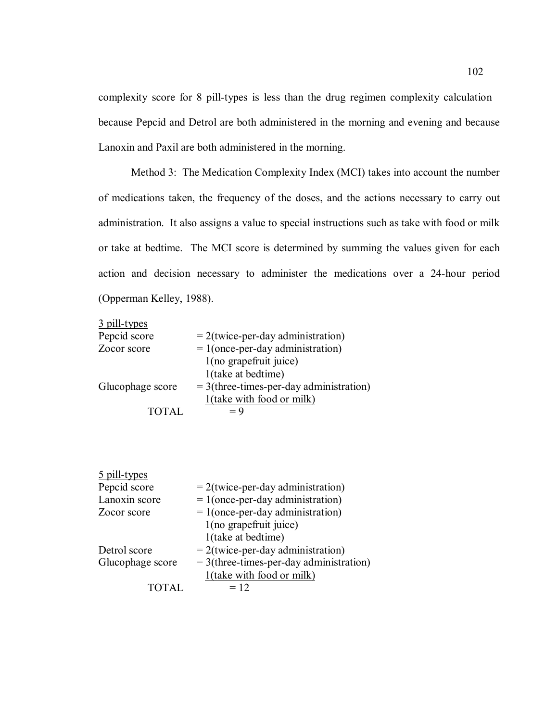complexity score for 8 pill-types is less than the drug regimen complexity calculation because Pepcid and Detrol are both administered in the morning and evening and because Lanoxin and Paxil are both administered in the morning.

Method 3: The Medication Complexity Index (MCI) takes into account the number of medications taken, the frequency of the doses, and the actions necessary to carry out administration. It also assigns a value to special instructions such as take with food or milk or take at bedtime. The MCI score is determined by summing the values given for each action and decision necessary to administer the medications over a 24-hour period (Opperman Kelley, 1988).

| 3 pill-types     |                                           |
|------------------|-------------------------------------------|
| Pepcid score     | $= 2$ (twice-per-day administration)      |
| Zocor score      | $= 1$ (once-per-day administration)       |
|                  | 1(no grapefruit juice)                    |
|                  | 1(take at bedtime)                        |
| Glucophage score | $=$ 3(three-times-per-day administration) |
|                  | 1(take with food or milk)                 |
| <b>TOTAL</b>     | $= 9$                                     |

| 5 pill-types     |                                           |
|------------------|-------------------------------------------|
| Pepcid score     | $= 2$ (twice-per-day administration)      |
| Lanoxin score    | $= 1$ (once-per-day administration)       |
| Zocor score      | $= 1$ (once-per-day administration)       |
|                  | 1(no grapefruit juice)                    |
|                  | 1(take at bedtime)                        |
| Detrol score     | $= 2$ (twice-per-day administration)      |
| Glucophage score | $=$ 3(three-times-per-day administration) |
|                  | 1(take with food or milk)                 |
| TOTAL.           | $= 12$                                    |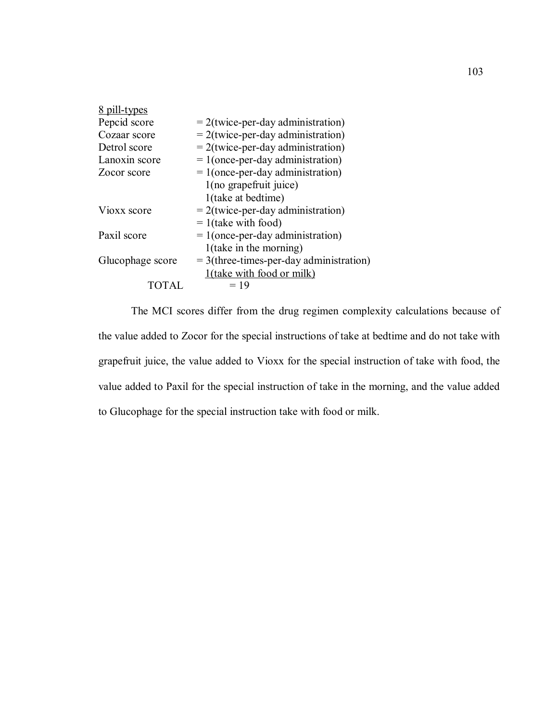| 8 pill-types     |                                           |
|------------------|-------------------------------------------|
| Pepcid score     | $= 2$ (twice-per-day administration)      |
| Cozaar score     | $= 2$ (twice-per-day administration)      |
| Detrol score     | $= 2$ (twice-per-day administration)      |
| Lanoxin score    | $= 1$ (once-per-day administration)       |
| Zocor score      | $= 1$ (once-per-day administration)       |
|                  | 1(no grapefruit juice)                    |
|                  | 1(take at bedtime)                        |
| Vioxx score      | $= 2$ (twice-per-day administration)      |
|                  | $= 1$ (take with food)                    |
| Paxil score      | $= 1$ (once-per-day administration)       |
|                  | $1$ (take in the morning)                 |
| Glucophage score | $=$ 3(three-times-per-day administration) |
|                  | <u>1(take with food or milk)</u>          |
|                  | $=19$                                     |

The MCI scores differ from the drug regimen complexity calculations because of the value added to Zocor for the special instructions of take at bedtime and do not take with grapefruit juice, the value added to Vioxx for the special instruction of take with food, the value added to Paxil for the special instruction of take in the morning, and the value added to Glucophage for the special instruction take with food or milk.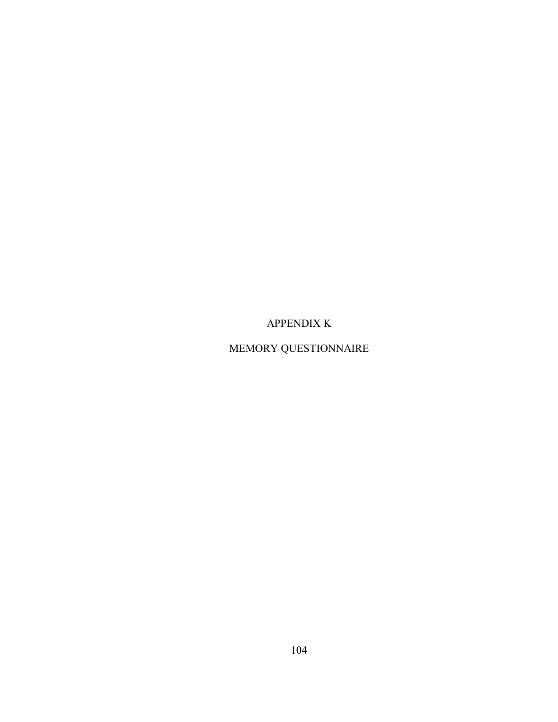APPENDIX K

MEMORY QUESTIONNAIRE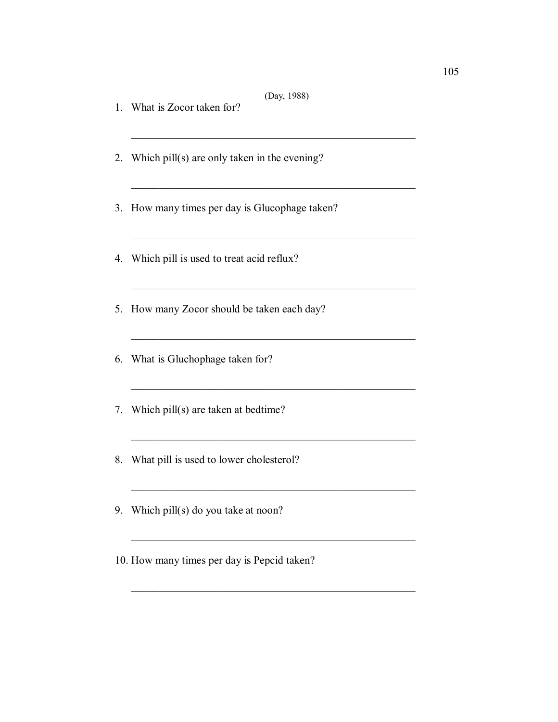(Day, 1988)

 $\mathcal{L}_\text{max}$  and the contract of the contract of the contract of the contract of the contract of the contract of the contract of the contract of the contract of the contract of the contract of the contract of the contrac

 $\mathcal{L}_\text{max}$  , and the contract of the contract of the contract of the contract of the contract of the contract of

 $\mathcal{L}_\text{max}$  , and the contract of the contract of the contract of the contract of the contract of the contract of

 $\mathcal{L}_\text{max}$  , and the contract of the contract of the contract of the contract of the contract of the contract of

 $\mathcal{L}_\text{max}$  and the contract of the contract of the contract of the contract of the contract of the contract of the contract of the contract of the contract of the contract of the contract of the contract of the contrac

 $\mathcal{L}_\text{max}$  , and the contract of the contract of the contract of the contract of the contract of the contract of

\_\_\_\_\_\_\_\_\_\_\_\_\_\_\_\_\_\_\_\_\_\_\_\_\_\_\_\_\_\_\_\_\_\_\_\_\_\_\_\_\_\_\_\_\_\_\_\_\_\_\_\_

 $\mathcal{L}_\text{max}$  and the contract of the contract of the contract of the contract of the contract of the contract of the contract of the contract of the contract of the contract of the contract of the contract of the contrac

 $\mathcal{L}_\text{max} = \mathcal{L}_\text{max} = \mathcal{L}_\text{max} = \mathcal{L}_\text{max} = \mathcal{L}_\text{max} = \mathcal{L}_\text{max} = \mathcal{L}_\text{max}$ 

 $\mathcal{L}_\text{max} = \mathcal{L}_\text{max} = \mathcal{L}_\text{max} = \mathcal{L}_\text{max} = \mathcal{L}_\text{max} = \mathcal{L}_\text{max} = \mathcal{L}_\text{max} = \mathcal{L}_\text{max}$ 

- 1. What is Zocor taken for?
- 2. Which pill(s) are only taken in the evening?
- 3. How many times per day is Glucophage taken?
- 4. Which pill is used to treat acid reflux?
- 5. How many Zocor should be taken each day?
- 6. What is Gluchophage taken for?
- 7. Which pill(s) are taken at bedtime?
- 8. What pill is used to lower cholesterol?
- 9. Which pill(s) do you take at noon?
- 10. How many times per day is Pepcid taken?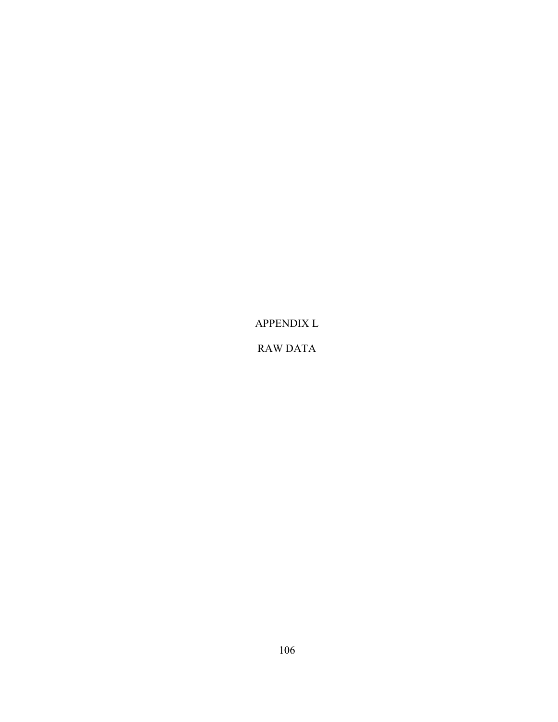APPENDIX L

RAW DATA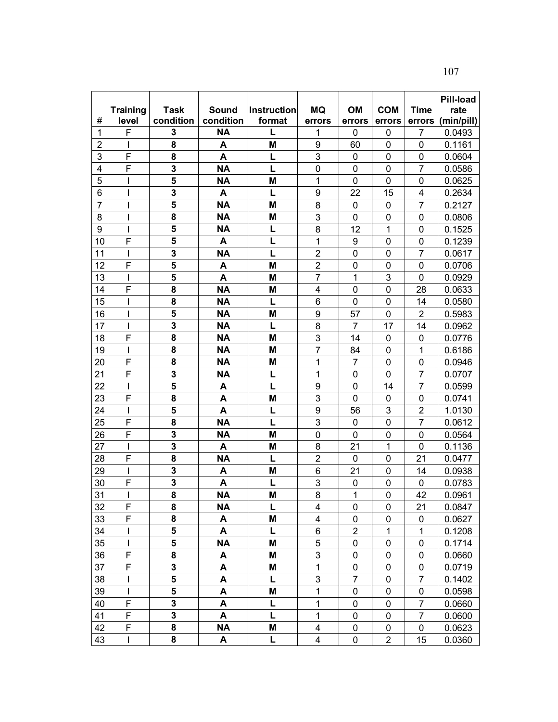107

|                |                          |                         |           |             |                         |                |                |                | <b>Pill-load</b> |
|----------------|--------------------------|-------------------------|-----------|-------------|-------------------------|----------------|----------------|----------------|------------------|
|                | <b>Training</b>          | <b>Task</b>             | Sound     | Instruction | MQ                      | OM             | <b>COM</b>     | <b>Time</b>    | rate             |
| #              | level                    | condition               | condition | format      | errors                  | errors         | errors         | errors         | (min/pill)       |
| 1              | F                        | 3                       | <b>NA</b> |             | 1                       | 0              | $\mathbf 0$    | 7              | 0.0493           |
| $\overline{2}$ | I                        | 8                       | A         | M           | 9                       | 60             | $\mathbf 0$    | 0              | 0.1161           |
| 3              | $\overline{F}$           | 8                       | A         | L           | 3                       | 0              | $\mathbf 0$    | 0              | 0.0604           |
| 4              | $\overline{F}$           | 3                       | <b>NA</b> | L           | $\mathbf 0$             | $\mathbf 0$    | $\mathbf 0$    | 7              | 0.0586           |
| 5              | ı                        | 5                       | <b>NA</b> | M           | 1                       | 0              | $\mathbf 0$    | 0              | 0.0625           |
| 6              | I                        | 3                       | A         | L           | $\boldsymbol{9}$        | 22             | 15             | 4              | 0.2634           |
| $\overline{7}$ |                          | 5                       | <b>NA</b> | M           | 8                       | $\mathbf 0$    | $\mathbf 0$    | $\overline{7}$ | 0.2127           |
| 8              |                          | 8                       | <b>NA</b> | M           | 3                       | 0              | $\mathbf 0$    | 0              | 0.0806           |
| 9              |                          | 5                       | <b>NA</b> | L           | 8                       | 12             | $\mathbf{1}$   | 0              | 0.1525           |
| 10             | F                        | 5                       | A         | L           | 1                       | 9              | $\mathbf 0$    | 0              | 0.1239           |
| 11             | I                        | 3                       | <b>NA</b> | L           | $\overline{2}$          | 0              | 0              | $\overline{7}$ | 0.0617           |
| 12             | F                        | 5                       | A         | M           | $\overline{c}$          | $\pmb{0}$      | $\mathbf 0$    | 0              | 0.0706           |
| 13             | I                        | $\overline{\mathbf{5}}$ | A         | M           | $\overline{7}$          | $\mathbf{1}$   | 3              | 0              | 0.0929           |
| 14             | F                        | 8                       | <b>NA</b> | M           | 4                       | $\mathbf 0$    | $\mathbf 0$    | 28             | 0.0633           |
| 15             |                          | 8                       | <b>NA</b> | L           | 6                       | 0              | $\mathbf 0$    | 14             | 0.0580           |
| 16             |                          | 5                       | <b>NA</b> | M           | 9                       | 57             | $\overline{0}$ | $\overline{2}$ | 0.5983           |
| 17             | $\overline{\phantom{a}}$ | 3                       | <b>NA</b> | L           | 8                       | 7              | 17             | 14             | 0.0962           |
| 18             | F                        | 8                       | <b>NA</b> | M           | 3                       | 14             | $\mathbf 0$    | 0              | 0.0776           |
| 19             | ı                        | 8                       | <b>NA</b> | M           | $\overline{7}$          | 84             | $\mathbf 0$    | $\mathbf{1}$   | 0.6186           |
| 20             | $\mathsf{F}$             | 8                       | <b>NA</b> | M           | 1                       | $\overline{7}$ | $\mathbf 0$    | 0              | 0.0946           |
| 21             | F                        | 3                       | <b>NA</b> | L           | 1                       | 0              | $\mathbf 0$    | $\overline{7}$ | 0.0707           |
| 22             |                          | $\overline{\mathbf{5}}$ | A         | L           | $\boldsymbol{9}$        | 0              | 14             | $\overline{7}$ | 0.0599           |
| 23             | F                        | 8                       | A         | M           | 3                       | $\mathbf 0$    | $\mathbf 0$    | 0              | 0.0741           |
| 24             | I                        | 5                       | A         | L           | 9                       | 56             | 3              | $\overline{2}$ | 1.0130           |
| 25             | F                        | 8                       | <b>NA</b> | L           | 3                       | $\mathbf 0$    | $\mathbf 0$    | $\overline{7}$ | 0.0612           |
| 26             | F                        | 3                       | <b>NA</b> | M           | $\mathbf 0$             | 0              | $\mathbf 0$    | 0              | 0.0564           |
| 27             | I                        | 3                       | A         | M           | 8                       | 21             | $\mathbf{1}$   | 0              | 0.1136           |
| 28             | F                        | 8                       | <b>NA</b> | L           | $\overline{2}$          | 0              | $\mathbf 0$    | 21             | 0.0477           |
| 29             | I                        | 3                       | A         | M           | 6                       | 21             | 0              | 14             | 0.0938           |
| 30             | F                        | $\overline{\mathbf{3}}$ | A         | L           | 3                       | 0              | $\mathbf 0$    | 0              | 0.0783           |
| 31             |                          | 8                       | <b>NA</b> | M           | 8                       | 1              | $\overline{0}$ | 42             | 0.0961           |
| 32             | F                        | 8                       | <b>NA</b> | L           | 4                       | 0              | 0              | 21             | 0.0847           |
| 33             | F                        | 8                       | A         | M           | 4                       | 0              | 0              | 0              | 0.0627           |
| 34             |                          | 5                       | A         | L           | 6                       | $\overline{2}$ | $\mathbf{1}$   | $\mathbf 1$    | 0.1208           |
| 35             | $\mathsf{I}$             | 5                       | <b>NA</b> | M           | 5                       | 0              | 0              | 0              | 0.1714           |
| 36             | F                        | 8                       | A         | M           | 3                       | 0              | $\pmb{0}$      | 0              | 0.0660           |
| 37             | $\overline{F}$           | $\overline{\mathbf{3}}$ | A         | M           | $\mathbf{1}$            | 0              | $\pmb{0}$      | 0              | 0.0719           |
| 38             | I                        | 5                       | A         | L           | 3                       | 7              | 0              | 7              | 0.1402           |
| 39             | $\mathsf{I}$             | 5                       | A         | M           | 1                       | 0              | $\mathbf 0$    | 0              | 0.0598           |
| 40             | F                        | 3                       | A         | L           | 1                       | 0              | 0              | $\overline{7}$ | 0.0660           |
| 41             | $\mathsf F$              | 3                       | A         | L           | 1                       | 0              | 0              | $\overline{7}$ | 0.0600           |
| 42             | $\overline{F}$           | 8                       | <b>NA</b> | M           | $\overline{\mathbf{4}}$ | 0              | $\pmb{0}$      | 0              | 0.0623           |
| 43             | I                        | 8                       | A         | L           | 4                       | 0              | $\overline{2}$ | 15             | 0.0360           |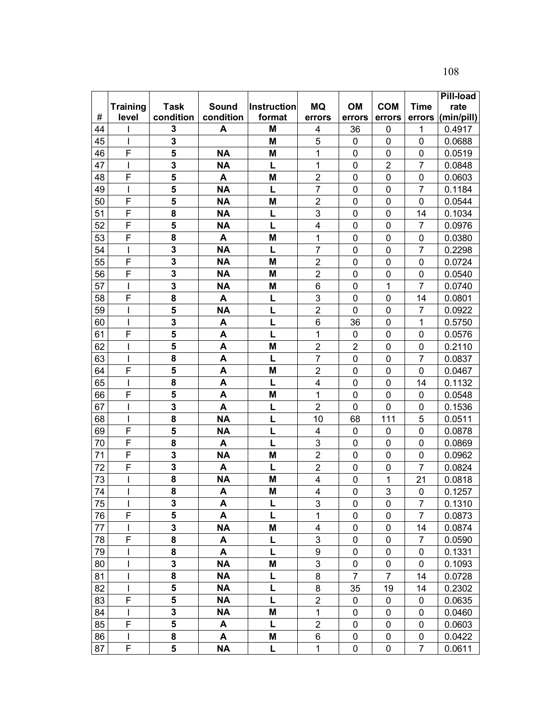108

|    |                          |                         |           |             |                         |                |                |                | <b>Pill-load</b> |
|----|--------------------------|-------------------------|-----------|-------------|-------------------------|----------------|----------------|----------------|------------------|
|    | <b>Training</b>          | <b>Task</b>             | Sound     | Instruction | <b>MQ</b>               | <b>OM</b>      | <b>COM</b>     | <b>Time</b>    | rate             |
| #  | level                    | condition               | condition | format      | errors                  | errors         | errors         | errors         | (min/pill)       |
| 44 |                          | 3                       | A         | M           | 4                       | 36             | 0              | 1              | 0.4917           |
| 45 | I                        | 3                       |           | M           | 5                       | 0              | 0              | 0              | 0.0688           |
| 46 | F                        | 5                       | <b>NA</b> | M           | 1                       | 0              | 0              | 0              | 0.0519           |
| 47 | I                        | 3                       | <b>NA</b> | L           | 1                       | 0              | $\overline{2}$ | $\overline{7}$ | 0.0848           |
| 48 | F                        | 5                       | A         | M           | $\mathbf 2$             | 0              | $\mathbf 0$    | $\mathbf 0$    | 0.0603           |
| 49 | $\mathsf{l}$             | 5                       | <b>NA</b> | L           | $\overline{7}$          | $\mathbf 0$    | 0              | $\overline{7}$ | 0.1184           |
| 50 | F                        | $\overline{\mathbf{5}}$ | <b>NA</b> | M           | $\overline{2}$          | 0              | $\mathbf 0$    | 0              | 0.0544           |
| 51 | F                        | 8                       | <b>NA</b> | L           | $\mathsf 3$             | 0              | $\mathbf 0$    | 14             | 0.1034           |
| 52 | F                        | 5                       | <b>NA</b> | L           | $\overline{\mathbf{4}}$ | $\mathbf 0$    | $\mathbf 0$    | $\overline{7}$ | 0.0976           |
| 53 | F                        | 8                       | A         | M           | 1                       | $\mathbf 0$    | $\mathbf 0$    | 0              | 0.0380           |
| 54 | $\mathsf{l}$             | 3                       | <b>NA</b> | L           | $\overline{7}$          | 0              | 0              | 7              | 0.2298           |
| 55 | F                        | $\overline{\mathbf{3}}$ | <b>NA</b> | M           | $\overline{2}$          | 0              | 0              | 0              | 0.0724           |
| 56 | F                        | 3                       | <b>NA</b> | M           | $\overline{2}$          | $\mathbf 0$    | 0              | 0              | 0.0540           |
| 57 | $\overline{\phantom{a}}$ | 3                       | <b>NA</b> | M           | $\,6$                   | 0              | $\mathbf{1}$   | $\overline{7}$ | 0.0740           |
| 58 | F                        | 8                       | A         | L           | $\mathbf{3}$            | 0              | $\mathbf 0$    | 14             | 0.0801           |
| 59 |                          | 5                       | <b>NA</b> | L           | $\overline{2}$          | $\mathbf 0$    | $\mathbf 0$    | $\overline{7}$ | 0.0922           |
| 60 | I                        | 3                       | A         | L           | 6                       | 36             | $\mathbf 0$    | $\mathbf{1}$   | 0.5750           |
| 61 | F                        | 5                       | A         | L           | 1                       | 0              | $\mathbf 0$    | 0              | 0.0576           |
| 62 |                          | 5                       | A         | M           | $\overline{2}$          | $\overline{2}$ | $\mathbf 0$    | 0              | 0.2110           |
| 63 | I                        | 8                       | A         | L           | $\overline{7}$          | 0              | 0              | 7              | 0.0837           |
| 64 | F                        | 5                       | A         | M           | $\overline{2}$          | $\mathbf 0$    | $\mathbf 0$    | 0              | 0.0467           |
| 65 | I                        | 8                       | A         | L           | 4                       | 0              | $\mathbf 0$    | 14             | 0.1132           |
| 66 | F                        | 5                       | A         | M           | 1                       | $\mathbf 0$    | $\mathbf 0$    | $\mathbf 0$    | 0.0548           |
| 67 | I                        | 3                       | A         | L           | $\overline{2}$          | 0              | $\overline{0}$ | 0              | 0.1536           |
| 68 | ı                        | 8                       | <b>NA</b> | L           | 10                      | 68             | 111            | 5              | 0.0511           |
| 69 | F                        | 5                       | <b>NA</b> | L           | 4                       | 0              | $\mathbf 0$    | 0              | 0.0878           |
| 70 | F                        | 8                       | A         | L           | 3                       | 0              | $\mathbf 0$    | $\mathbf 0$    | 0.0869           |
| 71 | F                        | 3                       | <b>NA</b> | M           | $\overline{2}$          | $\mathbf 0$    | $\mathbf 0$    | $\mathbf 0$    | 0.0962           |
| 72 | F                        | 3                       | A         | L           | $\overline{2}$          | 0              | $\mathbf 0$    | $\overline{7}$ | 0.0824           |
| 73 | ı                        | 8                       | <b>NA</b> | M           | 4                       | 0              | 1              | 21             | 0.0818           |
| 74 |                          | $\overline{\mathbf{8}}$ | A         | M           | $\overline{\mathbf{4}}$ | 0              | 3              | 0              | 0.1257           |
| 75 | $\mathbf{I}$             | 3                       | A         | L           | 3                       | 0              | 0              | $\overline{7}$ | 0.1310           |
| 76 | F                        | 5                       | A         | L           | 1                       | $\overline{0}$ | 0              | $\overline{7}$ | 0.0873           |
| 77 |                          | 3                       | <b>NA</b> | M           | 4                       | 0              | $\pmb{0}$      | 14             | 0.0874           |
| 78 | F                        | 8                       | A         | L           | 3                       | 0              | 0              | 7              | 0.0590           |
| 79 |                          | 8                       | A         | L           | 9                       | 0              | 0              | 0              | 0.1331           |
| 80 |                          | 3                       | <b>NA</b> | M           | 3                       | 0              | 0              | 0              | 0.1093           |
| 81 | $\overline{\phantom{a}}$ | 8                       | <b>NA</b> | L           | $\bf 8$                 | 7              | 7              | 14             | 0.0728           |
| 82 | $\mathsf{l}$             | 5                       | <b>NA</b> | L           | 8                       | 35             | 19             | 14             | 0.2302           |
| 83 | F                        | 5                       | <b>NA</b> | L           | $\overline{2}$          | 0              | $\pmb{0}$      | 0              | 0.0635           |
| 84 |                          | 3                       | <b>NA</b> | M           | $\mathbf{1}$            | 0              | $\mathbf 0$    | 0              | 0.0460           |
| 85 | F                        | 5                       | A         | L           | $\overline{2}$          | 0              | 0              | 0              | 0.0603           |
| 86 |                          | 8                       | A         | M           | $\,6$                   | 0              | 0              | 0              | 0.0422           |
| 87 | F                        | 5                       | <b>NA</b> | L           | 1                       | 0              | 0              | 7              | 0.0611           |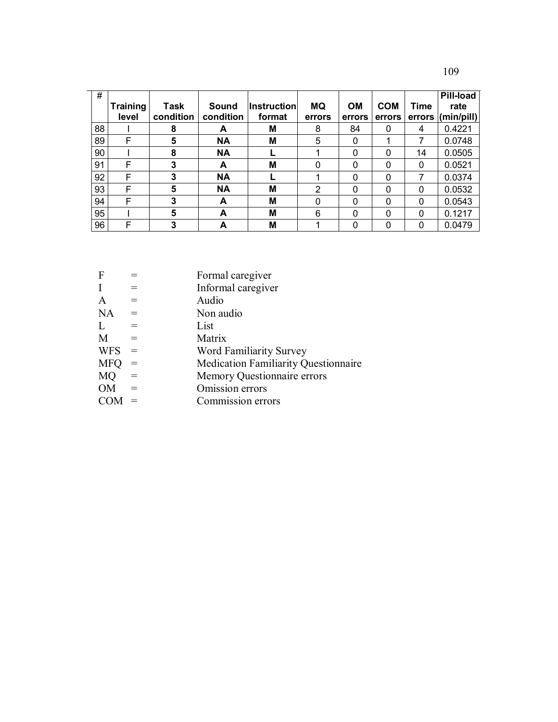| ۰.<br>I<br>٧<br>۰.<br>× |  |
|-------------------------|--|
|-------------------------|--|

| #  | Training<br>level | Task<br>condition | Sound<br>condition | <b>Instruction</b><br>format | <b>MQ</b><br>errors | <b>OM</b><br>errors | <b>COM</b><br>errors | <b>Time</b> | <b>Pill-load</b><br>rate<br>errors (min/pill) |
|----|-------------------|-------------------|--------------------|------------------------------|---------------------|---------------------|----------------------|-------------|-----------------------------------------------|
| 88 |                   | 8                 | A                  | м                            | 8                   | 84                  | 0                    | 4           | 0.4221                                        |
| 89 | F                 | 5                 | <b>NA</b>          | M                            | 5                   | 0                   | 4                    | 7           | 0.0748                                        |
| 90 |                   | 8                 | <b>NA</b>          |                              |                     | 0                   | 0                    | 14          | 0.0505                                        |
| 91 | F                 | 3                 | A                  | M                            | $\Omega$            | 0                   | 0                    | 0           | 0.0521                                        |
| 92 | F                 | 3                 | <b>NA</b>          |                              |                     | 0                   | 0                    | 7           | 0.0374                                        |
| 93 | F                 | 5                 | <b>NA</b>          | M                            | 2                   | 0                   | 0                    | 0           | 0.0532                                        |
| 94 | F                 | 3                 | A                  | M                            | $\Omega$            | 0                   | 0                    | 0           | 0.0543                                        |
| 95 |                   | 5                 | A                  | M                            | 6                   | 0                   | 0                    | 0           | 0.1217                                        |
| 96 | F                 | 3                 | А                  | M                            |                     | 0                   | 0                    | 0           | 0.0479                                        |

| $\mathbf F$  |                   | Formal caregiver                            |
|--------------|-------------------|---------------------------------------------|
| $\mathbf I$  | $=$               | Informal caregiver                          |
| $\mathbf{A}$ | $=$               | Audio                                       |
| <b>NA</b>    | $\sim$ $\equiv$   | Non audio                                   |
| L            | $=$               | List                                        |
| M            | $=$               | Matrix                                      |
| <b>WFS</b>   | $\qquad \qquad =$ | <b>Word Familiarity Survey</b>              |
| <b>MFQ</b>   | $=$               | <b>Medication Familiarity Questionnaire</b> |
| MQ           | $=$               | Memory Questionnaire errors                 |
| <b>OM</b>    | $=$               | Omission errors                             |
|              |                   | Commission errors                           |
|              |                   |                                             |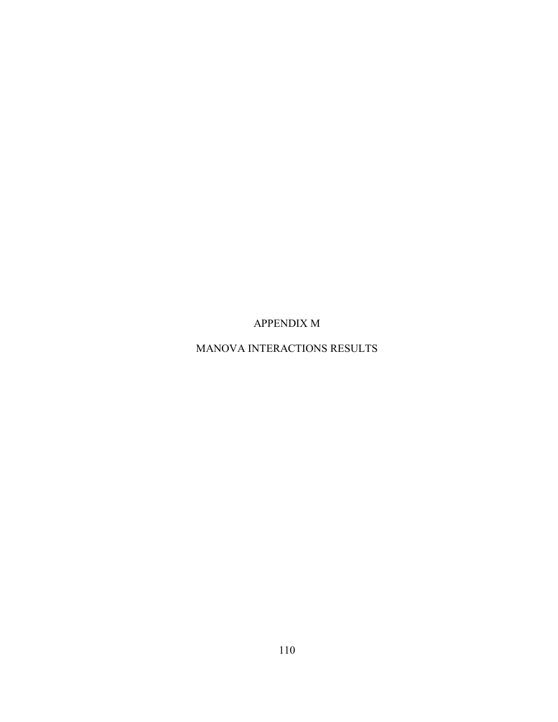APPENDIX M

MANOVA INTERACTIONS RESULTS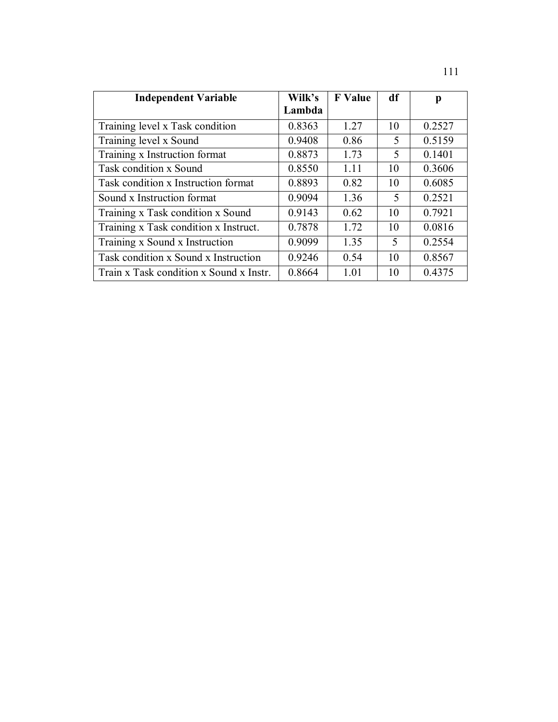| <b>Independent Variable</b>             | Wilk's | <b>F</b> Value | df | p      |
|-----------------------------------------|--------|----------------|----|--------|
|                                         | Lambda |                |    |        |
| Training level x Task condition         | 0.8363 | 1.27           | 10 | 0.2527 |
| Training level x Sound                  | 0.9408 | 0.86           | 5  | 0.5159 |
| Training x Instruction format           | 0.8873 | 1.73           | 5  | 0.1401 |
| Task condition x Sound                  | 0.8550 | 1.11           | 10 | 0.3606 |
| Task condition x Instruction format     | 0.8893 | 0.82           | 10 | 0.6085 |
| Sound x Instruction format              | 0.9094 | 1.36           | 5  | 0.2521 |
| Training x Task condition x Sound       | 0.9143 | 0.62           | 10 | 0.7921 |
| Training x Task condition x Instruct.   | 0.7878 | 1.72           | 10 | 0.0816 |
| Training x Sound x Instruction          | 0.9099 | 1.35           | 5  | 0.2554 |
| Task condition x Sound x Instruction    | 0.9246 | 0.54           | 10 | 0.8567 |
| Train x Task condition x Sound x Instr. | 0.8664 | 1.01           | 10 | 0.4375 |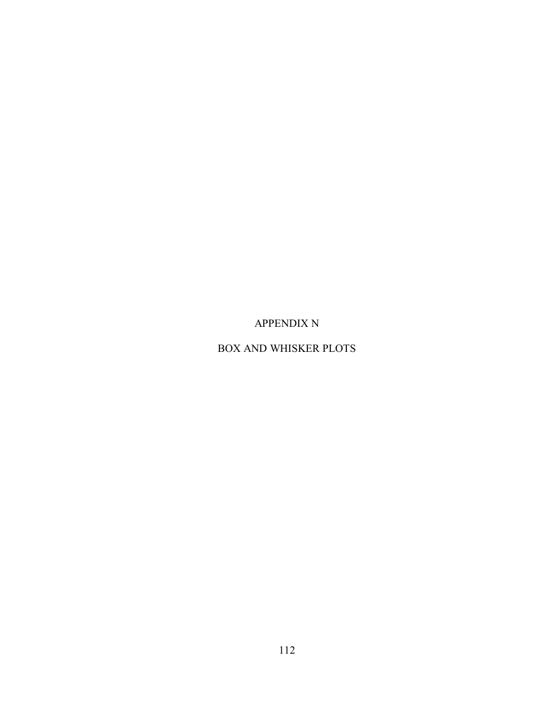APPENDIX N

BOX AND WHISKER PLOTS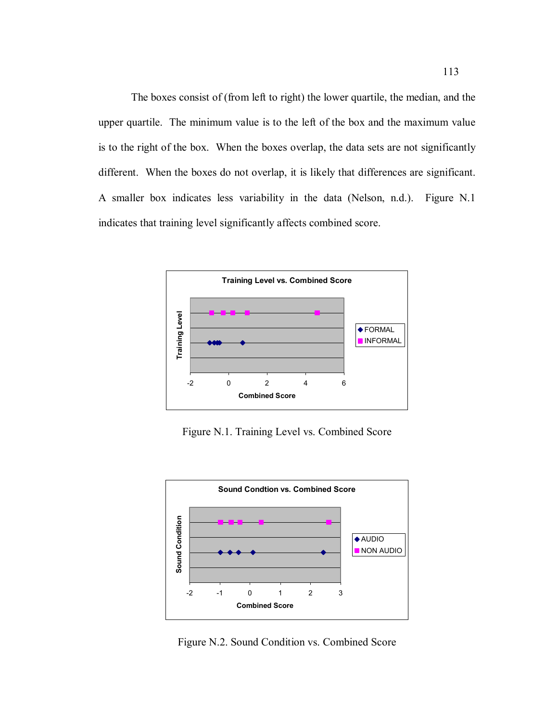The boxes consist of (from left to right) the lower quartile, the median, and the upper quartile. The minimum value is to the left of the box and the maximum value is to the right of the box. When the boxes overlap, the data sets are not significantly different. When the boxes do not overlap, it is likely that differences are significant. A smaller box indicates less variability in the data (Nelson, n.d.). Figure N.1 indicates that training level significantly affects combined score.



Figure N.1. Training Level vs. Combined Score



Figure N.2. Sound Condition vs. Combined Score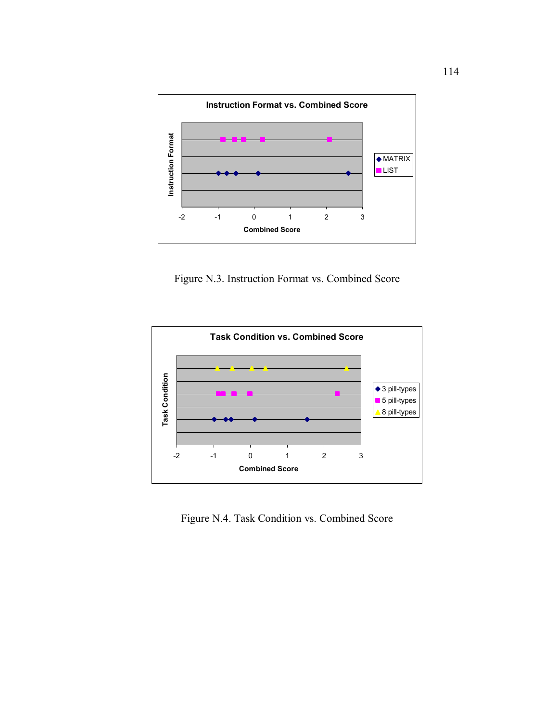

Figure N.3. Instruction Format vs. Combined Score



Figure N.4. Task Condition vs. Combined Score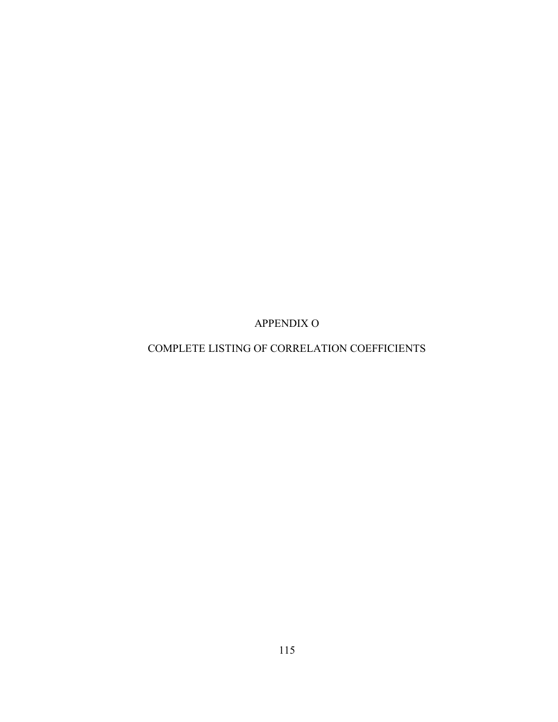APPENDIX O

# COMPLETE LISTING OF CORRELATION COEFFICIENTS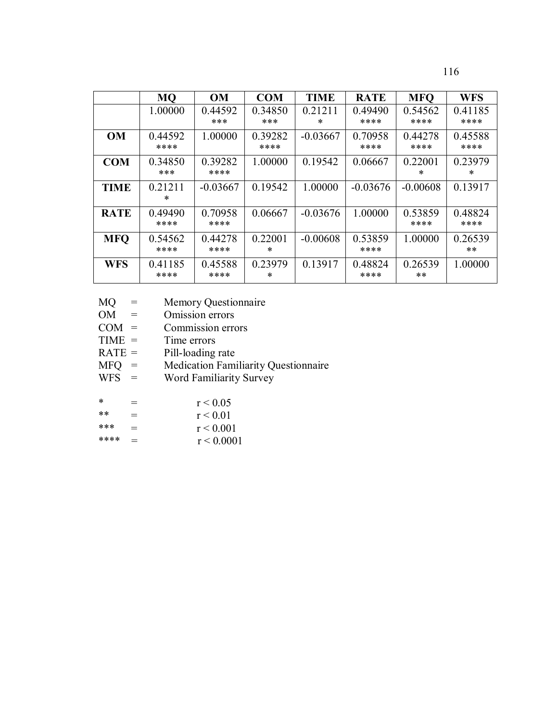116

|             | <b>MO</b>       | <b>OM</b>       | <b>COM</b>        | <b>TIME</b>       | <b>RATE</b>     | <b>MFQ</b>        | <b>WFS</b>       |
|-------------|-----------------|-----------------|-------------------|-------------------|-----------------|-------------------|------------------|
|             | 1.00000         | 0.44592<br>***  | 0.34850<br>***    | 0.21211<br>$\ast$ | 0.49490<br>**** | 0.54562<br>****   | 0.41185<br>****  |
|             | 0.44592         | 1.00000         | 0.39282           |                   | 0.70958         | 0.44278           |                  |
| <b>OM</b>   | ****            |                 | ****              | $-0.03667$        | ****            | ****              | 0.45588<br>****  |
| <b>COM</b>  | 0.34850<br>***  | 0.39282<br>**** | 1.00000           | 0.19542           | 0.06667         | 0.22001<br>$\ast$ | 0.23979<br>∗     |
| <b>TIME</b> | 0.21211<br>∗    | $-0.03667$      | 0.19542           | 1.00000           | $-0.03676$      | $-0.00608$        | 0.13917          |
| <b>RATE</b> | 0.49490<br>**** | 0.70958<br>**** | 0.06667           | $-0.03676$        | 1.00000         | 0.53859<br>****   | 0.48824<br>****  |
| <b>MFO</b>  | 0.54562<br>**** | 0.44278<br>**** | 0.22001<br>∗      | $-0.00608$        | 0.53859<br>**** | 1.00000           | 0.26539<br>$***$ |
| <b>WFS</b>  | 0.41185<br>**** | 0.45588<br>**** | 0.23979<br>$\ast$ | 0.13917           | 0.48824<br>**** | 0.26539<br>**     | 1.00000          |

| MQ | <b>Memory Questionnaire</b> |
|----|-----------------------------|
|    |                             |
|    |                             |

- $OM =$  Omission errors<br>COM = Commission errors
- $COM =$  Commission errors<br>TIME = Time errors
- Time errors
- 
- RATE = Pill-loading rate<br>MFQ = Medication Fami MFQ = Medication Familiarity Questionnaire
- WFS = Word Familiarity Survey

| ∗  | $=$ | r < 0.05 |
|----|-----|----------|
| ** | $=$ | r < 0.01 |

| r < 0.001 |
|-----------|
|           |

\*\*\*\* =  $r < 0.0001$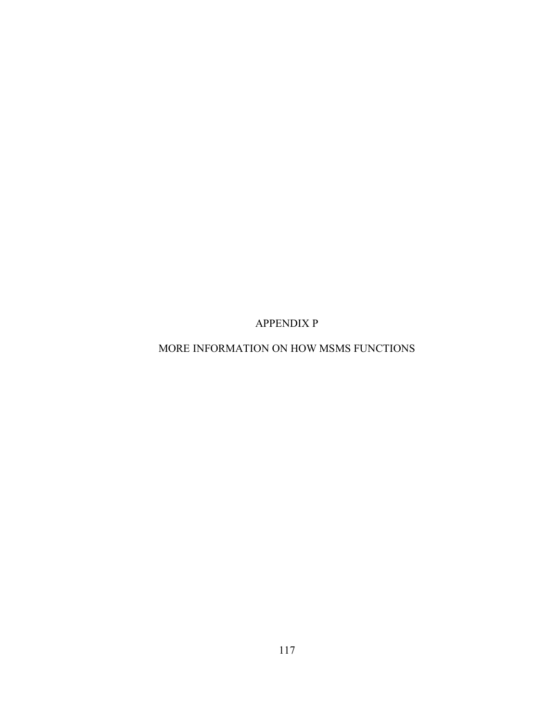APPENDIX P

MORE INFORMATION ON HOW MSMS FUNCTIONS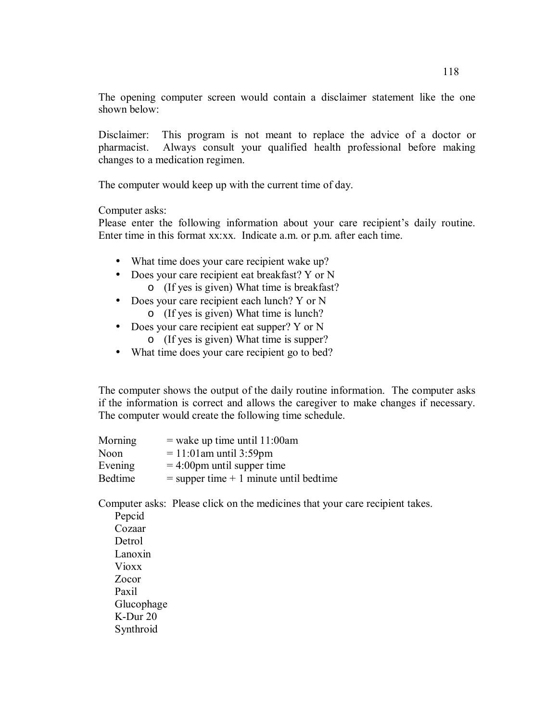The opening computer screen would contain a disclaimer statement like the one shown below:

Disclaimer: This program is not meant to replace the advice of a doctor or pharmacist. Always consult your qualified health professional before making changes to a medication regimen.

The computer would keep up with the current time of day.

Computer asks:

Please enter the following information about your care recipient's daily routine. Enter time in this format xx:xx. Indicate a.m. or p.m. after each time.

- What time does your care recipient wake up?
- Does your care recipient eat breakfast? Y or N
	- o (If yes is given) What time is breakfast?
- Does your care recipient each lunch? Y or N o (If yes is given) What time is lunch?
- Does your care recipient eat supper? Y or N
	- o (If yes is given) What time is supper?
- What time does your care recipient go to bed?

The computer shows the output of the daily routine information. The computer asks if the information is correct and allows the caregiver to make changes if necessary. The computer would create the following time schedule.

| Morning        | $=$ wake up time until 11:00am            |
|----------------|-------------------------------------------|
| Noon           | $= 11:01$ am until 3:59pm                 |
| Evening        | $=$ 4:00pm until supper time              |
| <b>Bedtime</b> | $=$ supper time $+1$ minute until bedtime |

Computer asks: Please click on the medicines that your care recipient takes.

Pepcid Cozaar **Detrol** Lanoxin Vioxx Zocor Paxil Glucophage K-Dur 20 Synthroid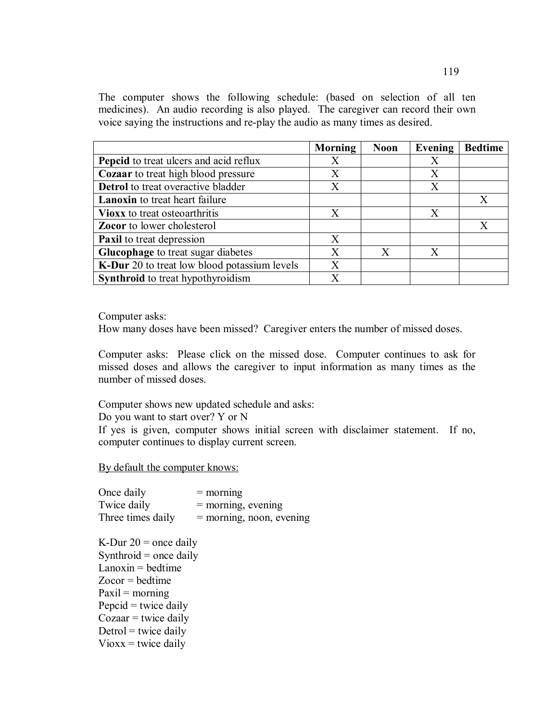The computer shows the following schedule: (based on selection of all ten medicines). An audio recording is also played. The caregiver can record their own voice saying the instructions and re-play the audio as many times as desired.

|                                              | Morning | <b>Noon</b> | Evening | <b>Bedtime</b> |
|----------------------------------------------|---------|-------------|---------|----------------|
| Pepcid to treat ulcers and acid reflux       | X       |             | X       |                |
| <b>Cozaar</b> to treat high blood pressure   | X       |             | X       |                |
| <b>Detrol</b> to treat overactive bladder    | X       |             | X       |                |
| <b>Lanoxin</b> to treat heart failure        |         |             |         | X              |
| <b>Vioxx</b> to treat osteoarthritis         | X       |             | X       |                |
| <b>Zocor</b> to lower cholesterol            |         |             |         | X              |
| Paxil to treat depression                    | X       |             |         |                |
| <b>Glucophage</b> to treat sugar diabetes    | X       | X           | X       |                |
| K-Dur 20 to treat low blood potassium levels | X       |             |         |                |
| <b>Synthroid</b> to treat hypothyroidism     | X       |             |         |                |

Computer asks:

How many doses have been missed? Caregiver enters the number of missed doses.

Computer asks: Please click on the missed dose. Computer continues to ask for missed doses and allows the caregiver to input information as many times as the number of missed doses.

Computer shows new updated schedule and asks:

Do you want to start over? Y or N

If yes is given, computer shows initial screen with disclaimer statement. If no, computer continues to display current screen.

By default the computer knows:

| Once daily        | $=$ morning                |
|-------------------|----------------------------|
| Twice daily       | $=$ morning, evening       |
| Three times daily | $=$ morning, noon, evening |

K-Dur  $20$  = once daily Synthroid  $=$  once daily  $L$ anoxin = bedtime  $Zocor = \text{hedtime}$  $Paxil = morning$ Pepcid  $=$  twice daily  $Cozaar = twice daily$  $Detrol = twice daily$  $V$ ioxx = twice daily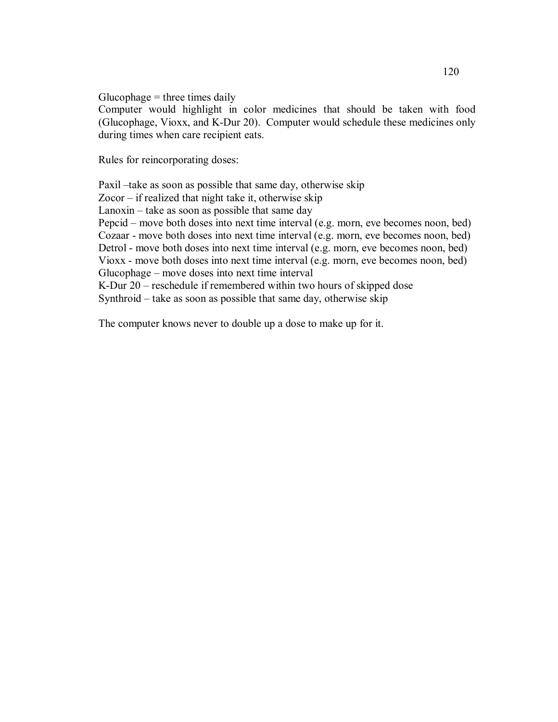$Glucophage = three times daily$ 

Computer would highlight in color medicines that should be taken with food (Glucophage, Vioxx, and K-Dur 20). Computer would schedule these medicines only during times when care recipient eats.

Rules for reincorporating doses:

Paxil –take as soon as possible that same day, otherwise skip Zocor – if realized that night take it, otherwise skip Lanoxin – take as soon as possible that same day Pepcid – move both doses into next time interval (e.g. morn, eve becomes noon, bed) Cozaar - move both doses into next time interval (e.g. morn, eve becomes noon, bed) Detrol - move both doses into next time interval (e.g. morn, eve becomes noon, bed) Vioxx - move both doses into next time interval (e.g. morn, eve becomes noon, bed) Glucophage – move doses into next time interval K-Dur 20 – reschedule if remembered within two hours of skipped dose Synthroid – take as soon as possible that same day, otherwise skip

The computer knows never to double up a dose to make up for it.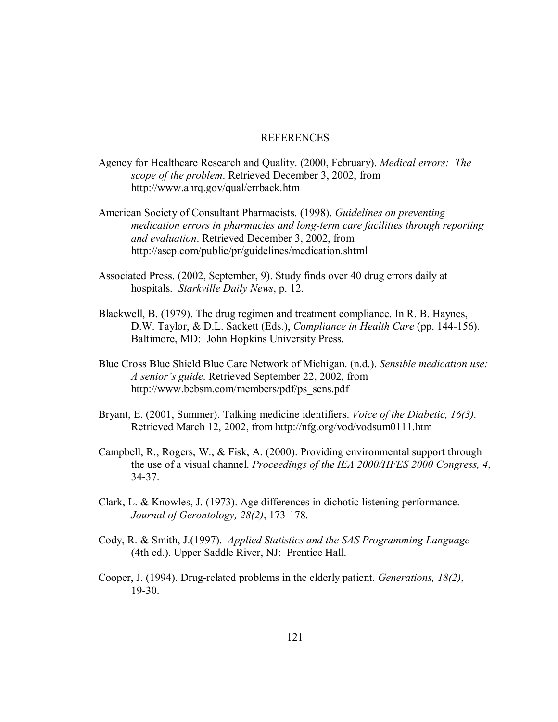#### **REFERENCES**

- Agency for Healthcare Research and Quality. (2000, February). *Medical errors: The scope of the problem*. Retrieved December 3, 2002, from http://www.ahrq.gov/qual/errback.htm
- American Society of Consultant Pharmacists. (1998). *Guidelines on preventing medication errors in pharmacies and long-term care facilities through reporting and evaluation*. Retrieved December 3, 2002, from http://ascp.com/public/pr/guidelines/medication.shtml
- Associated Press. (2002, September, 9). Study finds over 40 drug errors daily at hospitals. *Starkville Daily News*, p. 12.
- Blackwell, B. (1979). The drug regimen and treatment compliance. In R. B. Haynes, D.W. Taylor, & D.L. Sackett (Eds.), *Compliance in Health Care* (pp. 144-156). Baltimore, MD: John Hopkins University Press.
- Blue Cross Blue Shield Blue Care Network of Michigan. (n.d.). *Sensible medication use: A senior's guide*. Retrieved September 22, 2002, from http://www.bcbsm.com/members/pdf/ps\_sens.pdf
- Bryant, E. (2001, Summer). Talking medicine identifiers. *Voice of the Diabetic, 16(3).* Retrieved March 12, 2002, from http://nfg.org/vod/vodsum0111.htm
- Campbell, R., Rogers, W., & Fisk, A. (2000). Providing environmental support through the use of a visual channel. *Proceedings of the IEA 2000/HFES 2000 Congress, 4*, 34-37.
- Clark, L. & Knowles, J. (1973). Age differences in dichotic listening performance. *Journal of Gerontology, 28(2)*, 173-178.
- Cody, R. & Smith, J.(1997). *Applied Statistics and the SAS Programming Language* (4th ed.). Upper Saddle River, NJ: Prentice Hall.
- Cooper, J. (1994). Drug-related problems in the elderly patient. *Generations, 18(2)*, 19-30.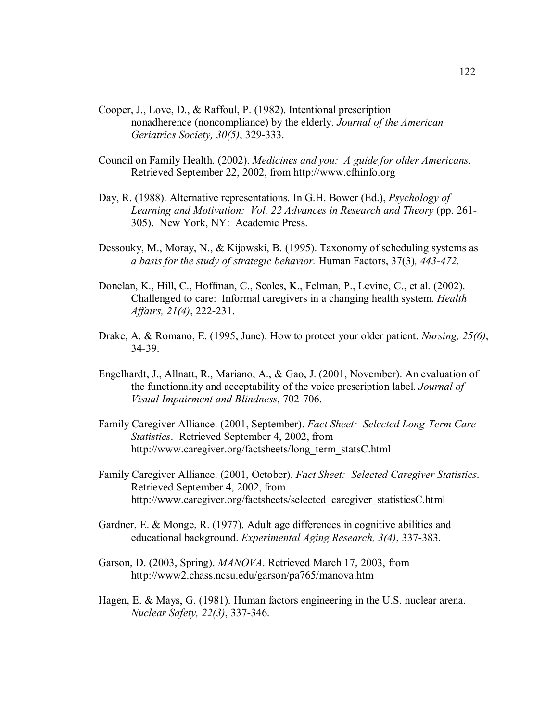- Cooper, J., Love, D., & Raffoul, P. (1982). Intentional prescription nonadherence (noncompliance) by the elderly. *Journal of the American Geriatrics Society, 30(5)*, 329-333.
- Council on Family Health. (2002). *Medicines and you: A guide for older Americans*. Retrieved September 22, 2002, from http://www.cfhinfo.org
- Day, R. (1988). Alternative representations. In G.H. Bower (Ed.), *Psychology of Learning and Motivation: Vol. 22 Advances in Research and Theory* (pp. 261- 305). New York, NY: Academic Press.
- Dessouky, M., Moray, N., & Kijowski, B. (1995). Taxonomy of scheduling systems as *a basis for the study of strategic behavior.* Human Factors, 37(3)*, 443-472.*
- Donelan, K., Hill, C., Hoffman, C., Scoles, K., Felman, P., Levine, C., et al. (2002). Challenged to care: Informal caregivers in a changing health system. *Health Affairs, 21(4)*, 222-231.
- Drake, A. & Romano, E. (1995, June). How to protect your older patient. *Nursing, 25(6)*, 34-39.
- Engelhardt, J., Allnatt, R., Mariano, A., & Gao, J. (2001, November). An evaluation of the functionality and acceptability of the voice prescription label. *Journal of Visual Impairment and Blindness*, 702-706.
- Family Caregiver Alliance. (2001, September). *Fact Sheet: Selected Long-Term Care Statistics*. Retrieved September 4, 2002, from http://www.caregiver.org/factsheets/long\_term\_statsC.html
- Family Caregiver Alliance. (2001, October). *Fact Sheet: Selected Caregiver Statistics*. Retrieved September 4, 2002, from http://www.caregiver.org/factsheets/selected\_caregiver\_statisticsC.html
- Gardner, E. & Monge, R. (1977). Adult age differences in cognitive abilities and educational background. *Experimental Aging Research, 3(4)*, 337-383.
- Garson, D. (2003, Spring). *MANOVA*. Retrieved March 17, 2003, from http://www2.chass.ncsu.edu/garson/pa765/manova.htm
- Hagen, E. & Mays, G. (1981). Human factors engineering in the U.S. nuclear arena. *Nuclear Safety, 22(3)*, 337-346.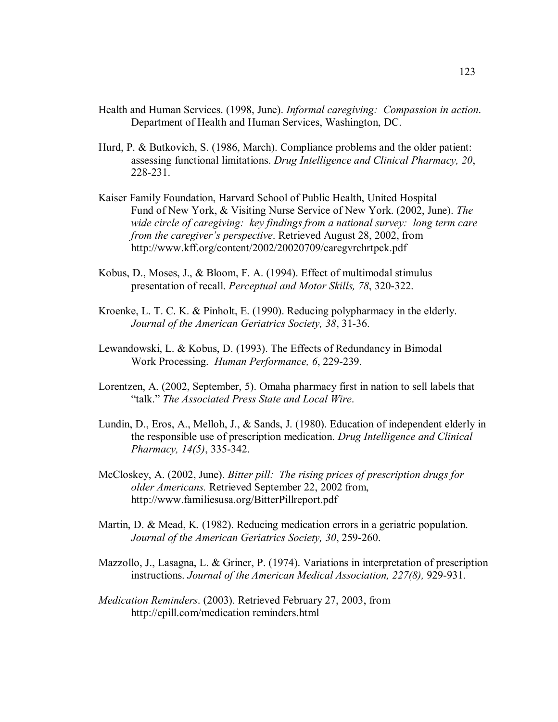- Health and Human Services. (1998, June). *Informal caregiving: Compassion in action*. Department of Health and Human Services, Washington, DC.
- Hurd, P. & Butkovich, S. (1986, March). Compliance problems and the older patient: assessing functional limitations. *Drug Intelligence and Clinical Pharmacy, 20*, 228-231.
- Kaiser Family Foundation, Harvard School of Public Health, United Hospital Fund of New York, & Visiting Nurse Service of New York. (2002, June). *The wide circle of caregiving: key findings from a national survey: long term care from the caregiver's perspective*. Retrieved August 28, 2002, from http://www.kff.org/content/2002/20020709/caregvrchrtpck.pdf
- Kobus, D., Moses, J., & Bloom, F. A. (1994). Effect of multimodal stimulus presentation of recall. *Perceptual and Motor Skills, 78*, 320-322.
- Kroenke, L. T. C. K. & Pinholt, E. (1990). Reducing polypharmacy in the elderly. *Journal of the American Geriatrics Society, 38*, 31-36.
- Lewandowski, L. & Kobus, D. (1993). The Effects of Redundancy in Bimodal Work Processing. *Human Performance, 6*, 229-239.
- Lorentzen, A. (2002, September, 5). Omaha pharmacy first in nation to sell labels that "talk." *The Associated Press State and Local Wire*.
- Lundin, D., Eros, A., Melloh, J., & Sands, J. (1980). Education of independent elderly in the responsible use of prescription medication. *Drug Intelligence and Clinical Pharmacy, 14(5)*, 335-342.
- McCloskey, A. (2002, June). *Bitter pill: The rising prices of prescription drugs for older Americans.* Retrieved September 22, 2002 from, http://www.familiesusa.org/BitterPillreport.pdf
- Martin, D. & Mead, K. (1982). Reducing medication errors in a geriatric population. *Journal of the American Geriatrics Society, 30*, 259-260.
- Mazzollo, J., Lasagna, L. & Griner, P. (1974). Variations in interpretation of prescription instructions. *Journal of the American Medical Association, 227(8),* 929-931.
- *Medication Reminders*. (2003). Retrieved February 27, 2003, from http://epill.com/medication reminders.html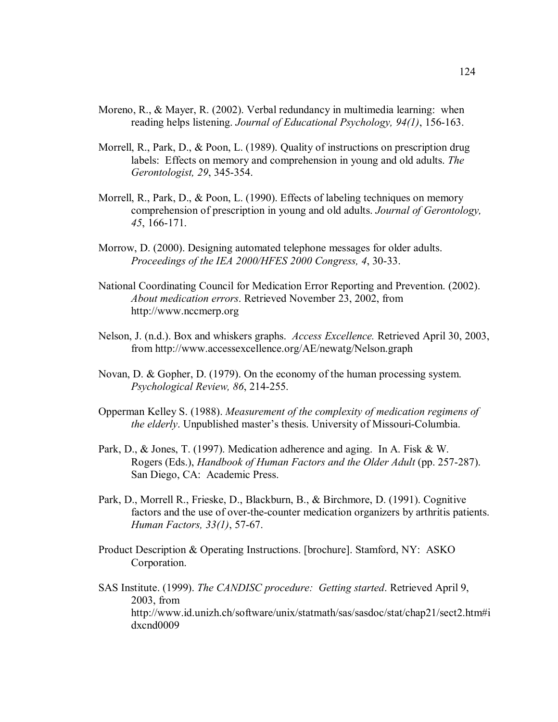- Moreno, R., & Mayer, R. (2002). Verbal redundancy in multimedia learning: when reading helps listening. *Journal of Educational Psychology, 94(1)*, 156-163.
- Morrell, R., Park, D., & Poon, L. (1989). Quality of instructions on prescription drug labels: Effects on memory and comprehension in young and old adults. *The Gerontologist, 29*, 345-354.
- Morrell, R., Park, D., & Poon, L. (1990). Effects of labeling techniques on memory comprehension of prescription in young and old adults. *Journal of Gerontology, 45*, 166-171.
- Morrow, D. (2000). Designing automated telephone messages for older adults. *Proceedings of the IEA 2000/HFES 2000 Congress, 4*, 30-33.
- National Coordinating Council for Medication Error Reporting and Prevention. (2002). *About medication errors*. Retrieved November 23, 2002, from http://www.nccmerp.org
- Nelson, J. (n.d.). Box and whiskers graphs. *Access Excellence.* Retrieved April 30, 2003, from http://www.accessexcellence.org/AE/newatg/Nelson.graph
- Novan, D. & Gopher, D. (1979). On the economy of the human processing system. *Psychological Review, 86*, 214-255.
- Opperman Kelley S. (1988). *Measurement of the complexity of medication regimens of the elderly*. Unpublished master's thesis. University of Missouri-Columbia.
- Park, D., & Jones, T. (1997). Medication adherence and aging. In A. Fisk & W. Rogers (Eds.), *Handbook of Human Factors and the Older Adult* (pp. 257-287). San Diego, CA: Academic Press.
- Park, D., Morrell R., Frieske, D., Blackburn, B., & Birchmore, D. (1991). Cognitive factors and the use of over-the-counter medication organizers by arthritis patients. *Human Factors, 33(1)*, 57-67.
- Product Description & Operating Instructions. [brochure]. Stamford, NY: ASKO Corporation.
- SAS Institute. (1999). *The CANDISC procedure: Getting started*. Retrieved April 9, 2003, from http://www.id.unizh.ch/software/unix/statmath/sas/sasdoc/stat/chap21/sect2.htm#i dxcnd0009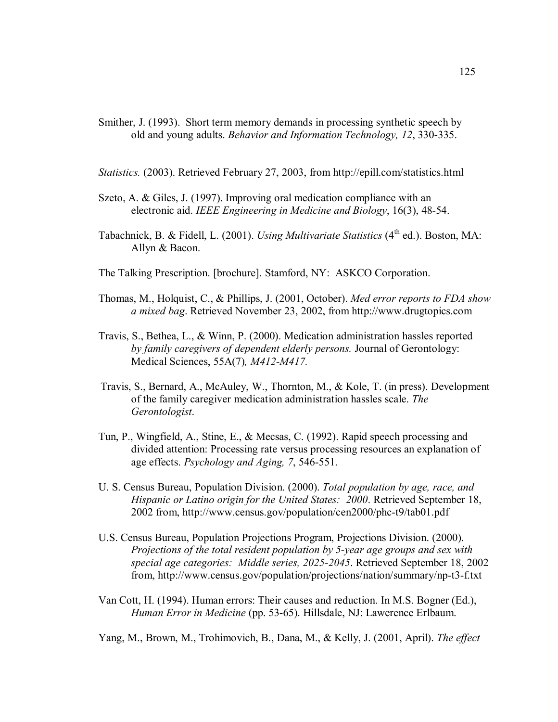- Smither, J. (1993). Short term memory demands in processing synthetic speech by old and young adults. *Behavior and Information Technology, 12*, 330-335.
- *Statistics.* (2003). Retrieved February 27, 2003, from http://epill.com/statistics.html
- Szeto, A. & Giles, J. (1997). Improving oral medication compliance with an electronic aid. *IEEE Engineering in Medicine and Biology*, 16(3), 48-54.
- Tabachnick, B. & Fidell, L. (2001). *Using Multivariate Statistics* (4<sup>th</sup> ed.). Boston, MA: Allyn & Bacon.
- The Talking Prescription. [brochure]. Stamford, NY: ASKCO Corporation.
- Thomas, M., Holquist, C., & Phillips, J. (2001, October). *Med error reports to FDA show a mixed bag*. Retrieved November 23, 2002, from http://www.drugtopics.com
- Travis, S., Bethea, L., & Winn, P. (2000). Medication administration hassles reported *by family caregivers of dependent elderly persons.* Journal of Gerontology: Medical Sciences, 55A(7)*, M412-M417.*
- Travis, S., Bernard, A., McAuley, W., Thornton, M., & Kole, T. (in press). Development of the family caregiver medication administration hassles scale. *The Gerontologist*.
- Tun, P., Wingfield, A., Stine, E., & Mecsas, C. (1992). Rapid speech processing and divided attention: Processing rate versus processing resources an explanation of age effects. *Psychology and Aging, 7*, 546-551.
- U. S. Census Bureau, Population Division. (2000). *Total population by age, race, and Hispanic or Latino origin for the United States: 2000*. Retrieved September 18, 2002 from, http://www.census.gov/population/cen2000/phc-t9/tab01.pdf
- U.S. Census Bureau, Population Projections Program, Projections Division. (2000). *Projections of the total resident population by 5-year age groups and sex with special age categories: Middle series, 2025-2045*. Retrieved September 18, 2002 from, http://www.census.gov/population/projections/nation/summary/np-t3-f.txt
- Van Cott, H. (1994). Human errors: Their causes and reduction. In M.S. Bogner (Ed.), *Human Error in Medicine* (pp. 53-65). Hillsdale, NJ: Lawerence Erlbaum.

Yang, M., Brown, M., Trohimovich, B., Dana, M., & Kelly, J. (2001, April). *The effect*